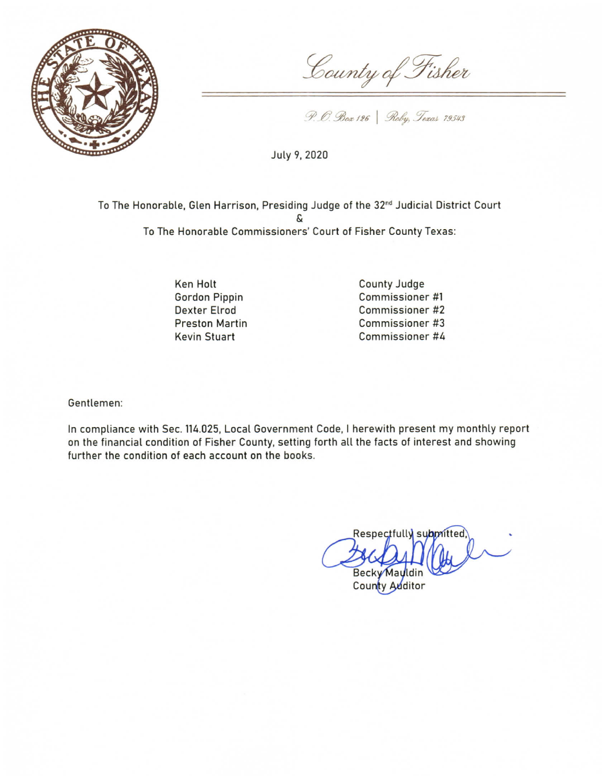

County of Fisher

P. O. Box 126 | Roby, Texas 79543

July 9, 2020

To The Honorable, Glen Harrison, Presiding Judge of the 32<sup>nd</sup> Judicial District Court S To The Honorable Commissioners' Court of Fisher County Texas:

> Ken Holt **Gordon Pippin Dexter Elrod Preston Martin Kevin Stuart**

County Judge Commissioner #1 Commissioner #2 Commissioner #3 Commissioner #4

Gentlemen:

In compliance with Sec. 114.025, Local Government Code, I herewith present my monthly report on the financial condition of Fisher County, setting forth all the facts of interest and showing further the condition of each account on the books.

Respectfully submitted, **Becky May** 

County Auditor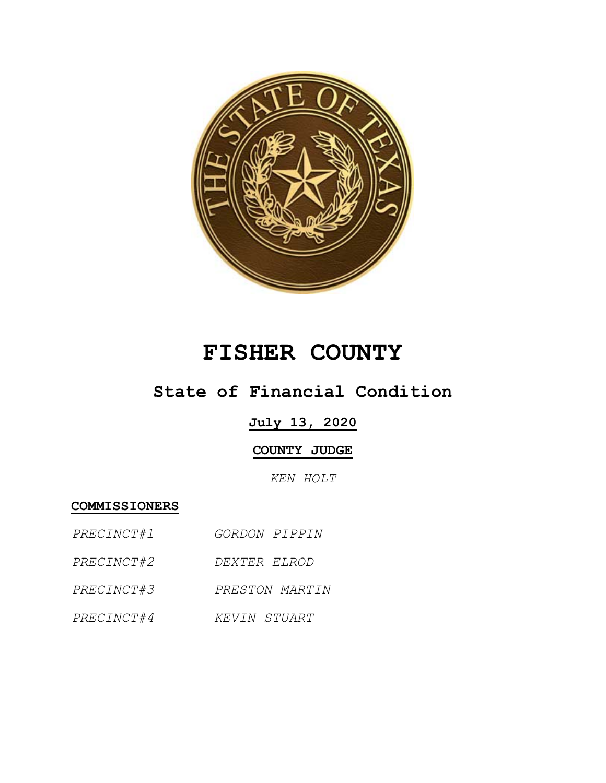

# **FISHER COUNTY**

## **State of Financial Condition**

### **July 13, 2020**

### **COUNTY JUDGE**

*KEN HOLT*

**COMMISSIONERS**

- *PRECINCT#1 GORDON PIPPIN*
- *PRECINCT#2 DEXTER ELROD*
- *PRECINCT#3 PRESTON MARTIN*
- *PRECINCT#4 KEVIN STUART*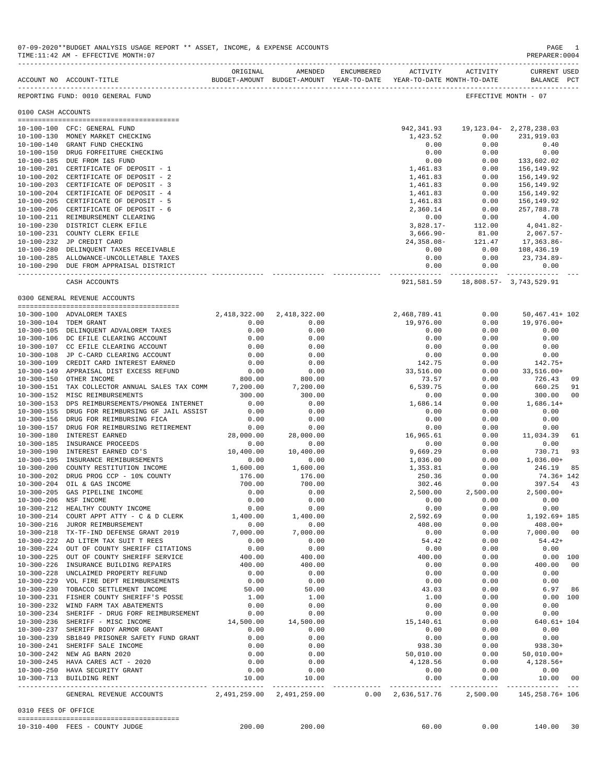|                     | ACCOUNT NO ACCOUNT-TITLE                                                                | ORIGINAL         | AMENDED<br>BUDGET-AMOUNT BUDGET-AMOUNT YEAR-TO-DATE | ENCUMBERED | ACTIVITY                          | ACTIVITY<br>YEAR-TO-DATE MONTH-TO-DATE | CURRENT USED<br>BALANCE PCT         |                |
|---------------------|-----------------------------------------------------------------------------------------|------------------|-----------------------------------------------------|------------|-----------------------------------|----------------------------------------|-------------------------------------|----------------|
|                     | REPORTING FUND: 0010 GENERAL FUND                                                       |                  |                                                     |            |                                   |                                        | EFFECTIVE MONTH - 07                |                |
| 0100 CASH ACCOUNTS  |                                                                                         |                  |                                                     |            |                                   |                                        |                                     |                |
|                     | 10-100-100 CFC: GENERAL FUND                                                            |                  |                                                     |            | 942,341.93                        |                                        | 19, 123. 04 - 2, 278, 238. 03       |                |
|                     | 10-100-130 MONEY MARKET CHECKING                                                        |                  |                                                     |            | 1,423.52                          | 0.00                                   | 231,919.03                          |                |
|                     | 10-100-140 GRANT FUND CHECKING                                                          |                  |                                                     |            | 0.00                              | 0.00                                   | 0.40                                |                |
|                     | 10-100-150 DRUG FORFEITURE CHECKING                                                     |                  |                                                     |            | 0.00                              | 0.00                                   | 0.00                                |                |
|                     | 10-100-185 DUE FROM I&S FUND<br>10-100-201 CERTIFICATE OF DEPOSIT - 1                   |                  |                                                     |            | 0.00                              | 0.00                                   | 133,602.02                          |                |
|                     | 10-100-202 CERTIFICATE OF DEPOSIT - 2                                                   |                  |                                                     |            | 1,461.83<br>1,461.83              | 0.00<br>0.00                           | 156,149.92<br>156,149.92            |                |
|                     | 10-100-203 CERTIFICATE OF DEPOSIT - 3                                                   |                  |                                                     |            | 1,461.83                          | 0.00                                   | 156,149.92                          |                |
|                     | 10-100-204 CERTIFICATE OF DEPOSIT - 4                                                   |                  |                                                     |            | 1,461.83                          | 0.00                                   | 156,149.92                          |                |
|                     | 10-100-205 CERTIFICATE OF DEPOSIT - 5                                                   |                  |                                                     |            | 1,461.83                          | 0.00                                   | 156,149.92                          |                |
|                     | 10-100-206 CERTIFICATE OF DEPOSIT - 6<br>10-100-211 REIMBURSEMENT CLEARING              |                  |                                                     |            | 2,360.14<br>0.00                  | 0.00<br>0.00                           | 257,788.78<br>4.00                  |                |
|                     | 10-100-230 DISTRICT CLERK EFILE                                                         |                  |                                                     |            | $3,828.17-$                       | 112.00                                 | 4,041.82-                           |                |
|                     | 10-100-231 COUNTY CLERK EFILE                                                           |                  |                                                     |            | 3,666.90-                         | 81.00                                  | 2,067.57-                           |                |
|                     | 10-100-232 JP CREDIT CARD                                                               |                  |                                                     |            | $24,358.08-$                      | 121.47                                 | 17,363.86-                          |                |
|                     | 10-100-280 DELINQUENT TAXES RECEIVABLE                                                  |                  |                                                     |            | 0.00                              | 0.00                                   | 108,436.19                          |                |
|                     | 10-100-285 ALLOWANCE-UNCOLLETABLE TAXES                                                 |                  |                                                     |            | 0.00                              | 0.00                                   | 23,734.89-                          |                |
|                     | 10-100-290 DUE FROM APPRAISAL DISTRICT                                                  |                  |                                                     |            | 0.00<br>. _ _ _ _ _ _ _ _ _ _ _ _ | 0.00                                   | 0.00                                |                |
|                     | CASH ACCOUNTS                                                                           |                  |                                                     |            | 921,581.59                        |                                        | 18,808.57- 3,743,529.91             |                |
|                     | 0300 GENERAL REVENUE ACCOUNTS                                                           |                  |                                                     |            |                                   |                                        |                                     |                |
|                     | 10-300-100 ADVALOREM TAXES                                                              | 2,418,322.00     | 2,418,322.00                                        |            | 2,468,789.41                      | 0.00                                   | $50,467.41+102$                     |                |
|                     | 10-300-104 TDEM GRANT                                                                   | 0.00             | 0.00                                                |            | 19,976.00                         | 0.00                                   | 19,976.00+                          |                |
|                     | 10-300-105 DELINQUENT ADVALOREM TAXES                                                   | 0.00             | 0.00                                                |            | 0.00                              | 0.00                                   | 0.00                                |                |
|                     | 10-300-106 DC EFILE CLEARING ACCOUNT                                                    | 0.00             | 0.00                                                |            | 0.00                              | 0.00                                   | 0.00                                |                |
|                     | 10-300-107 CC EFILE CLEARING ACCOUNT                                                    | 0.00             | 0.00                                                |            | 0.00                              | 0.00                                   | 0.00                                |                |
|                     | 10-300-108 JP C-CARD CLEARING ACCOUNT<br>10-300-109 CREDIT CARD INTEREST EARNED         | 0.00<br>0.00     | 0.00<br>0.00                                        |            | 0.00<br>142.75                    | 0.00<br>0.00                           | 0.00<br>$142.75+$                   |                |
|                     | 10-300-149 APPRAISAL DIST EXCESS REFUND                                                 | 0.00             | 0.00                                                |            | 33,516.00                         | 0.00                                   | 33,516.00+                          |                |
|                     | 10-300-150 OTHER INCOME                                                                 | 800.00           | 800.00                                              |            | 73.57                             | 0.00                                   | 726.43                              | 09             |
|                     | 10-300-151 TAX COLLECTOR ANNUAL SALES TAX COMM                                          | 7,200.00         | 7,200.00                                            |            | 6,539.75                          | 0.00                                   | 660.25                              | 91             |
|                     | 10-300-152 MISC REIMBURSEMENTS                                                          | 300.00           | 300.00                                              |            | 0.00                              | 0.00                                   | 300.00                              | 0 <sub>0</sub> |
|                     | 10-300-153 DPS REIMBURSEMENTS/PHONE& INTERNET                                           | 0.00             | 0.00                                                |            | 1,686.14                          | 0.00                                   | $1,686.14+$                         |                |
|                     | 10-300-155 DRUG FOR REIMBURSING GF JAIL ASSIST                                          | 0.00             | 0.00                                                |            | 0.00                              | 0.00                                   | 0.00                                |                |
| $10 - 300 - 156$    | DRUG FOR REIMBURSING FICA<br>10-300-157 DRUG FOR REIMBURSING RETIREMENT                 | 0.00<br>0.00     | 0.00<br>0.00                                        |            | 0.00<br>0.00                      | 0.00<br>0.00                           | 0.00<br>0.00                        |                |
|                     | 10-300-180 INTEREST EARNED                                                              | 28,000.00        | 28,000.00                                           |            | 16,965.61                         | 0.00                                   | 11,034.39                           | 61             |
| $10 - 300 - 185$    | INSURANCE PROCEEDS                                                                      | 0.00             | 0.00                                                |            | 0.00                              | 0.00                                   | 0.00                                |                |
| $10 - 300 - 190$    | INTEREST EARNED CD'S                                                                    | 10,400.00        | 10,400.00                                           |            | 9,669.29                          | 0.00                                   | 730.71                              | 93             |
| $10 - 300 - 195$    | INSURANCE REMIBURSEMENTS                                                                | 0.00             | 0.00                                                |            | 1,036.00                          | 0.00                                   | $1,036.00+$                         |                |
| $10 - 300 - 200$    | COUNTY RESTITUTION INCOME                                                               | 1,600.00         | 1,600.00                                            |            | 1,353.81                          | 0.00                                   | 246.19                              | 85             |
| $10 - 300 - 204$    | 10-300-202 DRUG PROG CCP - 10% COUNTY<br>OIL & GAS INCOME                               | 176.00<br>700.00 | 176.00<br>700.00                                    |            | 250.36<br>302.46                  | 0.00<br>0.00                           | 74.36+ 142<br>397.54                | 43             |
| $10 - 300 - 205$    | GAS PIPELINE INCOME                                                                     | 0.00             | 0.00                                                |            | 2,500.00                          | 2,500.00                               | $2,500.00+$                         |                |
| $10 - 300 - 206$    | NSF INCOME                                                                              | 0.00             | 0.00                                                |            | 0.00                              | 0.00                                   | 0.00                                |                |
| $10 - 300 - 212$    | HEALTHY COUNTY INCOME                                                                   | 0.00             | 0.00                                                |            | 0.00                              | 0.00                                   | 0.00                                |                |
|                     | $10-300-214$ COURT APPT ATTY - C & D CLERK                                              | 1,400.00         | 1,400.00                                            |            | 2,592.69                          | 0.00                                   | 1,192.69+ 185                       |                |
|                     | 10-300-216 JUROR REIMBURSEMENT                                                          | 0.00             | 0.00                                                |            | 408.00                            | 0.00                                   | $408.00+$                           |                |
|                     | 10-300-218 TX-TF-IND DEFENSE GRANT 2019<br>10-300-222 AD LITEM TAX SUIT T REES          | 7,000.00<br>0.00 | 7,000.00<br>0.00                                    |            | 0.00<br>54.42                     | 0.00<br>0.00                           | 7,000.00 00<br>$54.42+$             |                |
|                     | 10-300-224 OUT OF COUNTY SHERIFF CITATIONS                                              | 0.00             | 0.00                                                |            | 0.00                              | 0.00                                   | 0.00                                |                |
|                     | 10-300-225 OUT OF COUNTY SHERIFF SERVICE                                                | 400.00           | 400.00                                              |            | 400.00                            | 0.00                                   | 0.00 100                            |                |
|                     | 10-300-226 INSURANCE BUILDING REPAIRS                                                   | 400.00           | 400.00                                              |            | 0.00                              | 0.00                                   | 400.00                              | 0 <sub>0</sub> |
|                     | 10-300-228 UNCLAIMED PROPERTY REFUND                                                    | 0.00             | 0.00                                                |            | 0.00                              | 0.00                                   | 0.00                                |                |
|                     | 10-300-229 VOL FIRE DEPT REIMBURSEMENTS                                                 | 0.00             | 0.00                                                |            | 0.00                              | 0.00                                   | 0.00                                |                |
|                     | 10-300-230 TOBACCO SETTLEMENT INCOME                                                    | 50.00            | 50.00                                               |            | 43.03                             | 0.00                                   | 6.97                                | 86             |
|                     | 10-300-231 FISHER COUNTY SHERIFF'S POSSE<br>10-300-232 WIND FARM TAX ABATEMENTS         | 1.00<br>0.00     | 1.00<br>0.00                                        |            | 1.00<br>0.00                      | 0.00<br>0.00                           | 0.00 100<br>0.00                    |                |
|                     | 10-300-234 SHERIFF - DRUG FORF REIMBURSEMENT                                            | 0.00             | 0.00                                                |            | 0.00                              | 0.00                                   | 0.00                                |                |
|                     | 10-300-236 SHERIFF - MISC INCOME                                                        | 14,500.00        | 14,500.00                                           |            | 15,140.61                         | 0.00                                   | $640.61 + 104$                      |                |
|                     | 10-300-237 SHERIFF BODY ARMOR GRANT                                                     | 0.00             | 0.00                                                |            | 0.00                              | 0.00                                   | 0.00                                |                |
|                     | 10-300-239 SB1849 PRISONER SAFETY FUND GRANT                                            | 0.00             | 0.00                                                |            | 0.00                              | 0.00                                   | 0.00                                |                |
|                     | 10-300-241 SHERIFF SALE INCOME                                                          | 0.00             | 0.00                                                |            | 938.30                            | 0.00                                   | $938.30+$                           |                |
|                     | 10-300-242 NEW AG BARN 2020                                                             | 0.00             | 0.00                                                |            | 50,010.00                         | 0.00                                   | $50,010.00+$                        |                |
|                     | 10-300-245 HAVA CARES ACT - 2020<br>10-300-250 HAVA SECURITY GRANT                      | 0.00<br>0.00     | 0.00<br>0.00                                        |            | 4,128.56<br>0.00                  | 0.00<br>0.00                           | 4,128.56+<br>0.00                   |                |
|                     | 10-300-713 BUILDING RENT                                                                | 10.00            | 10.00                                               |            | 0.00                              | 0.00                                   | 10.00 00                            |                |
|                     | GENERAL REVENUE ACCOUNTS $2,491,259.00$ $2,491,259.00$ $0.00$ $2,636,517.76$ $2,500.00$ |                  |                                                     |            |                                   |                                        | ----------------<br>145,258.76+ 106 |                |
| 0310 FEES OF OFFICE |                                                                                         |                  |                                                     |            |                                   |                                        |                                     |                |
|                     | 10-310-400 FEES - COUNTY JUDGE                                                          | 200.00           | 200.00                                              |            | 60.00                             | 0.00                                   | 140.00 30                           |                |

07-09-2020\*\*BUDGET ANALYSIS USAGE REPORT \*\* ASSET, INCOME, & EXPENSE ACCOUNTS PAGE 1<br>TIME:11:42 AM - EFFECTIVE MONTH:07 TIME:11:42 AM - EFFECTIVE MONTH:07

-------------------------------------------------------------------------------------------------------------------------------------------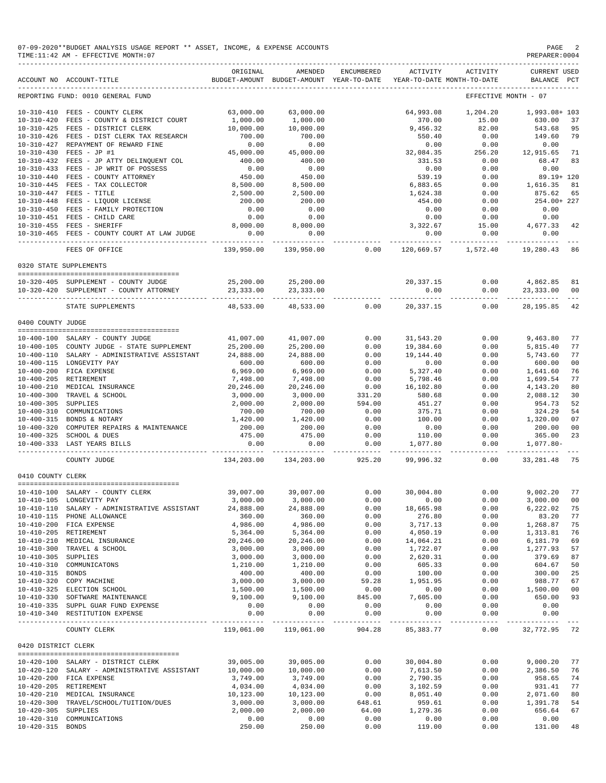07-09-2020\*\*BUDGET ANALYSIS USAGE REPORT \*\* ASSET, INCOME, & EXPENSE ACCOUNTS PAGE 2<br>TIME:11:42 AM - EFFECTIVE MONTH:07  $TIME:11:42 AM - EFFECTIVE MOMTH:07$ 

|                     | ACCOUNT NO ACCOUNT-TITLE                                                                                | ORIGINAL              | AMENDED<br>BUDGET-AMOUNT BUDGET-AMOUNT YEAR-TO-DATE | ENCUMBERED                          | ACTIVITY                   | ACTIVITY<br>YEAR-TO-DATE MONTH-TO-DATE | <b>CURRENT USED</b><br>BALANCE PCT |                |
|---------------------|---------------------------------------------------------------------------------------------------------|-----------------------|-----------------------------------------------------|-------------------------------------|----------------------------|----------------------------------------|------------------------------------|----------------|
|                     | REPORTING FUND: 0010 GENERAL FUND                                                                       |                       |                                                     |                                     |                            |                                        | EFFECTIVE MONTH - 07               |                |
|                     | 10-310-410 FEES - COUNTY CLERK                                                                          | 63,000.00             | 63,000.00                                           |                                     | 64,993.08                  | 1,204.20                               | 1,993.08+ 103                      |                |
|                     | 10-310-420 FEES - COUNTY & DISTRICT COURT                                                               | 1,000.00              | 1,000.00                                            |                                     | 370.00                     | 15.00                                  | 630.00                             | 37             |
|                     | 10-310-425 FEES - DISTRICT CLERK                                                                        | 10,000.00             | 10,000.00                                           |                                     | 9,456.32                   | 82.00                                  | 543.68                             | 95             |
|                     | 10-310-426 FEES - DIST CLERK TAX RESEARCH                                                               | 700.00                | 700.00                                              |                                     | 550.40                     | 0.00                                   | 149.60                             | 79             |
|                     | 10-310-427 REPAYMENT OF REWARD FINE                                                                     | 0.00                  | 0.00                                                |                                     | 0.00                       | 0.00                                   | 0.00                               |                |
|                     | 10-310-430 FEES - JP #1                                                                                 | 45,000.00             | 45,000.00                                           |                                     | 32,084.35                  | 256.20                                 | 12,915.65                          | 71             |
|                     | 10-310-432 FEES - JP ATTY DELINQUENT COL                                                                | 400.00                | 400.00                                              |                                     | 331.53                     | 0.00                                   | 68.47                              | 83             |
|                     | 10-310-433 FEES - JP WRIT V.<br>10-310-440 FEES - COUNTY ATTORNEY<br>10-310-440 FEES - TAX COLLECTOR    | 0.00                  | 0.00                                                |                                     | 0.00                       | 0.00                                   | 0.00                               |                |
|                     |                                                                                                         | 450.00                | 450.00                                              |                                     | 539.19                     | 0.00                                   | 89.19+ 120                         |                |
|                     |                                                                                                         | 8,500.00              | 8,500.00                                            |                                     | 6,883.65                   | 0.00                                   | 1,616.35                           | 81             |
|                     | 10-310-448 FEES - LIQUOR LICENSE<br>10-310-450 FEES - FAMILY PROTECTION<br>10-310-451 FEES - CHILD CAPP | 2,500.00              | 2,500.00                                            |                                     | 1,624.38                   | 0.00                                   | 875.62                             | 65             |
|                     |                                                                                                         | 200.00                | 200.00                                              |                                     | 454.00                     | 0.00                                   | 254.00+ 227                        |                |
|                     |                                                                                                         | 0.00                  | 0.00                                                |                                     | 0.00                       | 0.00                                   | 0.00                               |                |
|                     |                                                                                                         | 0.00                  | 0.00                                                |                                     | 0.00<br>$0.00$<br>3,322.67 | 0.00                                   | 0.00                               |                |
|                     | 10-310-455 FEES - SHERIFF<br>10-310-465 FEES - COUNTY COURT AT LAW JUDGE                                | 8,000.00<br>0.00      | 8,000.00<br>0.00                                    |                                     | 0.00                       | 0.00                                   | 15.00 4,677.33<br>0.00             | 42             |
|                     |                                                                                                         |                       |                                                     |                                     |                            | ----------- -------------              | -----------                        |                |
|                     | FEES OF OFFICE                                                                                          | 139,950.00            | 139,950.00                                          | 0.00                                |                            | 120,669.57 1,572.40                    | 19,280.43                          | 86             |
|                     | 0320 STATE SUPPLEMENTS                                                                                  |                       |                                                     |                                     |                            |                                        |                                    |                |
|                     | 10-320-405 SUPPLEMENT - COUNTY JUDGE                                                                    | 25,200.00             |                                                     |                                     | 20, 337.15                 | 0.00                                   | 4,862.85                           | 81             |
|                     | 10-320-420 SUPPLEMENT - COUNTY ATTORNEY                                                                 | 23,333.00             | 25,200.00<br>23,333.00                              |                                     | 0.00                       | 0.00                                   | 23,333.00                          | 0 <sup>0</sup> |
|                     |                                                                                                         | ______________        | ______________                                      |                                     |                            |                                        |                                    | $\frac{1}{2}$  |
|                     | STATE SUPPLEMENTS                                                                                       | 48,533.00             | 48,533.00                                           | 0.00                                | 20,337.15                  | 0.00                                   | 28, 195.85                         | 42             |
| 0400 COUNTY JUDGE   |                                                                                                         |                       |                                                     |                                     |                            |                                        |                                    |                |
|                     | 10-400-100 SALARY - COUNTY JUDGE                                                                        | 41,007.00             | 41,007.00                                           | 0.00                                | 31,543.20                  | 0.00                                   | 9,463.80                           | 77             |
|                     | 10-400-105 COUNTY JUDGE - STATE SUPPLEMENT                                                              | 25,200.00             | 25,200.00                                           | 0.00                                | 19,384.60                  | 0.00                                   | 5,815.40                           | 77             |
|                     | 10-400-110 SALARY - ADMINISTRATIVE ASSISTANT 24,888.00                                                  |                       | 24,888.00                                           | 0.00                                | 19,144.40                  | 0.00                                   | 5,743.60                           | 77             |
|                     | 10-400-115 LONGEVITY PAY                                                                                | 600.00                | 600.00                                              | 0.00                                | 0.00                       | 0.00                                   | 600.00                             | 0 <sub>0</sub> |
|                     | 10-400-200 FICA EXPENSE                                                                                 | 6,969.00              | 6,969.00                                            | 0.00                                | 5,327.40                   | 0.00                                   | 1,641.60                           | 76             |
|                     | 10-400-205 RETIREMENT                                                                                   | 7,498.00              | 7,498.00                                            | 0.00                                | 5,798.46                   | 0.00                                   | 1,699.54                           | 77             |
|                     |                                                                                                         | 20,246.00             | 20,246.00                                           | 0.00                                | 16,102.80                  | 0.00                                   | 4,143.20                           | 80             |
|                     | 10-400-210 MEDICAL INSURANCE<br>10-400-300 TRAVEL & SCHOOL<br>10-400-305 SUPPLIES                       | 3,000.00              | 3,000.00                                            | 331.20                              | 580.68                     | 0.00                                   | 2,088.12                           | 30             |
| 10-400-305 SUPPLIES |                                                                                                         | 2,000.00              | 2,000.00                                            | 594.00                              | 451.27                     | 0.00                                   | 954.73                             | 52             |
|                     | 10-400-310 COMMUNICATIONS                                                                               | 700.00                | 700.00                                              | 0.00                                | 375.71                     | 0.00                                   | 324.29                             | 54             |
|                     | 10-400-315 BONDS & NOTARY                                                                               | 1,420.00              | 1,420.00                                            | 0.00                                | 100.00                     | 0.00                                   | 1,320.00                           | 07             |
|                     | 10-400-320 COMPUTER REPAIRS & MAINTENANCE                                                               | 200.00                | 200.00                                              | 0.00                                | 0.00                       | 0.00                                   | 200.00                             | 0 <sub>0</sub> |
|                     | 10-400-325 SCHOOL & DUES                                                                                | 475.00                | 475.00                                              | 0.00                                | 110.00                     | 0.00                                   | 365.00                             | 23             |
|                     | 10-400-333 LAST YEARS BILLS                                                                             | 0.00                  | 0.00                                                | 0.00<br>------------ ------------ - | 1,077.80                   | 0.00                                   | $1,077.80-$                        |                |
|                     | COUNTY JUDGE                                                                                            |                       | 134,203.00 134,203.00                               | 925.20                              | 99,996.32                  | 0.00                                   | 33, 281.48                         | 75             |
| 0410 COUNTY CLERK   |                                                                                                         |                       |                                                     |                                     |                            |                                        |                                    |                |
|                     |                                                                                                         |                       |                                                     |                                     |                            |                                        |                                    |                |
|                     | 10-410-100 SALARY - COUNTY CLERK                                                                        | 39,007.00             | 39,007.00                                           | 0.00                                | 30,004.80                  | 0.00                                   | 9,002.20                           | 77             |
|                     | 10-410-105 LONGEVITY PAY                                                                                |                       | 3,000.00 3,000.00                                   | 0.00                                | 0.00                       | 0.00                                   | 3,000.00 00                        |                |
|                     | 10-410-110 SALARY - ADMINISTRATIVE ASSISTANT                                                            | 24,888.00             | 24,888.00<br>360.00                                 | 0.00                                | 18,665.98                  | 0.00                                   | 6,222.02 75<br>83.20               | 77             |
|                     | 10-410-115 PHONE ALLOWANCE<br>10-410-200 FICA EXPENSE                                                   | 360.00<br>4,986.00    | 4,986.00                                            | 0.00<br>0.00                        | 276.80<br>3,717.13         | 0.00<br>0.00                           | 1,268.87                           | 75             |
|                     | 10-410-205 RETIREMENT                                                                                   | 5,364.00              | 5,364.00                                            | 0.00                                | 4,050.19                   | 0.00                                   | 1,313.81                           | 76             |
|                     | 10-410-210 MEDICAL INSURANCE                                                                            | 20,246.00             | 20,246.00                                           | 0.00                                | 14,064.21                  | 0.00                                   | 6,181.79                           | 69             |
|                     | 10-410-300 TRAVEL & SCHOOL                                                                              | 3,000.00              | 3,000.00                                            | 0.00                                | 1,722.07                   | 0.00                                   | 1,277.93                           | 57             |
| 10-410-305 SUPPLIES |                                                                                                         | 3,000.00              | 3,000.00                                            | 0.00                                | 2,620.31                   | 0.00                                   | 379.69                             | 87             |
|                     | 10-410-310 COMMUNICATONS                                                                                | 1,210.00              | 1,210.00                                            | 0.00                                | 605.33                     | 0.00                                   | 604.67                             | 50             |
| 10-410-315 BONDS    |                                                                                                         | 400.00                | 400.00                                              | 0.00                                | 100.00                     | 0.00                                   | 300.00                             | 25             |
|                     | 10-410-320 COPY MACHINE                                                                                 | 3,000.00              | 3,000.00                                            | 59.28                               | 1,951.95                   | 0.00                                   | 988.77                             | 67             |
|                     | 10-410-325 ELECTION SCHOOL                                                                              | 1,500.00              | 1,500.00                                            | 0.00                                | 0.00                       | 0.00                                   | 1,500.00                           | 0 <sub>0</sub> |
|                     | 10-410-330 SOFTWARE MAINTENANCE                                                                         | 9,100.00              | 9,100.00                                            | 845.00                              | 7,605.00                   | 0.00                                   | 650.00                             | 93             |
|                     | 10-410-335 SUPPL GUAR FUND EXPENSE                                                                      | 0.00                  | 0.00                                                | 0.00                                | 0.00                       | 0.00                                   | 0.00                               |                |
|                     | 10-410-340 RESTITUTION EXPENSE                                                                          | 0.00<br>------------- | 0.00<br>-------------                               | 0.00<br>-------------               | 0.00<br>-----------        | 0.00<br>-----                          | 0.00<br>------------               |                |
|                     | COUNTY CLERK                                                                                            | 119,061.00            | 119,061.00                                          | 904.28                              | 85, 383. 77                | 0.00                                   | 32,772.95 72                       |                |
| 0420 DISTRICT CLERK |                                                                                                         |                       |                                                     |                                     |                            |                                        |                                    |                |
|                     | 10-420-100 SALARY - DISTRICT CLERK                                                                      | 39,005.00             | 39,005.00                                           | 0.00                                | 30,004.80                  | 0.00                                   | 9,000.20                           | 77             |
|                     | 10-420-120 SALARY - ADMINISTRATIVE ASSISTANT                                                            | 10,000.00             | 10,000.00                                           | 0.00                                | 7,613.50                   | 0.00                                   | 2,386.50                           | 76             |
|                     | 10-420-200 FICA EXPENSE                                                                                 | 3,749.00              | 3,749.00                                            | 0.00                                | 2,790.35                   | 0.00                                   | 958.65                             | 74             |
|                     | 10-420-205 RETIREMENT                                                                                   | 4,034.00              | 4,034.00                                            | 0.00                                | 3,102.59                   | 0.00                                   | 931.41                             | 77             |
|                     | 10-420-210 MEDICAL INSURANCE                                                                            | 10,123.00             | 10,123.00                                           | 0.00                                | 8,051.40                   | 0.00                                   | 2,071.60                           | 80             |
|                     | 10-420-300 TRAVEL/SCHOOL/TUITION/DUES                                                                   | 3,000.00              | 3,000.00                                            | 648.61                              | 959.61                     | 0.00                                   | 1,391.78                           | 54             |
| 10-420-305 SUPPLIES |                                                                                                         | 2,000.00              | 2,000.00                                            | 64.00                               | 1,279.36                   | 0.00                                   | 656.64                             | 67             |
|                     | 10-420-310 COMMUNICATIONS                                                                               | 0.00                  | 0.00                                                | 0.00                                | 0.00                       | 0.00                                   | 0.00                               |                |

10-420-315 BONDS 250.00 250.00 0.00 119.00 0.00 131.00 48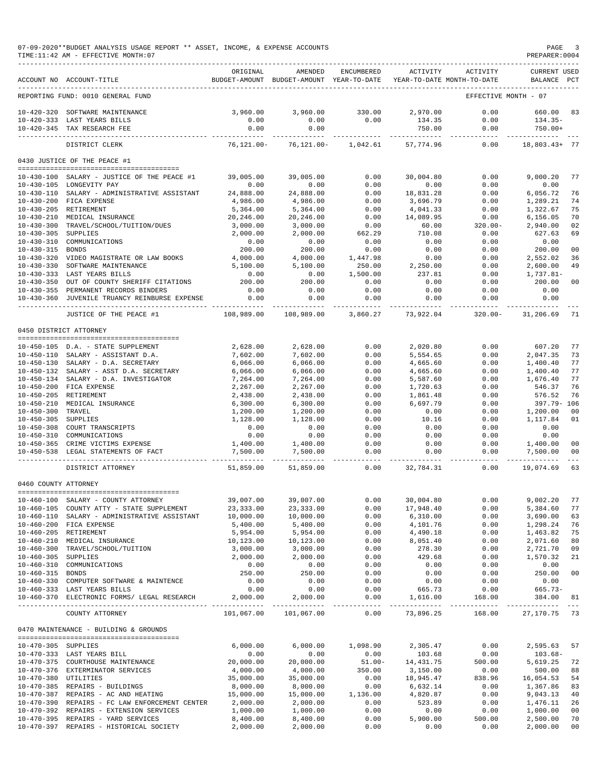### 07-09-2020\*\*BUDGET ANALYSIS USAGE REPORT \*\* ASSET, INCOME, & EXPENSE ACCOUNTS PAGE 3<br>TIME:11:42 AM - EFFECTIVE MONTH:07  $TIME:11:42 AM - EFFECTIVE MOMTH:07$

|                                      | ACCOUNT NO ACCOUNT-TITLE                                              | ORIGINAL              | AMENDED<br>BUDGET-AMOUNT BUDGET-AMOUNT YEAR-TO-DATE | ENCUMBERED       | ACTIVITY             | ACTIVITY<br>YEAR-TO-DATE MONTH-TO-DATE | CURRENT USED<br>PCT<br>BALANCE   |  |
|--------------------------------------|-----------------------------------------------------------------------|-----------------------|-----------------------------------------------------|------------------|----------------------|----------------------------------------|----------------------------------|--|
|                                      | REPORTING FUND: 0010 GENERAL FUND                                     |                       |                                                     |                  |                      |                                        | EFFECTIVE MONTH - 07             |  |
| $10 - 420 - 320$                     | SOFTWARE MAINTENANCE                                                  | 3,960.00              | 3,960.00                                            | 330.00           | 2,970.00             | 0.00                                   | 83<br>660.00                     |  |
|                                      | 10-420-333 LAST YEARS BILLS                                           | 0.00                  | 0.00                                                | 0.00             | 134.35               | 0.00                                   | $134.35-$                        |  |
|                                      | 10-420-345 TAX RESEARCH FEE                                           | 0.00                  | 0.00                                                |                  | 750.00               | 0.00                                   | $750.00+$                        |  |
|                                      | DISTRICT CLERK                                                        | $76, 121.00 -$        | $76, 121.00 -$                                      | 1,042.61         | 57,774.96            | 0.00                                   | 18,803.43+ 77                    |  |
|                                      | 0430 JUSTICE OF THE PEACE #1                                          |                       |                                                     |                  |                      |                                        |                                  |  |
| $10 - 430 - 100$                     | SALARY - JUSTICE OF THE PEACE #1                                      | 39,005.00             | 39,005.00                                           | 0.00             | 30,004.80            | 0.00                                   | 9,000.20<br>77                   |  |
|                                      | 10-430-105 LONGEVITY PAY                                              | 0.00                  | 0.00                                                | 0.00             | 0.00                 | 0.00                                   | 0.00                             |  |
| $10 - 430 - 110$                     | SALARY - ADMINISTRATIVE ASSISTANT                                     | 24,888.00             | 24,888.00                                           | 0.00             | 18,831.28            | 0.00                                   | 6,056.72<br>76                   |  |
| $10 - 430 - 200$                     | FICA EXPENSE                                                          | 4,986.00              | 4,986.00                                            | 0.00             | 3,696.79             | 0.00                                   | 74<br>1,289.21                   |  |
| $10 - 430 - 205$                     | RETIREMENT                                                            | 5,364.00              | 5,364.00                                            | 0.00             | 4,041.33             | 0.00                                   | 1,322.67<br>75                   |  |
| $10 - 430 - 210$<br>$10 - 430 - 300$ | MEDICAL INSURANCE<br>TRAVEL/SCHOOL/TUITION/DUES                       | 20,246.00<br>3,000.00 | 20,246.00<br>3,000.00                               | 0.00<br>0.00     | 14,089.95<br>60.00   | 0.00<br>$320.00 -$                     | 70<br>6,156.05<br>2,940.00<br>02 |  |
| $10 - 430 - 305$                     | SUPPLIES                                                              | 2,000.00              | 2,000.00                                            | 662.29           | 710.08               | 0.00                                   | 627.63<br>69                     |  |
| $10 - 430 - 310$                     | COMMUNICATIONS                                                        | 0.00                  | 0.00                                                | 0.00             | 0.00                 | 0.00                                   | 0.00                             |  |
| $10 - 430 - 315$                     | <b>BONDS</b>                                                          | 200.00                | 200.00                                              | 0.00             | 0.00                 | 0.00                                   | 200.00<br>0 <sub>0</sub>         |  |
| $10 - 430 - 320$                     | VIDEO MAGISTRATE OR LAW BOOKS                                         | 4,000.00              | 4,000.00                                            | 1,447.98         | 0.00                 | 0.00                                   | 2,552.02<br>36                   |  |
| $10 - 430 - 330$                     | SOFTWARE MAINTENANCE                                                  | 5,100.00              | 5,100.00                                            | 250.00           | 2,250.00             | 0.00                                   | 2,600.00<br>49                   |  |
| $10 - 430 - 333$                     | LAST YEARS BILLS                                                      | 0.00                  | 0.00                                                | 1,500.00         | 237.81               | 0.00                                   | 1,737.81-                        |  |
| $10 - 430 - 350$                     | OUT OF COUNTY SHERIFF CITATIONS                                       | 200.00                | 200.00                                              | 0.00             | 0.00                 | 0.00                                   | 200.00<br>00                     |  |
| $10 - 430 - 355$<br>10-430-360       | PERMANENT RECORDS BINDERS<br>JUVENILE TRUANCY REINBURSE EXPENSE       | 0.00<br>0.00          | 0.00<br>0.00                                        | 0.00<br>0.00     | 0.00<br>0.00         | 0.00<br>0.00                           | 0.00<br>0.00                     |  |
|                                      |                                                                       | $- - - - -$           |                                                     |                  |                      |                                        |                                  |  |
|                                      | JUSTICE OF THE PEACE #1                                               | 108,989.00            | 108,989.00                                          | 3,860.27         | 73,922.04            | $320.00 -$                             | 31,206.69<br>71                  |  |
|                                      | 0450 DISTRICT ATTORNEY                                                |                       |                                                     |                  |                      |                                        |                                  |  |
|                                      | 10-450-105 D.A. - STATE SUPPLEMENT                                    | 2,628.00              | 2,628.00                                            | 0.00             | 2,020.80             | 0.00                                   | 607.20<br>77                     |  |
| 10-450-110                           | SALARY - ASSISTANT D.A.                                               | 7,602.00              | 7,602.00                                            | 0.00             | 5,554.65             | 0.00                                   | 2,047.35<br>73                   |  |
| $10 - 450 - 130$                     | SALARY - D.A. SECRETARY                                               | 6,066.00              | 6,066.00                                            | 0.00             | 4,665.60             | 0.00                                   | 1,400.40<br>77                   |  |
| 10-450-132                           | SALARY - ASST D.A. SECRETARY                                          | 6,066.00              | 6,066.00                                            | 0.00             | 4,665.60             | 0.00                                   | 77<br>1,400.40                   |  |
| $10 - 450 - 134$                     | SALARY - D.A. INVESTIGATOR                                            | 7,264.00              | 7,264.00                                            | 0.00             | 5,587.60             | 0.00                                   | 77<br>1,676.40                   |  |
| $10 - 450 - 200$<br>$10 - 450 - 205$ | FICA EXPENSE<br>RETIREMENT                                            | 2,267.00<br>2,438.00  | 2,267.00<br>2,438.00                                | 0.00<br>0.00     | 1,720.63<br>1,861.48 | 0.00<br>0.00                           | 76<br>546.37<br>76<br>576.52     |  |
| $10 - 450 - 210$                     | MEDICAL INSURANCE                                                     | 6,300.00              | 6,300.00                                            | 0.00             | 6,697.79             | 0.00                                   | 397.79- 106                      |  |
| $10 - 450 - 300$                     | TRAVEL                                                                | 1,200.00              | 1,200.00                                            | 0.00             | 0.00                 | 0.00                                   | 1,200.00<br>0 <sub>0</sub>       |  |
| $10 - 450 - 305$                     | SUPPLIES                                                              | 1,128.00              | 1,128.00                                            | 0.00             | 10.16                | 0.00                                   | 1,117.84<br>01                   |  |
| $10 - 450 - 308$                     | COURT TRANSCRIPTS                                                     | 0.00                  | 0.00                                                | 0.00             | 0.00                 | 0.00                                   | 0.00                             |  |
| $10 - 450 - 310$                     | COMMUNICATIONS                                                        | 0.00                  | 0.00                                                | 0.00             | 0.00                 | 0.00                                   | 0.00                             |  |
| $10 - 450 - 365$                     | CRIME VICTIMS EXPENSE                                                 | 1,400.00              | 1,400.00                                            | 0.00             | 0.00                 | 0.00                                   | 1,400.00<br>0 <sub>0</sub>       |  |
| $10 - 450 - 538$                     | LEGAL STATEMENTS OF FACT                                              | 7,500.00              | 7,500.00                                            | 0.00             | 0.00                 | 0.00                                   | 7,500.00<br>00                   |  |
|                                      | DISTRICT ATTORNEY                                                     | 51,859.00             | 51,859.00                                           | 0.00             | 32,784.31            | 0.00                                   | 19,074.69<br>63                  |  |
| 0460 COUNTY ATTORNEY                 |                                                                       |                       |                                                     |                  |                      |                                        |                                  |  |
|                                      | 10-460-100 SALARY - COUNTY ATTORNEY                                   | 39,007.00             | 39,007.00                                           | 0.00             | 30,004.80            | 0.00                                   | 9,002.20<br>77                   |  |
|                                      | 10-460-105 COUNTY ATTY - STATE SUPPLEMENT                             | 23, 333.00            | 23, 333.00                                          | 0.00             | 17,948.40            | 0.00                                   | 5,384.60<br>77                   |  |
|                                      | 10-460-110 SALARY - ADMINISTRATIVE ASSISTANT                          | 10,000.00             | 10,000.00                                           | 0.00             | 6,310.00             | 0.00                                   | 3,690.00<br>63                   |  |
|                                      | 10-460-200 FICA EXPENSE                                               | 5,400.00              | 5,400.00                                            | 0.00             | 4,101.76             | 0.00                                   | 1,298.24<br>76                   |  |
|                                      | 10-460-205 RETIREMENT                                                 | 5,954.00              | 5,954.00                                            | 0.00             | 4,490.18             | 0.00                                   | 1,463.82<br>75                   |  |
|                                      | 10-460-210 MEDICAL INSURANCE                                          | 10,123.00             | 10,123.00                                           | 0.00             | 8,051.40             | 0.00                                   | 2,071.60<br>80                   |  |
| $10 - 460 - 300$                     | TRAVEL/SCHOOL/TUITION                                                 | 3,000.00              | 3,000.00                                            | 0.00             | 278.30               | 0.00                                   | 2,721.70<br>09                   |  |
| 10-460-305 SUPPLIES                  | 10-460-310 COMMUNICATIONS                                             | 2,000.00<br>0.00      | 2,000.00<br>0.00                                    | 0.00<br>0.00     | 429.68<br>0.00       | 0.00<br>0.00                           | 1,570.32<br>21<br>0.00           |  |
| 10-460-315 BONDS                     |                                                                       | 250.00                | 250.00                                              | 0.00             | 0.00                 | 0.00                                   | 250.00<br>00                     |  |
|                                      | 10-460-330 COMPUTER SOFTWARE & MAINTENCE                              | 0.00                  | 0.00                                                | 0.00             | 0.00                 | 0.00                                   | 0.00                             |  |
|                                      | 10-460-333 LAST YEARS BILLS                                           | 0.00                  | 0.00                                                | 0.00             | 665.73               | 0.00                                   | $665.73-$                        |  |
|                                      | 10-460-370 ELECTRONIC FORMS/ LEGAL RESEARCH                           | 2,000.00              | 2,000.00                                            | 0.00             | 1,616.00             | 168.00                                 | 384.00<br>81                     |  |
|                                      | COUNTY ATTORNEY                                                       | 101,067.00            | 101,067.00                                          | 0.00             | 73,896.25            | 168.00                                 | 27,170.75<br>73                  |  |
|                                      | 0470 MAINTENANCE - BUILDING & GROUNDS                                 |                       |                                                     |                  |                      |                                        |                                  |  |
| 10-470-305 SUPPLIES                  |                                                                       | 6,000.00              | 6,000.00                                            | 1,098.90         | 2,305.47             | 0.00                                   | 2,595.63<br>57                   |  |
|                                      | 10-470-333 LAST YEARS BILL                                            | 0.00                  | 0.00                                                | 0.00             | 103.68               | 0.00                                   | $103.68 -$                       |  |
|                                      | 10-470-375 COURTHOUSE MAINTENANCE                                     | 20,000.00             | 20,000.00                                           | $51.00 -$        | 14, 431.75           | 500.00                                 | 5,619.25<br>72                   |  |
|                                      | 10-470-376 EXTERMINATOR SERVICES                                      | 4,000.00              | 4,000.00                                            | 350.00           | 3,150.00             | 0.00                                   | 500.00<br>88                     |  |
| 10-470-380 UTILITIES                 |                                                                       | 35,000.00             | 35,000.00                                           | 0.00             | 18,945.47            | 838.96                                 | 16,054.53<br>54                  |  |
|                                      | 10-470-385 REPAIRS - BUILDINGS<br>10-470-387 REPAIRS - AC AND HEATING | 8,000.00<br>15,000.00 | 8,000.00<br>15,000.00                               | 0.00<br>1,136.00 | 6,632.14<br>4,820.87 | 0.00<br>0.00                           | 1,367.86<br>83<br>9,043.13<br>40 |  |
|                                      | 10-470-390 REPAIRS - FC LAW ENFORCEMENT CENTER                        | 2,000.00              | 2,000.00                                            | 0.00             | 523.89               | 0.00                                   | 1,476.11<br>26                   |  |
|                                      | 10-470-392 REPAIRS - EXTENSION SERVICES                               | 1,000.00              | 1,000.00                                            | 0.00             | 0.00                 | 0.00                                   | 1,000.00<br>00                   |  |
|                                      | 10-470-395 REPAIRS - YARD SERVICES                                    | 8,400.00              | 8,400.00                                            | 0.00             | 5,900.00             | 500.00                                 | 2,500.00<br>70                   |  |

10-470-397 REPAIRS - HISTORICAL SOCIETY 2,000.00 2,000.00 0.00 0.00 0.00 2,000.00 00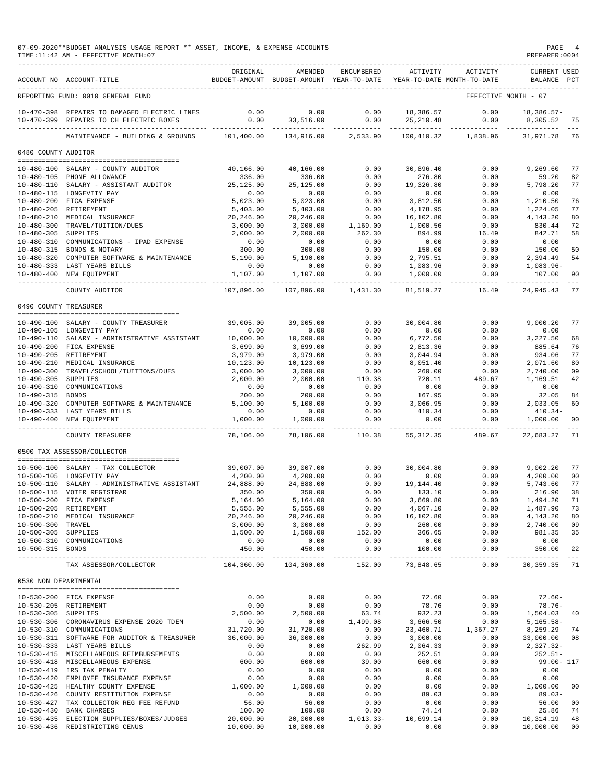|                       | TIME:11:42 AM - EFFECTIVE MONTH:07                                                      |                           |                              |                          |                                                                                 |                      | PREPARER:0004                      |                      |
|-----------------------|-----------------------------------------------------------------------------------------|---------------------------|------------------------------|--------------------------|---------------------------------------------------------------------------------|----------------------|------------------------------------|----------------------|
|                       | ACCOUNT NO ACCOUNT-TITLE                                                                | ORIGINAL                  | AMENDED                      | ENCUMBERED               | ACTIVITY<br>BUDGET-AMOUNT BUDGET-AMOUNT YEAR-TO-DATE YEAR-TO-DATE MONTH-TO-DATE | ACTIVITY             | <b>CURRENT USED</b><br>BALANCE PCT |                      |
|                       | REPORTING FUND: 0010 GENERAL FUND                                                       |                           |                              |                          |                                                                                 | EFFECTIVE MONTH - 07 |                                    |                      |
|                       | 10-470-398 REPAIRS TO DAMAGED ELECTRIC LINES<br>10-470-399 REPAIRS TO CH ELECTRIC BOXES | 0.00<br>0.00              | 0.00<br>33,516.00            | 0.00<br>0.00             | 18,386.57<br>25, 210.48                                                         | 0.00<br>0.00         | $18,386.57-$<br>8,305.52           | -75                  |
|                       | MAINTENANCE - BUILDING & GROUNDS                                                        | 101,400.00                | -----------<br>134,916.00    | ------------<br>2,533.90 | 100,410.32                                                                      | 1,838.96             | 31,971.78                          | 76                   |
| 0480 COUNTY AUDITOR   |                                                                                         |                           |                              |                          |                                                                                 |                      |                                    |                      |
|                       |                                                                                         |                           |                              |                          |                                                                                 |                      | 9,269.60                           |                      |
|                       | 10-480-100 SALARY - COUNTY AUDITOR<br>10-480-105 PHONE ALLOWANCE                        | 40,166.00<br>336.00       | 40,166.00<br>336.00          | 0.00<br>0.00             | 30,896.40<br>276.80                                                             | 0.00<br>0.00         | 59.20                              | 77<br>82             |
|                       | 10-480-110 SALARY - ASSISTANT AUDITOR                                                   | 25, 125.00                | 25,125.00                    | 0.00                     | 19,326.80                                                                       | 0.00                 | 5,798.20                           | 77                   |
|                       | 10-480-115 LONGEVITY PAY                                                                | 0.00                      | 0.00                         | 0.00                     | 0.00                                                                            | 0.00                 | 0.00                               |                      |
|                       | 10-480-200 FICA EXPENSE<br>10-480-205 RETIREMENT                                        | 5,023.00<br>5,403.00      | 5,023.00<br>5,403.00         | 0.00<br>0.00             | 3,812.50<br>4,178.95                                                            | 0.00<br>0.00         | 1,210.50<br>1,224.05               | 76<br>77             |
|                       | 10-480-210 MEDICAL INSURANCE                                                            | 20,246.00                 | 20,246.00                    | 0.00                     | 16,102.80                                                                       | 0.00                 | 4,143.20                           | 80                   |
|                       | 10-480-300 TRAVEL/TUITION/DUES                                                          | 3,000.00                  | 3,000.00                     | 1,169.00                 | 1,000.56                                                                        | 0.00                 | 830.44                             | 72                   |
| 10-480-305 SUPPLIES   |                                                                                         | 2,000.00                  | 2,000.00                     | 262.30                   | 894.99                                                                          | 16.49                | 842.71                             | 58                   |
|                       | 10-480-310 COMMUNICATIONS - IPAD EXPENSE<br>10-480-315 BONDS & NOTARY                   | 0.00<br>300.00            | 0.00<br>300.00               | 0.00<br>0.00             | 0.00<br>150.00                                                                  | 0.00<br>0.00         | 0.00<br>150.00                     | 50                   |
|                       | 10-480-320 COMPUTER SOFTWARE & MAINTENANCE                                              | 5,190.00                  | 5,190.00                     | 0.00                     | 2,795.51                                                                        | 0.00                 | 2,394.49                           | 54                   |
|                       | 10-480-333 LAST YEARS BILLS                                                             | 0.00                      | 0.00                         | 0.00                     | 1,083.96                                                                        | 0.00                 | $1,083.96-$                        |                      |
|                       | 10-480-400 NEW EQUIPMENT                                                                | 1,107.00                  | 1,107.00                     | 0.00                     | 1,000.00                                                                        | 0.00                 | 107.00                             | 90                   |
|                       | COUNTY AUDITOR                                                                          | -----------<br>107,896.00 | 107,896.00                   | -----------<br>1,431.30  | 81,519.27                                                                       | ----------<br>16.49  | -------------<br>24,945.43         | -77                  |
| 0490 COUNTY TREASURER |                                                                                         |                           |                              |                          |                                                                                 |                      |                                    |                      |
|                       |                                                                                         |                           |                              |                          |                                                                                 |                      |                                    |                      |
|                       | 10-490-100 SALARY - COUNTY TREASURER<br>10-490-105 LONGEVITY PAY                        | 39,005.00<br>0.00         | 39,005.00<br>0.00            | 0.00<br>0.00             | 30,004.80<br>0.00                                                               | 0.00<br>0.00         | 9,000.20<br>0.00                   | 77                   |
|                       | 10-490-110 SALARY - ADMINISTRATIVE ASSISTANT                                            | 10,000.00                 | 10,000.00                    | 0.00                     | 6,772.50                                                                        | 0.00                 | 3,227.50                           | 68                   |
|                       | 10-490-200 FICA EXPENSE                                                                 | 3,699.00                  | 3,699.00                     | 0.00                     | 2,813.36                                                                        | 0.00                 | 885.64                             | 76                   |
|                       | 10-490-205 RETIREMENT                                                                   | 3,979.00                  | 3,979.00                     | 0.00                     | 3,044.94                                                                        | 0.00                 | 934.06                             | 77                   |
|                       | 10-490-210 MEDICAL INSURANCE<br>10-490-300 TRAVEL/SCHOOL/TUITIONS/DUES                  | 10,123.00                 | 10,123.00                    | 0.00<br>0.00             | 8,051.40<br>260.00                                                              | 0.00<br>0.00         | 2,071.60                           | 80<br>09             |
| 10-490-305 SUPPLIES   |                                                                                         | 3,000.00<br>2,000.00      | 3,000.00<br>2,000.00         | 110.38                   | 720.11                                                                          | 489.67               | 2,740.00<br>1,169.51               | 42                   |
|                       | 10-490-310 COMMUNICATIONS                                                               | 0.00                      | 0.00                         | 0.00                     | 0.00                                                                            | 0.00                 | 0.00                               |                      |
| 10-490-315 BONDS      |                                                                                         | 200.00                    | 200.00                       | 0.00                     | 167.95                                                                          | 0.00                 | 32.05                              | 84                   |
|                       | 10-490-320 COMPUTER SOFTWARE & MAINTENANCE                                              | 5,100.00                  | 5,100.00                     | 0.00                     | 3,066.95                                                                        | 0.00                 | 2,033.05                           | 60                   |
|                       | 10-490-333 LAST YEARS BILLS<br>10-490-400 NEW EQUIPMENT                                 | 0.00<br>1,000.00          | 0.00<br>1,000.00             | 0.00<br>0.00             | 410.34<br>0.00                                                                  | 0.00<br>0.00         | $410.34-$<br>1,000.00              | 0 <sub>0</sub>       |
|                       | COUNTY TREASURER                                                                        | 78,106.00                 | .<br>78,106.00               | -------<br>110.38        | 55, 312.35                                                                      | 489.67               | 22,683.27                          | 71                   |
|                       | 0500 TAX ASSESSOR/COLLECTOR                                                             |                           |                              |                          |                                                                                 |                      |                                    |                      |
|                       |                                                                                         |                           |                              |                          |                                                                                 |                      |                                    |                      |
|                       | 10-500-100 SALARY - TAX COLLECTOR<br>10-500-105 LONGEVITY PAY                           | 39,007.00<br>4,200.00     | 39,007.00<br>4,200.00        | 0.00<br>0.00             | 30,004.80<br>0.00                                                               | 0.00<br>0.00         | 9,002.20<br>4,200.00               | 77<br>0 <sub>0</sub> |
|                       | 10-500-110 SALARY - ADMINISTRATIVE ASSISTANT                                            | 24,888.00                 | 24,888.00                    | 0.00                     | 19,144.40                                                                       | 0.00                 | 5,743.60                           | 77                   |
|                       | 10-500-115 VOTER REGISTRAR                                                              | 350.00                    | 350.00                       | 0.00                     | 133.10                                                                          | 0.00                 | 216.90                             | 38                   |
|                       | 10-500-200 FICA EXPENSE                                                                 | 5,164.00                  | 5,164.00                     | 0.00                     | 3,669.80                                                                        | 0.00                 | 1,494.20                           | 71                   |
|                       | 10-500-205 RETIREMENT<br>10-500-210 MEDICAL INSURANCE                                   | 5,555.00<br>20, 246.00    | 5,555.00<br>20,246.00        | 0.00<br>0.00             | 4,067.10<br>16,102.80                                                           | 0.00<br>0.00         | 1,487.90<br>4, 143. 20             | 73<br>80             |
| 10-500-300 TRAVEL     |                                                                                         | 3,000.00                  | 3,000.00                     | 0.00                     | 260.00                                                                          | 0.00                 | 2,740.00                           | 09                   |
| 10-500-305 SUPPLIES   |                                                                                         | 1,500.00                  | 1,500.00                     | 152.00                   | 366.65                                                                          | 0.00                 | 981.35                             | 35                   |
| 10-500-315 BONDS      | 10-500-310 COMMUNICATIONS                                                               | 0.00<br>450.00            | 0.00<br>450.00               | 0.00<br>0.00             | 0.00<br>100.00                                                                  | 0.00<br>0.00         | 0.00<br>350.00                     | 22                   |
|                       | TAX ASSESSOR/COLLECTOR                                                                  | 104,360.00                | ______________<br>104,360.00 | -------------<br>152.00  | ___________<br>73,848.65                                                        | -----<br>0.00        | 30, 359. 35 71                     |                      |
| 0530 NON DEPARTMENTAL |                                                                                         |                           |                              |                          |                                                                                 |                      |                                    |                      |
|                       |                                                                                         |                           |                              |                          |                                                                                 |                      |                                    |                      |
|                       | 10-530-200 FICA EXPENSE<br>10-530-205 RETIREMENT                                        | 0.00<br>0.00              | 0.00<br>0.00                 | 0.00<br>0.00             | 72.60<br>78.76                                                                  | 0.00<br>0.00         | $72.60 -$<br>$78.76 -$             |                      |
| 10-530-305 SUPPLIES   |                                                                                         | 2,500.00                  | 2,500.00                     | 63.74                    | 932.23                                                                          | 0.00                 | 1,504.03                           | -40                  |
|                       | 10-530-306 CORONAVIRUS EXPENSE 2020 TDEM                                                | 0.00                      | 0.00                         | 1,499.08                 | 3,666.50                                                                        | 0.00                 | $5,165.58-$                        |                      |
|                       | 10-530-310 COMMUNICATIONS                                                               | 31,720.00                 | 31,720.00                    | 0.00                     | 23,460.71                                                                       | 1,367.27             | 8,259.29                           | 74                   |
|                       | 10-530-311 SOFTWARE FOR AUDITOR & TREASURER<br>10-530-333 LAST YEARS BILLS              | 36,000.00<br>0.00         | 36,000.00<br>0.00            | 0.00<br>262.99           | 3,000.00<br>2,064.33                                                            | 0.00<br>0.00         | 33,000.00<br>2,327.32-             | 08                   |
|                       | 10-530-415 MISCELLANEOUS REIMBURSEMENTS                                                 | 0.00                      | 0.00                         | 0.00                     | 252.51                                                                          | 0.00                 | $252.51-$                          |                      |
|                       | 10-530-418 MISCELLANEOUS EXPENSE                                                        | 600.00                    | 600.00                       | 39.00                    | 660.00                                                                          | 0.00                 | 99.00- 117                         |                      |
|                       | 10-530-419 IRS TAX PENALTY                                                              | 0.00                      | 0.00                         | 0.00                     | 0.00                                                                            | 0.00                 | 0.00                               |                      |
|                       | 10-530-420 EMPLOYEE INSURANCE EXPENSE<br>10-530-425 HEALTHY COUNTY EXPENSE              | 0.00<br>1,000.00          | 0.00<br>1,000.00             | 0.00<br>0.00             | 0.00<br>0.00                                                                    | 0.00<br>0.00         | 0.00<br>1,000.00                   | 00                   |
|                       | 10-530-426 COUNTY RESTITUTION EXPENSE                                                   | 0.00                      | 0.00                         | 0.00                     | 89.03                                                                           | 0.00                 | $89.03 -$                          |                      |
|                       | 10-530-427 TAX COLLECTOR REG FEE REFUND                                                 | 56.00                     | 56.00                        | 0.00                     | 0.00                                                                            | 0.00                 | 56.00                              | 0 <sub>0</sub>       |
|                       | 10-530-430 BANK CHARGES                                                                 | 100.00                    | 100.00                       | 0.00                     | 74.14                                                                           | 0.00                 | 25.86                              | 74                   |
|                       | 10-530-435 ELECTION SUPPLIES/BOXES/JUDGES                                               | 20,000.00                 | 20,000.00                    | $1,013.33-$              | 10,699.14                                                                       | 0.00                 | 10,314.19                          | 48                   |

10-530-436 REDISTRICTING CENUS 10,000.00 10,000.00 0.00 0.00 0.00 10,000.00 00

07-09-2020\*\*BUDGET ANALYSIS USAGE REPORT \*\* ASSET, INCOME, & EXPENSE ACCOUNTS PAGE 4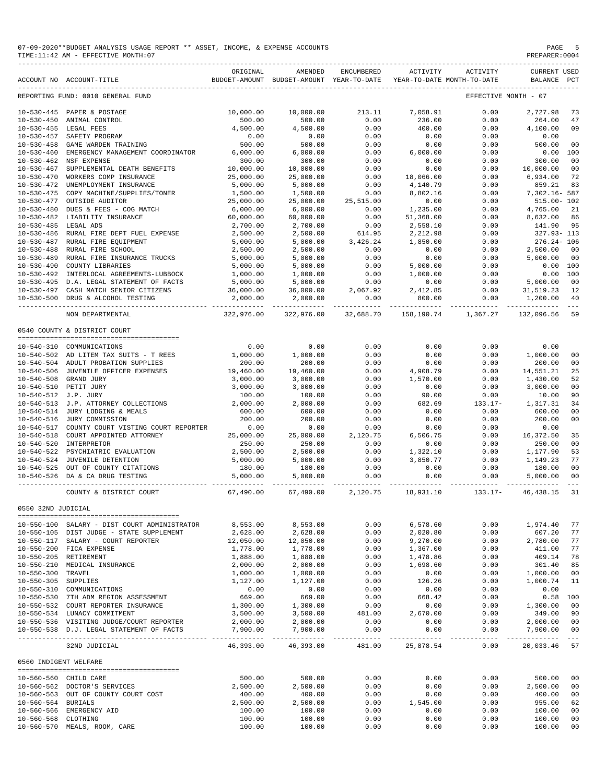| 07-09-2020**BUDGET ANALYSIS USAGE REPORT ** ASSET, INCOME,<br>r. EYDENCE<br><b>ACCOLINT</b> | PAGE |
|---------------------------------------------------------------------------------------------|------|
| TIME:11:42 AM - EFFECTIVE MONTH:07                                                          |      |
|                                                                                             |      |

|                                      | ACCOUNT NO ACCOUNT-TITLE                         | ORIGINAL               | AMENDED<br>BUDGET-AMOUNT BUDGET-AMOUNT YEAR-TO-DATE | <b>ENCUMBERED</b>     | ACTIVITY             | ACTIVITY<br>YEAR-TO-DATE MONTH-TO-DATE | <b>CURRENT USED</b><br>BALANCE   | $_{\rm PCT}$                                                                                                                                                                                                                                                                                                                                                                                       |
|--------------------------------------|--------------------------------------------------|------------------------|-----------------------------------------------------|-----------------------|----------------------|----------------------------------------|----------------------------------|----------------------------------------------------------------------------------------------------------------------------------------------------------------------------------------------------------------------------------------------------------------------------------------------------------------------------------------------------------------------------------------------------|
|                                      | REPORTING FUND: 0010 GENERAL FUND                |                        |                                                     |                       |                      |                                        | EFFECTIVE MONTH - 07             |                                                                                                                                                                                                                                                                                                                                                                                                    |
|                                      |                                                  |                        |                                                     |                       | 7.058.91             |                                        |                                  |                                                                                                                                                                                                                                                                                                                                                                                                    |
|                                      | 10-530-445 PAPER & POSTAGE                       | 10,000.00              | 10,000.00                                           | 213.11                |                      | 0.00                                   | 2,727.98                         | 73                                                                                                                                                                                                                                                                                                                                                                                                 |
| $10 - 530 - 450$                     | ANIMAL CONTROL                                   | 500.00                 | 500.00                                              | 0.00                  | 236.00               | 0.00                                   | 264.00                           | 47                                                                                                                                                                                                                                                                                                                                                                                                 |
| $10 - 530 - 455$                     | LEGAL FEES                                       | 4,500.00               | 4,500.00                                            | 0.00                  | 400.00               | 0.00                                   | 4,100.00                         | 09                                                                                                                                                                                                                                                                                                                                                                                                 |
| $10 - 530 - 457$                     | SAFETY PROGRAM                                   | 0.00                   | 0.00                                                | 0.00                  | 0.00                 | 0.00                                   | 0.00                             |                                                                                                                                                                                                                                                                                                                                                                                                    |
| $10 - 530 - 458$                     | GAME WARDEN TRAINING                             | 500.00                 | 500.00                                              | 0.00                  | 0.00                 | 0.00                                   | 500.00                           | 00                                                                                                                                                                                                                                                                                                                                                                                                 |
| $10 - 530 - 460$                     | EMERGENCY MANAGEMENT COORDINATOR                 | 6,000.00               | 6,000.00                                            | 0.00                  | 6,000.00             | 0.00                                   | 0.00                             | 100                                                                                                                                                                                                                                                                                                                                                                                                |
| $10 - 530 - 462$                     | NSF EXPENSE                                      | 300.00                 | 300.00                                              | 0.00                  | 0.00                 | 0.00                                   | 300.00                           | 00                                                                                                                                                                                                                                                                                                                                                                                                 |
| $10 - 530 - 467$                     | SUPPLEMENTAL DEATH BENEFITS                      | 10,000.00              | 10,000.00                                           | 0.00                  | 0.00                 | 0.00                                   | 10,000.00                        | 0 <sub>0</sub>                                                                                                                                                                                                                                                                                                                                                                                     |
| $10 - 530 - 470$                     | WORKERS COMP INSURANCE                           | 25,000.00              | 25,000.00                                           | 0.00                  | 18,066.00            | 0.00                                   | 6.934.00                         | 72                                                                                                                                                                                                                                                                                                                                                                                                 |
| $10 - 530 - 472$                     | UNEMPLOYMENT INSURANCE                           | 5,000.00               | 5,000.00                                            | 0.00                  | 4,140.79             | 0.00                                   | 859.21                           | 83                                                                                                                                                                                                                                                                                                                                                                                                 |
| $10 - 530 - 475$                     | COPY MACHINE/SUPPLIES/TONER                      | 1,500.00               | 1,500.00                                            | 0.00                  | 8,802.16             | 0.00                                   | 7,302.16- 587                    |                                                                                                                                                                                                                                                                                                                                                                                                    |
| $10 - 530 - 477$                     | OUTSIDE AUDITOR                                  | 25,000.00              | 25,000.00                                           | 25,515.00             | 0.00                 | 0.00                                   | $515.00 - 102$                   |                                                                                                                                                                                                                                                                                                                                                                                                    |
| $10 - 530 - 480$                     | DUES & FEES - COG MATCH                          | 6,000.00               | 6,000.00                                            | 0.00                  | 1,235.00             | 0.00                                   | 4,765.00                         | 21                                                                                                                                                                                                                                                                                                                                                                                                 |
| $10 - 530 - 482$                     | LIABILITY INSURANCE                              | 60,000.00              | 60,000.00                                           | 0.00                  | 51,368.00            | 0.00                                   | 8,632.00                         | 86                                                                                                                                                                                                                                                                                                                                                                                                 |
| $10 - 530 - 485$                     | LEGAL ADS                                        | 2,700.00               | 2,700.00                                            | 0.00                  | 2,558.10             | 0.00                                   | 141.90                           | 95                                                                                                                                                                                                                                                                                                                                                                                                 |
| $10 - 530 - 486$                     | RURAL FIRE DEPT FUEL EXPENSE                     | 2,500.00               | 2,500.00                                            | 614.95                | 2,212.98             | 0.00                                   | $327.93 - 113$                   |                                                                                                                                                                                                                                                                                                                                                                                                    |
| $10 - 530 - 487$                     | RURAL FIRE EOUIPMENT                             | 5,000.00               | 5,000.00                                            | 3,426.24              | 1,850.00             | 0.00                                   | $276.24 - 106$                   |                                                                                                                                                                                                                                                                                                                                                                                                    |
| $10 - 530 - 488$                     | RURAL FIRE SCHOOL                                | 2,500.00               | 2,500.00                                            | 0.00                  | 0.00                 | 0.00                                   | 2,500.00                         | 00                                                                                                                                                                                                                                                                                                                                                                                                 |
| $10 - 530 - 489$                     | RURAL FIRE INSURANCE TRUCKS                      | 5,000.00               | 5,000.00                                            | 0.00                  | 0.00                 | 0.00                                   | 5,000.00                         | 0 <sup>0</sup>                                                                                                                                                                                                                                                                                                                                                                                     |
| $10 - 530 - 490$                     | COUNTY LIBRARIES                                 | 5,000.00               | 5,000.00                                            | 0.00                  | 5,000.00             | 0.00                                   | 0.00                             | 100                                                                                                                                                                                                                                                                                                                                                                                                |
|                                      |                                                  |                        |                                                     |                       |                      |                                        |                                  |                                                                                                                                                                                                                                                                                                                                                                                                    |
| $10 - 530 - 492$                     | INTERLOCAL AGREEMENTS-LUBBOCK                    | 1,000.00               | 1,000.00                                            | 0.00                  | 1,000.00             | 0.00                                   | 0.00                             | 100                                                                                                                                                                                                                                                                                                                                                                                                |
| $10 - 530 - 495$                     | D.A. LEGAL STATEMENT OF FACTS                    | 5,000.00               | 5,000.00                                            | 0.00                  | 0.00                 | 0.00                                   | 5,000.00                         | 0 <sup>0</sup>                                                                                                                                                                                                                                                                                                                                                                                     |
|                                      | 10-530-497 CASH MATCH SENIOR CITIZENS            | 36,000.00              | 36,000.00                                           | 2,067.92              | 2,412.85             | 0.00                                   | 31,519.23                        | 12                                                                                                                                                                                                                                                                                                                                                                                                 |
| $10 - 530 - 500$                     | DRUG & ALCOHOL TESTING                           | 2,000.00               | 2,000.00                                            | 0.00                  | 800.00               | 0.00                                   | 1,200.00                         | 40                                                                                                                                                                                                                                                                                                                                                                                                 |
|                                      | NON DEPARTMENTAL                                 | 322,976.00             | 322,976.00                                          | 32,688.70             | 158,190.74           | 1,367.27                               | 132,096.56                       | 59                                                                                                                                                                                                                                                                                                                                                                                                 |
|                                      | 0540 COUNTY & DISTRICT COURT                     |                        |                                                     |                       |                      |                                        |                                  |                                                                                                                                                                                                                                                                                                                                                                                                    |
|                                      |                                                  |                        |                                                     |                       |                      |                                        |                                  |                                                                                                                                                                                                                                                                                                                                                                                                    |
| $10 - 540 - 310$                     | COMMUNICATIONS                                   | 0.00                   | 0.00                                                | 0.00                  | 0.00                 | 0.00                                   | 0.00                             |                                                                                                                                                                                                                                                                                                                                                                                                    |
|                                      | 10-540-502 AD LITEM TAX SUITS - T REES           | 1,000.00               | 1,000.00                                            | 0.00                  | 0.00                 | 0.00                                   | 1,000.00                         | 00                                                                                                                                                                                                                                                                                                                                                                                                 |
|                                      | 10-540-504 ADULT PROBATION SUPPLIES              | 200.00                 | 200.00                                              | 0.00                  | 0.00                 | 0.00                                   | 200.00                           | 0 <sub>0</sub>                                                                                                                                                                                                                                                                                                                                                                                     |
| $10 - 540 - 506$                     | JUVENILE OFFICER EXPENSES                        | 19,460.00              | 19,460.00                                           | 0.00                  | 4,908.79             | 0.00                                   | 14,551.21                        | 25                                                                                                                                                                                                                                                                                                                                                                                                 |
| $10 - 540 - 508$                     | GRAND JURY                                       | 3,000.00               | 3,000.00                                            | 0.00                  | 1,570.00             | 0.00                                   | 1,430.00                         | 52                                                                                                                                                                                                                                                                                                                                                                                                 |
| $10 - 540 - 510$                     | PETIT JURY                                       | 3,000.00               | 3,000.00                                            | 0.00                  | 0.00                 | 0.00                                   | 3,000.00                         | 0 <sub>0</sub>                                                                                                                                                                                                                                                                                                                                                                                     |
| 10-540-512 J.P. JURY                 |                                                  | 100.00                 | 100.00                                              | 0.00                  | 90.00                | 0.00                                   | 10.00                            | 90                                                                                                                                                                                                                                                                                                                                                                                                 |
|                                      | 10-540-513 J.P. ATTORNEY COLLECTIONS             | 2,000.00               | 2,000.00                                            | 0.00                  | 682.69               | $133.17-$                              | 1,317.31                         | 34                                                                                                                                                                                                                                                                                                                                                                                                 |
| $10 - 540 - 514$                     | JURY LODGING & MEALS                             | 600.00                 | 600.00                                              | 0.00                  | 0.00                 | 0.00                                   | 600.00                           | 00                                                                                                                                                                                                                                                                                                                                                                                                 |
| $10 - 540 - 516$                     | JURY COMMISSION                                  | 200.00                 | 200.00                                              | 0.00                  | 0.00                 | 0.00                                   | 200.00                           | 0 <sub>0</sub>                                                                                                                                                                                                                                                                                                                                                                                     |
| $10 - 540 - 517$                     | COUNTY COURT VISTING COURT REPORTER              | 0.00                   | 0.00                                                | 0.00                  | 0.00                 | 0.00                                   | 0.00                             |                                                                                                                                                                                                                                                                                                                                                                                                    |
|                                      |                                                  |                        |                                                     | 2,120.75              | 6,506.75             | 0.00                                   |                                  |                                                                                                                                                                                                                                                                                                                                                                                                    |
| $10 - 540 - 518$<br>$10 - 540 - 520$ | COURT APPOINTED ATTORNEY<br><b>INTERPRETOR</b>   | 25,000.00              | 25,000.00                                           |                       |                      |                                        | 16,372.50                        | 35                                                                                                                                                                                                                                                                                                                                                                                                 |
|                                      |                                                  | 250.00                 | 250.00                                              | 0.00                  | 0.00                 | 0.00                                   | 250.00                           | 00                                                                                                                                                                                                                                                                                                                                                                                                 |
| $10 - 540 - 522$                     | PSYCHIATRIC EVALUATION                           | 2,500.00               | 2,500.00                                            | 0.00                  | 1,322.10             | 0.00                                   | 1,177.90                         | 53                                                                                                                                                                                                                                                                                                                                                                                                 |
| $10 - 540 - 524$                     | JUVENILE DETENTION                               | 5,000.00               | 5,000.00                                            | 0.00                  | 3,850.77             | 0.00                                   | 1,149.23                         | 77                                                                                                                                                                                                                                                                                                                                                                                                 |
| $10 - 540 - 525$                     | OUT OF COUNTY CITATIONS                          | 180.00                 | 180.00                                              | 0.00                  | 0.00                 | 0.00                                   | 180.00                           | 0 <sub>0</sub>                                                                                                                                                                                                                                                                                                                                                                                     |
| $10 - 540 - 526$                     | DA & CA DRUG TESTING                             | 5,000.00               | 5,000.00                                            | 0.00                  | 0.00                 | 0.00                                   | 5,000.00                         | 0 <sub>0</sub>                                                                                                                                                                                                                                                                                                                                                                                     |
|                                      | COUNTY & DISTRICT COURT                          | 67,490.00              | 67,490.00                                           | 2,120.75              | 18,931.10            | $133.17-$                              | 46, 438.15                       | 31                                                                                                                                                                                                                                                                                                                                                                                                 |
|                                      |                                                  |                        |                                                     |                       |                      |                                        |                                  |                                                                                                                                                                                                                                                                                                                                                                                                    |
| 0550 32ND JUDICIAL                   |                                                  |                        |                                                     |                       |                      |                                        |                                  |                                                                                                                                                                                                                                                                                                                                                                                                    |
|                                      | 10-550-100 SALARY - DIST COURT ADMINISTRATOR     | 8,553.00               | 8,553.00                                            | 0.00                  | 6,578.60             | 0.00                                   | 1,974.40                         | 77                                                                                                                                                                                                                                                                                                                                                                                                 |
|                                      | 10-550-105 DIST JUDGE - STATE SUPPLEMENT         | 2,628.00               | 2,628.00                                            | 0.00                  | 2,020.80             | 0.00                                   | 607.20                           | 77                                                                                                                                                                                                                                                                                                                                                                                                 |
|                                      | 10-550-117 SALARY - COURT REPORTER               | 12,050.00              | 12,050.00                                           | 0.00                  | 9,270.00             | 0.00                                   | 2,780.00                         | 77                                                                                                                                                                                                                                                                                                                                                                                                 |
|                                      |                                                  |                        |                                                     |                       |                      |                                        |                                  | 77                                                                                                                                                                                                                                                                                                                                                                                                 |
|                                      | 10-550-200 FICA EXPENSE<br>10-550-205 RETIREMENT | 1,778.00<br>1,888.00   | 1,778.00<br>1,888.00                                | 0.00<br>0.00          | 1,367.00<br>1,478.86 | 0.00<br>0.00                           | 411.00<br>409.14                 | 78                                                                                                                                                                                                                                                                                                                                                                                                 |
|                                      |                                                  |                        |                                                     |                       |                      |                                        |                                  |                                                                                                                                                                                                                                                                                                                                                                                                    |
| $10 - 550 - 210$                     | MEDICAL INSURANCE                                | 2,000.00               | 2,000.00                                            | 0.00                  | 1,698.60             | 0.00                                   | 301.40                           | 85                                                                                                                                                                                                                                                                                                                                                                                                 |
| $10 - 550 - 300$                     | TRAVEL                                           | 1,000.00               | 1,000.00                                            | 0.00                  | 0.00                 | 0.00                                   | 1,000.00                         | 00                                                                                                                                                                                                                                                                                                                                                                                                 |
| 10-550-305 SUPPLIES                  |                                                  | 1,127.00               | 1,127.00                                            | 0.00                  | 126.26               | 0.00                                   | 1,000.74                         | 11                                                                                                                                                                                                                                                                                                                                                                                                 |
|                                      | 10-550-310 COMMUNICATIONS                        | 0.00                   | 0.00                                                | 0.00                  | 0.00                 | 0.00                                   | 0.00                             |                                                                                                                                                                                                                                                                                                                                                                                                    |
|                                      | 10-550-530 7TH ADM REGION ASSESSMENT             | 669.00                 | 669.00                                              | 0.00                  | 668.42               | 0.00                                   | 0.58                             | 100                                                                                                                                                                                                                                                                                                                                                                                                |
|                                      | 10-550-532 COURT REPORTER INSURANCE              | 1,300.00               | 1,300.00                                            | 0.00                  | 0.00                 | 0.00                                   | 1,300.00                         | 00                                                                                                                                                                                                                                                                                                                                                                                                 |
|                                      | 10-550-534 LUNACY COMMITMENT                     | 3,500.00               | 3,500.00                                            | 481.00                | 2,670.00             | 0.00                                   | 349.00                           | 90                                                                                                                                                                                                                                                                                                                                                                                                 |
|                                      | 10-550-536 VISITING JUDGE/COURT REPORTER         | 2,000.00               | 2,000.00                                            | 0.00                  | 0.00                 | 0.00                                   | 2,000.00                         | 00                                                                                                                                                                                                                                                                                                                                                                                                 |
|                                      | 10-550-538 D.J. LEGAL STATEMENT OF FACTS         | 7,900.00               | 7,900.00                                            | 0.00                  | 0.00                 | 0.00                                   | 7,900.00                         | 00                                                                                                                                                                                                                                                                                                                                                                                                 |
|                                      | 32ND JUDICIAL                                    | ---------<br>46,393.00 | ----------<br>46,393.00                             | $- - - - -$<br>481.00 | ------<br>25,878.54  | -----<br>0.00                          | $- - - - - - - - -$<br>20,033.46 | $\frac{1}{2} \frac{1}{2} \frac{1}{2} \frac{1}{2} \frac{1}{2} \frac{1}{2} \frac{1}{2} \frac{1}{2} \frac{1}{2} \frac{1}{2} \frac{1}{2} \frac{1}{2} \frac{1}{2} \frac{1}{2} \frac{1}{2} \frac{1}{2} \frac{1}{2} \frac{1}{2} \frac{1}{2} \frac{1}{2} \frac{1}{2} \frac{1}{2} \frac{1}{2} \frac{1}{2} \frac{1}{2} \frac{1}{2} \frac{1}{2} \frac{1}{2} \frac{1}{2} \frac{1}{2} \frac{1}{2} \frac{$<br>57 |
| 0560 INDIGENT WELFARE                |                                                  |                        |                                                     |                       |                      |                                        |                                  |                                                                                                                                                                                                                                                                                                                                                                                                    |
|                                      |                                                  |                        |                                                     |                       |                      |                                        |                                  |                                                                                                                                                                                                                                                                                                                                                                                                    |
|                                      | 10-560-560 CHILD CARE                            | 500.00                 | 500.00                                              | 0.00                  | 0.00                 | 0.00                                   | 500.00                           | 00                                                                                                                                                                                                                                                                                                                                                                                                 |
|                                      | 10-560-562 DOCTOR'S SERVICES                     | 2,500.00               | 2,500.00                                            | 0.00                  | 0.00                 | 0.00                                   | 2,500.00                         | 00                                                                                                                                                                                                                                                                                                                                                                                                 |
|                                      | 10-560-563 OUT OF COUNTY COURT COST              | 400.00                 | 400.00                                              | 0.00                  | 0.00                 | 0.00                                   | 400.00                           | 00                                                                                                                                                                                                                                                                                                                                                                                                 |
| 10-560-564 BURIALS                   |                                                  | 2,500.00               | 2,500.00                                            | 0.00                  | 1,545.00             | 0.00                                   | 955.00                           | 62                                                                                                                                                                                                                                                                                                                                                                                                 |
|                                      | 10-560-566 EMERGENCY AID                         | 100.00                 | 100.00                                              | 0.00                  | 0.00                 | 0.00                                   | 100.00                           | 00                                                                                                                                                                                                                                                                                                                                                                                                 |
| 10-560-568                           | CLOTHING                                         | 100.00                 | 100.00                                              | 0.00                  | 0.00                 | 0.00                                   | 100.00                           | 00                                                                                                                                                                                                                                                                                                                                                                                                 |
| $10 - 560 - 570$                     | MEALS, ROOM, CARE                                | 100.00                 | 100.00                                              | 0.00                  | 0.00                 | 0.00                                   | 100.00                           | 00                                                                                                                                                                                                                                                                                                                                                                                                 |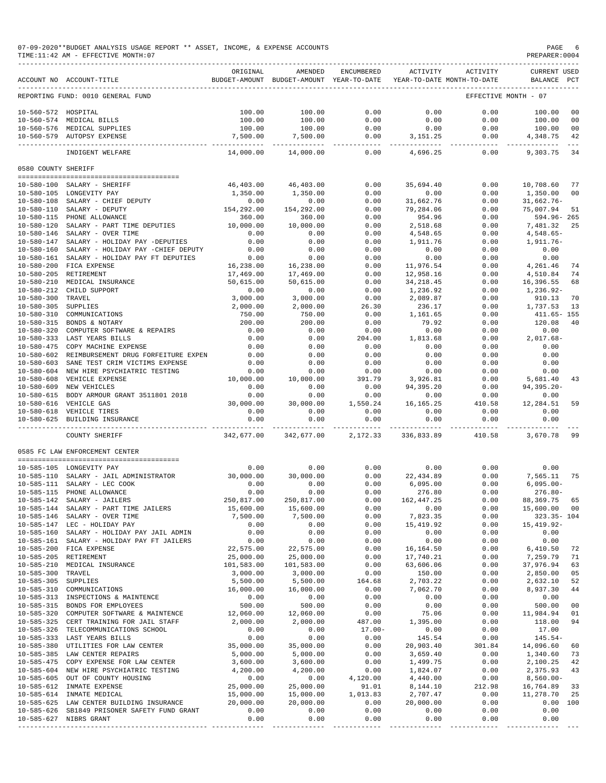07-09-2020\*\*BUDGET ANALYSIS USAGE REPORT \*\* ASSET, INCOME, & EXPENSE ACCOUNTS PAGE 6 PAGE 6 PAGE 6 PAGE 6 PAGE

 $TIME:11:42 AM - EFFECTIVE MOMTH:07$ 

|                                      | ACCOUNT NO ACCOUNT-TITLE                               | ORIGINAL                | AMENDED<br>BUDGET-AMOUNT BUDGET-AMOUNT YEAR-TO-DATE | ENCUMBERED        | ACTIVITY               | ACTIVITY<br>YEAR-TO-DATE MONTH-TO-DATE | <b>CURRENT USED</b><br>BALANCE PCT |                      |
|--------------------------------------|--------------------------------------------------------|-------------------------|-----------------------------------------------------|-------------------|------------------------|----------------------------------------|------------------------------------|----------------------|
|                                      | REPORTING FUND: 0010 GENERAL FUND                      |                         |                                                     |                   |                        |                                        | EFFECTIVE MONTH - 07               |                      |
|                                      |                                                        |                         |                                                     |                   | 0.00                   | 0.00                                   |                                    |                      |
| 10-560-572 HOSPITAL                  | 10-560-574 MEDICAL BILLS                               | 100.00<br>100.00        | 100.00<br>100.00                                    | 0.00<br>0.00      | 0.00                   | 0.00                                   | 100.00<br>100.00                   | 00<br>0 <sub>0</sub> |
| 10-560-576                           | MEDICAL SUPPLIES                                       | 100.00                  | 100.00                                              | 0.00              | 0.00                   | 0.00                                   | 100.00                             | 0 <sup>0</sup>       |
|                                      | 10-560-579 AUTOPSY EXPENSE                             | 7,500.00                | 7,500.00                                            | 0.00              | 3, 151. 25             | 0.00                                   | 4,348.75                           | 42                   |
|                                      |                                                        | ______________          |                                                     | $- - - -$         |                        |                                        |                                    |                      |
|                                      | INDIGENT WELFARE                                       | 14,000.00               | 14,000.00                                           | 0.00              | 4,696.25               | 0.00                                   | 9,303.75                           | 34                   |
| 0580 COUNTY SHERIFF                  |                                                        |                         |                                                     |                   |                        |                                        |                                    |                      |
| $10 - 580 - 100$                     | SALARY - SHERIFF                                       | 46,403.00               | 46,403.00                                           | 0.00              | 35,694.40              | 0.00                                   | 10,708.60                          | 77                   |
|                                      | 10-580-105 LONGEVITY PAY                               | 1,350.00                | 1,350.00                                            | 0.00              | 0.00                   | 0.00                                   | 1,350.00                           | 0 <sup>0</sup>       |
| $10 - 580 - 108$                     | SALARY - CHIEF DEPUTY                                  | 0.00                    | 0.00                                                | 0.00              | 31,662.76              | 0.00                                   | $31,662.76-$                       |                      |
| $10 - 580 - 110$                     | SALARY - DEPUTY                                        | 154,292.00              | 154,292.00                                          | 0.00              | 79,284.06              | 0.00                                   | 75,007.94                          | 51                   |
| $10 - 580 - 115$                     | PHONE ALLOWANCE                                        | 360.00                  | 360.00                                              | 0.00              | 954.96                 | 0.00                                   | 594.96-265                         |                      |
| $10 - 580 - 120$                     | SALARY - PART TIME DEPUTIES                            | 10,000.00               | 10,000.00                                           | 0.00              | 2,518.68               | 0.00                                   | 7,481.32                           | 25                   |
| $10 - 580 - 146$                     | SALARY - OVER TIME                                     | 0.00                    | 0.00                                                | 0.00              | 4,548.65               | 0.00                                   | $4,548.65-$                        |                      |
| $10 - 580 - 147$                     | SALARY - HOLIDAY PAY -DEPUTIES                         | 0.00                    | 0.00                                                | 0.00              | 1,911.76               | 0.00                                   | 1,911.76-                          |                      |
| $10 - 580 - 160$                     | SALARY - HOLIDAY PAY -CHIEF DEPUTY                     | 0.00                    | 0.00                                                | 0.00              | 0.00                   | 0.00                                   | 0.00                               |                      |
| $10 - 580 - 161$                     | SALARY - HOLIDAY PAY FT DEPUTIES                       | 0.00                    | 0.00                                                | 0.00              | 0.00                   | 0.00                                   | 0.00                               |                      |
| $10 - 580 - 200$                     | FICA EXPENSE                                           | 16,238.00               | 16,238.00                                           | 0.00              | 11,976.54              | 0.00                                   | 4,261.46                           | 74                   |
| $10 - 580 - 205$                     | RETIREMENT                                             | 17,469.00               | 17,469.00                                           | 0.00              | 12,958.16              | 0.00                                   | 4,510.84                           | 74                   |
| $10 - 580 - 210$                     | MEDICAL INSURANCE                                      | 50,615.00               | 50,615.00                                           | 0.00              | 34, 218.45             | 0.00                                   | 16,396.55                          | 68                   |
| $10 - 580 - 212$                     | CHILD SUPPORT                                          | 0.00                    | 0.00                                                | 0.00              | 1,236.92               | 0.00                                   | 1,236.92-                          |                      |
| $10 - 580 - 300$                     | TRAVEL                                                 | 3,000.00                | 3,000.00                                            | 0.00              | 2,089.87               | 0.00                                   | 910.13                             | 70                   |
| $10 - 580 - 305$                     | SUPPLIES                                               | 2,000.00                | 2,000.00                                            | 26.30             | 236.17                 | 0.00                                   | 1,737.53                           | 13                   |
| $10 - 580 - 310$                     | COMMUNICATIONS                                         | 750.00                  | 750.00                                              | 0.00              | 1,161.65               | 0.00                                   | 411.65- 155                        | 40                   |
| $10 - 580 - 315$<br>$10 - 580 - 320$ | BONDS & NOTARY<br>COMPUTER SOFTWARE & REPAIRS          | 200.00<br>0.00          | 200.00<br>0.00                                      | 0.00<br>0.00      | 79.92<br>0.00          | 0.00<br>0.00                           | 120.08<br>0.00                     |                      |
| $10 - 580 - 333$                     | LAST YEARS BILLS                                       | 0.00                    | 0.00                                                | 204.00            | 1,813.68               | 0.00                                   | $2,017.68-$                        |                      |
| $10 - 580 - 475$                     | COPY MACHINE EXPENSE                                   | 0.00                    | 0.00                                                | 0.00              | 0.00                   | 0.00                                   | 0.00                               |                      |
| $10 - 580 - 602$                     | REIMBURSEMENT DRUG FORFEITURE EXPEN                    | 0.00                    | 0.00                                                | 0.00              | 0.00                   | 0.00                                   | 0.00                               |                      |
| $10 - 580 - 603$                     | SANE TEST CRIM VICTIMS EXPENSE                         | 0.00                    | 0.00                                                | 0.00              | 0.00                   | 0.00                                   | 0.00                               |                      |
| $10 - 580 - 604$                     | NEW HIRE PSYCHIATRIC TESTING                           | 0.00                    | 0.00                                                | 0.00              | 0.00                   | 0.00                                   | 0.00                               |                      |
| $10 - 580 - 608$                     | VEHICLE EXPENSE                                        | 10,000.00               | 10,000.00                                           | 391.79            | 3,926.81               | 0.00                                   | 5,681.40                           | 43                   |
| $10 - 580 - 609$                     | NEW VEHICLES                                           | 0.00                    | 0.00                                                | 0.00              | 94,395.20              | 0.00                                   | $94, 395.20 -$                     |                      |
| $10 - 580 - 615$                     | BODY ARMOUR GRANT 3511801 2018                         | 0.00                    | 0.00                                                | 0.00              | 0.00                   | 0.00                                   | 0.00                               |                      |
|                                      | 10-580-616 VEHICLE GAS                                 | 30,000.00               | 30,000.00                                           | 1,550.24          | 16, 165. 25            | 410.58                                 | 12,284.51                          | 59                   |
| $10 - 580 - 618$<br>$10 - 580 - 625$ | VEHICLE TIRES<br>BUILDING INSURANCE                    | 0.00<br>0.00            | 0.00<br>0.00                                        | 0.00<br>0.00      | 0.00<br>0.00           | 0.00<br>0.00                           | 0.00<br>0.00                       |                      |
|                                      |                                                        | - - - - - - - - - - -   |                                                     | $- - - - - -$     |                        |                                        |                                    |                      |
|                                      | COUNTY SHERIFF                                         | 342,677.00              | 342,677.00                                          | 2,172.33          | 336,833.89             | 410.58                                 | 3,670.78                           | 99                   |
|                                      | 0585 FC LAW ENFORCEMENT CENTER                         |                         |                                                     |                   |                        |                                        |                                    |                      |
|                                      | 10-585-105 LONGEVITY PAY                               | 0.00                    | 0.00                                                | 0.00              | 0.00                   | 0.00                                   | 0.00                               |                      |
| $10 - 585 - 110$                     | SALARY - JAIL ADMINISTRATOR                            | 30,000.00               | 30,000.00                                           | 0.00              | 22,434.89              | 0.00                                   | 7,565.11                           | 75                   |
| $10 - 585 - 111$                     | SALARY - LEC COOK                                      | 0.00                    | 0.00                                                | 0.00              | 6,095.00               | 0.00                                   | $6,095.00-$                        |                      |
| $10 - 585 - 115$                     | PHONE ALLOWANCE                                        | 0.00                    | 0.00                                                | 0.00              | 276.80                 | 0.00                                   | $276.80 -$                         |                      |
| $10 - 585 - 142$                     | SALARY - JAILERS                                       | 250,817.00              | 250,817.00                                          | 0.00              | 162, 447.25            | 0.00                                   | 88, 369. 75                        | 65                   |
| $10 - 585 - 144$                     | SALARY - PART TIME JAILERS                             | 15,600.00               | 15,600.00                                           | 0.00              | 0.00                   | 0.00                                   | 15,600.00                          | 00                   |
|                                      | 10-585-146 SALARY - OVER TIME                          | 7,500.00                | 7,500.00                                            | 0.00              | 7,823.35               | 0.00                                   | $323.35 - 104$                     |                      |
|                                      | 10-585-147 LEC - HOLIDAY PAY                           | 0.00                    | 0.00                                                | 0.00              | 15,419.92              | 0.00                                   | 15, 419.92-                        |                      |
|                                      | 10-585-160 SALARY - HOLIDAY PAY JAIL ADMIN             | 0.00                    | 0.00                                                | 0.00              | 0.00                   | 0.00                                   | 0.00                               |                      |
|                                      | 10-585-161 SALARY - HOLIDAY PAY FT JAILERS             | 0.00                    | 0.00                                                | 0.00              | 0.00                   | 0.00                                   | 0.00                               |                      |
|                                      | 10-585-200 FICA EXPENSE                                | 22,575.00               | 22,575.00                                           | 0.00              | 16, 164.50             | 0.00                                   | 6,410.50                           | 72<br>71             |
| $10 - 585 - 210$                     | 10-585-205 RETIREMENT<br>MEDICAL INSURANCE             | 25,000.00<br>101,583.00 | 25,000.00<br>101,583.00                             | 0.00<br>0.00      | 17,740.21<br>63,606.06 | 0.00<br>0.00                           | 7,259.79<br>37,976.94              | 63                   |
| $10 - 585 - 300$                     | TRAVEL                                                 | 3,000.00                | 3,000.00                                            | 0.00              | 150.00                 | 0.00                                   | 2,850.00                           | 05                   |
| 10-585-305 SUPPLIES                  |                                                        | 5,500.00                | 5,500.00                                            | 164.68            | 2,703.22               | 0.00                                   | 2,632.10                           | 52                   |
| $10 - 585 - 310$                     | COMMUNICATIONS                                         | 16,000.00               | 16,000.00                                           | 0.00              | 7,062.70               | 0.00                                   | 8,937.30                           | 44                   |
|                                      | 10-585-313 INSPECTIONS & MAINTENCE                     | 0.00                    | 0.00                                                | 0.00              | 0.00                   | 0.00                                   | 0.00                               |                      |
|                                      | 10-585-315 BONDS FOR EMPLOYEES                         | 500.00                  | 500.00                                              | 0.00              | 0.00                   | 0.00                                   | 500.00                             | 0 <sub>0</sub>       |
|                                      | 10-585-320 COMPUTER SOFTWARE & MAINTENCE               | 12,060.00               | 12,060.00                                           | 0.00              | 75.06                  | 0.00                                   | 11,984.94                          | 01                   |
|                                      | 10-585-325 CERT TRAINING FOR JAIL STAFF                | 2,000.00                | 2,000.00                                            | 487.00            | 1,395.00               | 0.00                                   | 118.00                             | 94                   |
|                                      | 10-585-326 TELECOMMUNICATIONS SCHOOL                   | 0.00                    | 0.00                                                | $17.00 -$         | 0.00                   | 0.00                                   | 17.00                              |                      |
|                                      | 10-585-333 LAST YEARS BILLS                            | 0.00                    | 0.00                                                | 0.00              | 145.54                 | 0.00                                   | $145.54-$                          |                      |
|                                      | 10-585-380 UTILITIES FOR LAW CENTER                    | 35,000.00               | 35,000.00                                           | 0.00              | 20,903.40              | 301.84                                 | 14,096.60                          | 60                   |
|                                      | 10-585-385 LAW CENTER REPAIRS                          | 5,000.00                | 5,000.00                                            | 0.00              | 3,659.40               | 0.00                                   | 1,340.60                           | 73                   |
|                                      | 10-585-475 COPY EXPENSE FOR LAW CENTER                 | 3,600.00                | 3,600.00                                            | 0.00              | 1,499.75               | 0.00                                   | 2,100.25                           | 42                   |
|                                      | 10-585-604 NEW HIRE PSYCHIATRIC TESTING                | 4,200.00                | 4,200.00                                            | 0.00              | 1,824.07               | 0.00                                   | 2,375.93                           | 43                   |
|                                      | 10-585-605 OUT OF COUNTY HOUSING                       | 0.00                    | 0.00                                                | 4,120.00          | 4,440.00               | 0.00                                   | $8,560.00 -$                       |                      |
|                                      | 10-585-612 INMATE EXPENSE<br>10-585-614 INMATE MEDICAL | 25,000.00<br>15,000.00  | 25,000.00<br>15,000.00                              | 91.01<br>1,013.83 | 8,144.10<br>2,707.47   | 212.98<br>0.00                         | 16,764.89<br>11,278.70             | 33<br>25             |
|                                      | 10-585-625 LAW CENTER BUILDING INSURANCE               | 20,000.00               | 20,000.00                                           | 0.00              | 20,000.00              | 0.00                                   | 0.00 100                           |                      |
|                                      | 10-585-626 SB1849 PRISONER SAFETY FUND GRANT           | 0.00                    | 0.00                                                | 0.00              | 0.00                   | 0.00                                   | 0.00                               |                      |
|                                      | 10-585-627 NIBRS GRANT                                 | 0.00                    | 0.00                                                | 0.00              | 0.00                   | 0.00                                   | 0.00                               |                      |

----------------------------------------------- ------------- ------------- ------------ ------------- ------------ ------------- ---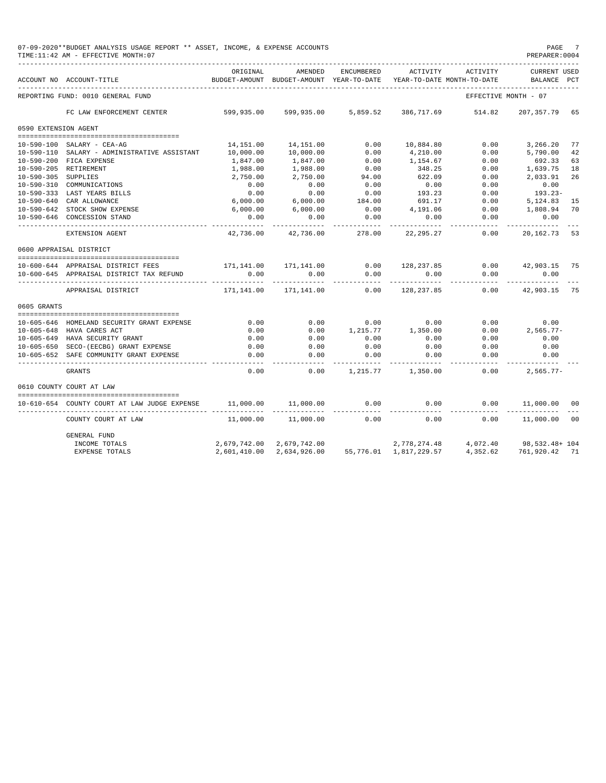| ORIGINAL<br><b>ENCUMBERED</b><br>ACTIVITY<br>ACTIVITY<br><b>CURRENT USED</b><br>AMENDED<br>ACCOUNT NO ACCOUNT-TITLE<br>BUDGET-AMOUNT<br>BUDGET-AMOUNT YEAR-TO-DATE<br>YEAR-TO-DATE MONTH-TO-DATE<br>BALANCE<br>PCT<br>REPORTING FUND: 0010 GENERAL FUND<br>EFFECTIVE MONTH - 07<br>599,935.00 599,935.00 5,859.52 386,717.69 514.82<br>FC LAW ENFORCEMENT CENTER<br>207,357.79 65<br>0590 EXTENSION AGENT<br>14, 151.00 14, 151.00<br>0.00<br>10,884.80<br>0.00<br>3,266.20<br>77<br>10-590-100 SALARY - CEA-AG<br>10,000.00<br>0.00<br>0.00<br>5,790.00<br>10-590-110 SALARY - ADMINISTRATIVE ASSISTANT<br>10,000.00<br>4,210.00<br>10-590-200 FICA EXPENSE<br>1,847.00<br>0.00<br>1,154.67<br>0.00<br>692.33<br>1,847.00<br>10-590-205 RETIREMENT<br>1,988.00<br>0.00<br>348.25<br>0.00<br>1,639.75 18<br>1,988.00<br>94.00<br>622.09<br>2,750.00<br>0.00<br>2,033.91<br>10-590-305 SUPPLIES<br>2,750.00<br>0.00<br>0.00<br>0.00<br>10-590-310 COMMUNICATIONS<br>0.00<br>0.00<br>0.00<br>$0.00$<br>6,000.00<br>0.00<br>193.23<br>0.00<br>193.23-<br>0.00<br>10-590-333 LAST YEARS BILLS<br>6,000.00<br>184.00<br>691.17<br>10-590-640 CAR ALLOWANCE<br>0.00<br>5,124.83<br>6,000.00<br>6,000.00<br>0.00<br>4,191.06<br>10-590-642 STOCK SHOW EXPENSE<br>0.00<br>1,808.94<br>10-590-646 CONCESSION STAND<br>0.00<br>0.00<br>0.00<br>0.00<br>0.00<br>0.00<br>0.00<br>42,736.00<br>42,736.00<br>278.00<br>22,295.27<br>20, 162. 73 53<br>EXTENSION AGENT<br>0600 APPRAISAL DISTRICT<br>--------------------------------------<br>10-600-644 APPRAISAL DISTRICT FEES<br>$0.00$ $42,903.15$ 75<br>0.00<br>0.00<br>0.00<br>0.00<br>0.00<br>0.00<br>10-600-645 APPRAISAL DISTRICT TAX REFUND<br>-------<br>------------<br>__________<br>__________<br>. _ _ _ _ _ _ _ _ _ _<br>----------<br>0.00<br>171,141.00<br>0.00<br>128,237.85<br>42,903.15 75<br>APPRAISAL DISTRICT<br>171,141.00<br>0605 GRANTS<br>0.00<br>0.00<br>0.00<br>0.00<br>0.00<br>0.00<br>10-605-646 HOMELAND SECURITY GRANT EXPENSE<br>0.00<br>1,215.77 1,350.00<br>$2,565.77-$<br>10-605-648 HAVA CARES ACT<br>0.00<br>0.00<br>10-605-649 HAVA SECURITY GRANT<br>0.00<br>0.00<br>0.00<br>0.00<br>0.00<br>0.00<br>0.00<br>$0.00$<br>0.00<br>0.00<br>0.00<br>10-605-650 SECO-(EECBG) GRANT EXPENSE<br>0.00<br>0.00<br>0.00<br>0.00<br>0.00<br>0.00<br>10-605-652 SAFE COMMUNITY GRANT EXPENSE<br>0.00<br>------<br>----------<br>-----------<br>0.00<br>0.00<br>0.00<br>$2,565.77-$<br><b>GRANTS</b><br>1,215.77 1,350.00<br>0610 COUNTY COURT AT LAW<br>11,000.00<br>0.00<br>0.00<br>0.00<br>11,000.00 00<br>10-610-654 COUNTY COURT AT LAW JUDGE EXPENSE<br>11,000.00<br>11,000.00<br>11,000.00<br>0.00<br>0.00<br>0.00<br>11,000.00<br>COUNTY COURT AT LAW<br><b>GENERAL FUND</b><br>2,679,742.00<br>2,679,742.00<br>2,778,274.48 4,072.40 98,532.48+104<br>INCOME TOTALS<br>4,352.62<br>761,920.42 71<br><b>EXPENSE TOTALS</b><br>2,601,410.00<br>2,634,926.00<br>55,776.01 1,817,229.57 | 07-09-2020**BUDGET ANALYSIS USAGE REPORT ** ASSET, INCOME, & EXPENSE ACCOUNTS<br>TIME:11:42 AM - EFFECTIVE MONTH:07 |  |  | PREPARER: 0004 | PAGE 7 |
|------------------------------------------------------------------------------------------------------------------------------------------------------------------------------------------------------------------------------------------------------------------------------------------------------------------------------------------------------------------------------------------------------------------------------------------------------------------------------------------------------------------------------------------------------------------------------------------------------------------------------------------------------------------------------------------------------------------------------------------------------------------------------------------------------------------------------------------------------------------------------------------------------------------------------------------------------------------------------------------------------------------------------------------------------------------------------------------------------------------------------------------------------------------------------------------------------------------------------------------------------------------------------------------------------------------------------------------------------------------------------------------------------------------------------------------------------------------------------------------------------------------------------------------------------------------------------------------------------------------------------------------------------------------------------------------------------------------------------------------------------------------------------------------------------------------------------------------------------------------------------------------------------------------------------------------------------------------------------------------------------------------------------------------------------------------------------------------------------------------------------------------------------------------------------------------------------------------------------------------------------------------------------------------------------------------------------------------------------------------------------------------------------------------------------------------------------------------------------------------------------------------------------------------------------------------------------------------------------------------------------------------------------------------------------------------------------------------------------------------------------------------------------------------------------------------------------------------------------------------------------------------------------------------------------------------------------------|---------------------------------------------------------------------------------------------------------------------|--|--|----------------|--------|
|                                                                                                                                                                                                                                                                                                                                                                                                                                                                                                                                                                                                                                                                                                                                                                                                                                                                                                                                                                                                                                                                                                                                                                                                                                                                                                                                                                                                                                                                                                                                                                                                                                                                                                                                                                                                                                                                                                                                                                                                                                                                                                                                                                                                                                                                                                                                                                                                                                                                                                                                                                                                                                                                                                                                                                                                                                                                                                                                                            |                                                                                                                     |  |  |                |        |
|                                                                                                                                                                                                                                                                                                                                                                                                                                                                                                                                                                                                                                                                                                                                                                                                                                                                                                                                                                                                                                                                                                                                                                                                                                                                                                                                                                                                                                                                                                                                                                                                                                                                                                                                                                                                                                                                                                                                                                                                                                                                                                                                                                                                                                                                                                                                                                                                                                                                                                                                                                                                                                                                                                                                                                                                                                                                                                                                                            |                                                                                                                     |  |  |                |        |
|                                                                                                                                                                                                                                                                                                                                                                                                                                                                                                                                                                                                                                                                                                                                                                                                                                                                                                                                                                                                                                                                                                                                                                                                                                                                                                                                                                                                                                                                                                                                                                                                                                                                                                                                                                                                                                                                                                                                                                                                                                                                                                                                                                                                                                                                                                                                                                                                                                                                                                                                                                                                                                                                                                                                                                                                                                                                                                                                                            |                                                                                                                     |  |  |                |        |
|                                                                                                                                                                                                                                                                                                                                                                                                                                                                                                                                                                                                                                                                                                                                                                                                                                                                                                                                                                                                                                                                                                                                                                                                                                                                                                                                                                                                                                                                                                                                                                                                                                                                                                                                                                                                                                                                                                                                                                                                                                                                                                                                                                                                                                                                                                                                                                                                                                                                                                                                                                                                                                                                                                                                                                                                                                                                                                                                                            |                                                                                                                     |  |  |                |        |
|                                                                                                                                                                                                                                                                                                                                                                                                                                                                                                                                                                                                                                                                                                                                                                                                                                                                                                                                                                                                                                                                                                                                                                                                                                                                                                                                                                                                                                                                                                                                                                                                                                                                                                                                                                                                                                                                                                                                                                                                                                                                                                                                                                                                                                                                                                                                                                                                                                                                                                                                                                                                                                                                                                                                                                                                                                                                                                                                                            |                                                                                                                     |  |  |                |        |
|                                                                                                                                                                                                                                                                                                                                                                                                                                                                                                                                                                                                                                                                                                                                                                                                                                                                                                                                                                                                                                                                                                                                                                                                                                                                                                                                                                                                                                                                                                                                                                                                                                                                                                                                                                                                                                                                                                                                                                                                                                                                                                                                                                                                                                                                                                                                                                                                                                                                                                                                                                                                                                                                                                                                                                                                                                                                                                                                                            |                                                                                                                     |  |  |                |        |
|                                                                                                                                                                                                                                                                                                                                                                                                                                                                                                                                                                                                                                                                                                                                                                                                                                                                                                                                                                                                                                                                                                                                                                                                                                                                                                                                                                                                                                                                                                                                                                                                                                                                                                                                                                                                                                                                                                                                                                                                                                                                                                                                                                                                                                                                                                                                                                                                                                                                                                                                                                                                                                                                                                                                                                                                                                                                                                                                                            |                                                                                                                     |  |  |                | 42     |
|                                                                                                                                                                                                                                                                                                                                                                                                                                                                                                                                                                                                                                                                                                                                                                                                                                                                                                                                                                                                                                                                                                                                                                                                                                                                                                                                                                                                                                                                                                                                                                                                                                                                                                                                                                                                                                                                                                                                                                                                                                                                                                                                                                                                                                                                                                                                                                                                                                                                                                                                                                                                                                                                                                                                                                                                                                                                                                                                                            |                                                                                                                     |  |  |                | 63     |
|                                                                                                                                                                                                                                                                                                                                                                                                                                                                                                                                                                                                                                                                                                                                                                                                                                                                                                                                                                                                                                                                                                                                                                                                                                                                                                                                                                                                                                                                                                                                                                                                                                                                                                                                                                                                                                                                                                                                                                                                                                                                                                                                                                                                                                                                                                                                                                                                                                                                                                                                                                                                                                                                                                                                                                                                                                                                                                                                                            |                                                                                                                     |  |  |                |        |
|                                                                                                                                                                                                                                                                                                                                                                                                                                                                                                                                                                                                                                                                                                                                                                                                                                                                                                                                                                                                                                                                                                                                                                                                                                                                                                                                                                                                                                                                                                                                                                                                                                                                                                                                                                                                                                                                                                                                                                                                                                                                                                                                                                                                                                                                                                                                                                                                                                                                                                                                                                                                                                                                                                                                                                                                                                                                                                                                                            |                                                                                                                     |  |  |                | 26     |
|                                                                                                                                                                                                                                                                                                                                                                                                                                                                                                                                                                                                                                                                                                                                                                                                                                                                                                                                                                                                                                                                                                                                                                                                                                                                                                                                                                                                                                                                                                                                                                                                                                                                                                                                                                                                                                                                                                                                                                                                                                                                                                                                                                                                                                                                                                                                                                                                                                                                                                                                                                                                                                                                                                                                                                                                                                                                                                                                                            |                                                                                                                     |  |  |                |        |
|                                                                                                                                                                                                                                                                                                                                                                                                                                                                                                                                                                                                                                                                                                                                                                                                                                                                                                                                                                                                                                                                                                                                                                                                                                                                                                                                                                                                                                                                                                                                                                                                                                                                                                                                                                                                                                                                                                                                                                                                                                                                                                                                                                                                                                                                                                                                                                                                                                                                                                                                                                                                                                                                                                                                                                                                                                                                                                                                                            |                                                                                                                     |  |  |                |        |
|                                                                                                                                                                                                                                                                                                                                                                                                                                                                                                                                                                                                                                                                                                                                                                                                                                                                                                                                                                                                                                                                                                                                                                                                                                                                                                                                                                                                                                                                                                                                                                                                                                                                                                                                                                                                                                                                                                                                                                                                                                                                                                                                                                                                                                                                                                                                                                                                                                                                                                                                                                                                                                                                                                                                                                                                                                                                                                                                                            |                                                                                                                     |  |  |                | 15     |
|                                                                                                                                                                                                                                                                                                                                                                                                                                                                                                                                                                                                                                                                                                                                                                                                                                                                                                                                                                                                                                                                                                                                                                                                                                                                                                                                                                                                                                                                                                                                                                                                                                                                                                                                                                                                                                                                                                                                                                                                                                                                                                                                                                                                                                                                                                                                                                                                                                                                                                                                                                                                                                                                                                                                                                                                                                                                                                                                                            |                                                                                                                     |  |  |                | 70     |
|                                                                                                                                                                                                                                                                                                                                                                                                                                                                                                                                                                                                                                                                                                                                                                                                                                                                                                                                                                                                                                                                                                                                                                                                                                                                                                                                                                                                                                                                                                                                                                                                                                                                                                                                                                                                                                                                                                                                                                                                                                                                                                                                                                                                                                                                                                                                                                                                                                                                                                                                                                                                                                                                                                                                                                                                                                                                                                                                                            |                                                                                                                     |  |  |                |        |
|                                                                                                                                                                                                                                                                                                                                                                                                                                                                                                                                                                                                                                                                                                                                                                                                                                                                                                                                                                                                                                                                                                                                                                                                                                                                                                                                                                                                                                                                                                                                                                                                                                                                                                                                                                                                                                                                                                                                                                                                                                                                                                                                                                                                                                                                                                                                                                                                                                                                                                                                                                                                                                                                                                                                                                                                                                                                                                                                                            |                                                                                                                     |  |  |                |        |
|                                                                                                                                                                                                                                                                                                                                                                                                                                                                                                                                                                                                                                                                                                                                                                                                                                                                                                                                                                                                                                                                                                                                                                                                                                                                                                                                                                                                                                                                                                                                                                                                                                                                                                                                                                                                                                                                                                                                                                                                                                                                                                                                                                                                                                                                                                                                                                                                                                                                                                                                                                                                                                                                                                                                                                                                                                                                                                                                                            |                                                                                                                     |  |  |                |        |
|                                                                                                                                                                                                                                                                                                                                                                                                                                                                                                                                                                                                                                                                                                                                                                                                                                                                                                                                                                                                                                                                                                                                                                                                                                                                                                                                                                                                                                                                                                                                                                                                                                                                                                                                                                                                                                                                                                                                                                                                                                                                                                                                                                                                                                                                                                                                                                                                                                                                                                                                                                                                                                                                                                                                                                                                                                                                                                                                                            |                                                                                                                     |  |  |                |        |
|                                                                                                                                                                                                                                                                                                                                                                                                                                                                                                                                                                                                                                                                                                                                                                                                                                                                                                                                                                                                                                                                                                                                                                                                                                                                                                                                                                                                                                                                                                                                                                                                                                                                                                                                                                                                                                                                                                                                                                                                                                                                                                                                                                                                                                                                                                                                                                                                                                                                                                                                                                                                                                                                                                                                                                                                                                                                                                                                                            |                                                                                                                     |  |  |                |        |
|                                                                                                                                                                                                                                                                                                                                                                                                                                                                                                                                                                                                                                                                                                                                                                                                                                                                                                                                                                                                                                                                                                                                                                                                                                                                                                                                                                                                                                                                                                                                                                                                                                                                                                                                                                                                                                                                                                                                                                                                                                                                                                                                                                                                                                                                                                                                                                                                                                                                                                                                                                                                                                                                                                                                                                                                                                                                                                                                                            |                                                                                                                     |  |  |                |        |
|                                                                                                                                                                                                                                                                                                                                                                                                                                                                                                                                                                                                                                                                                                                                                                                                                                                                                                                                                                                                                                                                                                                                                                                                                                                                                                                                                                                                                                                                                                                                                                                                                                                                                                                                                                                                                                                                                                                                                                                                                                                                                                                                                                                                                                                                                                                                                                                                                                                                                                                                                                                                                                                                                                                                                                                                                                                                                                                                                            |                                                                                                                     |  |  |                |        |
|                                                                                                                                                                                                                                                                                                                                                                                                                                                                                                                                                                                                                                                                                                                                                                                                                                                                                                                                                                                                                                                                                                                                                                                                                                                                                                                                                                                                                                                                                                                                                                                                                                                                                                                                                                                                                                                                                                                                                                                                                                                                                                                                                                                                                                                                                                                                                                                                                                                                                                                                                                                                                                                                                                                                                                                                                                                                                                                                                            |                                                                                                                     |  |  |                |        |
|                                                                                                                                                                                                                                                                                                                                                                                                                                                                                                                                                                                                                                                                                                                                                                                                                                                                                                                                                                                                                                                                                                                                                                                                                                                                                                                                                                                                                                                                                                                                                                                                                                                                                                                                                                                                                                                                                                                                                                                                                                                                                                                                                                                                                                                                                                                                                                                                                                                                                                                                                                                                                                                                                                                                                                                                                                                                                                                                                            |                                                                                                                     |  |  |                |        |
|                                                                                                                                                                                                                                                                                                                                                                                                                                                                                                                                                                                                                                                                                                                                                                                                                                                                                                                                                                                                                                                                                                                                                                                                                                                                                                                                                                                                                                                                                                                                                                                                                                                                                                                                                                                                                                                                                                                                                                                                                                                                                                                                                                                                                                                                                                                                                                                                                                                                                                                                                                                                                                                                                                                                                                                                                                                                                                                                                            |                                                                                                                     |  |  |                |        |
|                                                                                                                                                                                                                                                                                                                                                                                                                                                                                                                                                                                                                                                                                                                                                                                                                                                                                                                                                                                                                                                                                                                                                                                                                                                                                                                                                                                                                                                                                                                                                                                                                                                                                                                                                                                                                                                                                                                                                                                                                                                                                                                                                                                                                                                                                                                                                                                                                                                                                                                                                                                                                                                                                                                                                                                                                                                                                                                                                            |                                                                                                                     |  |  |                |        |
|                                                                                                                                                                                                                                                                                                                                                                                                                                                                                                                                                                                                                                                                                                                                                                                                                                                                                                                                                                                                                                                                                                                                                                                                                                                                                                                                                                                                                                                                                                                                                                                                                                                                                                                                                                                                                                                                                                                                                                                                                                                                                                                                                                                                                                                                                                                                                                                                                                                                                                                                                                                                                                                                                                                                                                                                                                                                                                                                                            |                                                                                                                     |  |  |                |        |
|                                                                                                                                                                                                                                                                                                                                                                                                                                                                                                                                                                                                                                                                                                                                                                                                                                                                                                                                                                                                                                                                                                                                                                                                                                                                                                                                                                                                                                                                                                                                                                                                                                                                                                                                                                                                                                                                                                                                                                                                                                                                                                                                                                                                                                                                                                                                                                                                                                                                                                                                                                                                                                                                                                                                                                                                                                                                                                                                                            |                                                                                                                     |  |  |                |        |
|                                                                                                                                                                                                                                                                                                                                                                                                                                                                                                                                                                                                                                                                                                                                                                                                                                                                                                                                                                                                                                                                                                                                                                                                                                                                                                                                                                                                                                                                                                                                                                                                                                                                                                                                                                                                                                                                                                                                                                                                                                                                                                                                                                                                                                                                                                                                                                                                                                                                                                                                                                                                                                                                                                                                                                                                                                                                                                                                                            |                                                                                                                     |  |  |                |        |
|                                                                                                                                                                                                                                                                                                                                                                                                                                                                                                                                                                                                                                                                                                                                                                                                                                                                                                                                                                                                                                                                                                                                                                                                                                                                                                                                                                                                                                                                                                                                                                                                                                                                                                                                                                                                                                                                                                                                                                                                                                                                                                                                                                                                                                                                                                                                                                                                                                                                                                                                                                                                                                                                                                                                                                                                                                                                                                                                                            |                                                                                                                     |  |  |                |        |
|                                                                                                                                                                                                                                                                                                                                                                                                                                                                                                                                                                                                                                                                                                                                                                                                                                                                                                                                                                                                                                                                                                                                                                                                                                                                                                                                                                                                                                                                                                                                                                                                                                                                                                                                                                                                                                                                                                                                                                                                                                                                                                                                                                                                                                                                                                                                                                                                                                                                                                                                                                                                                                                                                                                                                                                                                                                                                                                                                            |                                                                                                                     |  |  |                |        |
|                                                                                                                                                                                                                                                                                                                                                                                                                                                                                                                                                                                                                                                                                                                                                                                                                                                                                                                                                                                                                                                                                                                                                                                                                                                                                                                                                                                                                                                                                                                                                                                                                                                                                                                                                                                                                                                                                                                                                                                                                                                                                                                                                                                                                                                                                                                                                                                                                                                                                                                                                                                                                                                                                                                                                                                                                                                                                                                                                            |                                                                                                                     |  |  |                |        |
|                                                                                                                                                                                                                                                                                                                                                                                                                                                                                                                                                                                                                                                                                                                                                                                                                                                                                                                                                                                                                                                                                                                                                                                                                                                                                                                                                                                                                                                                                                                                                                                                                                                                                                                                                                                                                                                                                                                                                                                                                                                                                                                                                                                                                                                                                                                                                                                                                                                                                                                                                                                                                                                                                                                                                                                                                                                                                                                                                            |                                                                                                                     |  |  |                | 00     |
|                                                                                                                                                                                                                                                                                                                                                                                                                                                                                                                                                                                                                                                                                                                                                                                                                                                                                                                                                                                                                                                                                                                                                                                                                                                                                                                                                                                                                                                                                                                                                                                                                                                                                                                                                                                                                                                                                                                                                                                                                                                                                                                                                                                                                                                                                                                                                                                                                                                                                                                                                                                                                                                                                                                                                                                                                                                                                                                                                            |                                                                                                                     |  |  |                |        |
|                                                                                                                                                                                                                                                                                                                                                                                                                                                                                                                                                                                                                                                                                                                                                                                                                                                                                                                                                                                                                                                                                                                                                                                                                                                                                                                                                                                                                                                                                                                                                                                                                                                                                                                                                                                                                                                                                                                                                                                                                                                                                                                                                                                                                                                                                                                                                                                                                                                                                                                                                                                                                                                                                                                                                                                                                                                                                                                                                            |                                                                                                                     |  |  |                |        |
|                                                                                                                                                                                                                                                                                                                                                                                                                                                                                                                                                                                                                                                                                                                                                                                                                                                                                                                                                                                                                                                                                                                                                                                                                                                                                                                                                                                                                                                                                                                                                                                                                                                                                                                                                                                                                                                                                                                                                                                                                                                                                                                                                                                                                                                                                                                                                                                                                                                                                                                                                                                                                                                                                                                                                                                                                                                                                                                                                            |                                                                                                                     |  |  |                |        |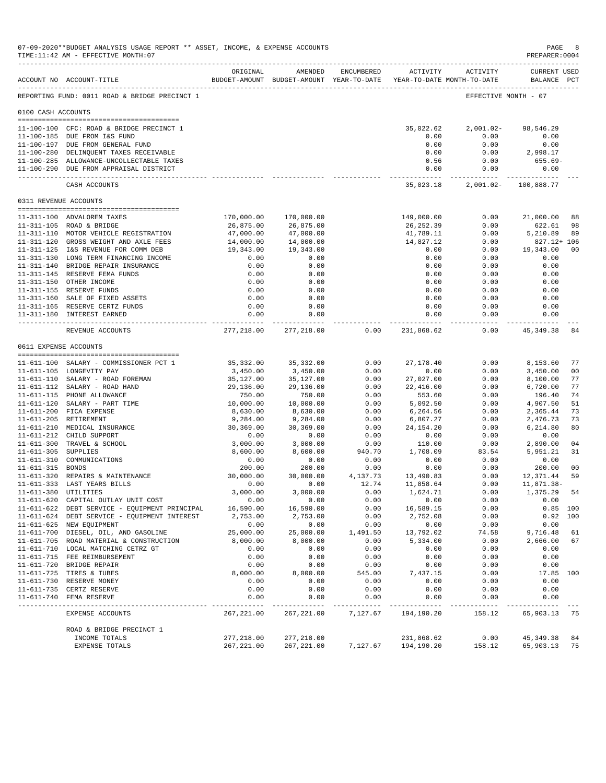|                     | 07-09-2020**BUDGET ANALYSIS USAGE REPORT ** ASSET, INCOME, & EXPENSE ACCOUNTS<br>TIME:11:42 AM - EFFECTIVE MONTH:07 |                           |                                                                                |                   |                          |                     | PAGE<br>PREPARER:0004              | -8                   |
|---------------------|---------------------------------------------------------------------------------------------------------------------|---------------------------|--------------------------------------------------------------------------------|-------------------|--------------------------|---------------------|------------------------------------|----------------------|
|                     | ACCOUNT NO ACCOUNT-TITLE<br>-------------------------------------                                                   | ORIGINAL                  | AMENDED<br>BUDGET-AMOUNT BUDGET-AMOUNT YEAR-TO-DATE YEAR-TO-DATE MONTH-TO-DATE | ENCUMBERED        |                          | ACTIVITY ACTIVITY   | <b>CURRENT USED</b><br>BALANCE PCT |                      |
|                     | REPORTING FUND: 0011 ROAD & BRIDGE PRECINCT 1                                                                       |                           |                                                                                |                   |                          |                     | EFFECTIVE MONTH - 07               |                      |
| 0100 CASH ACCOUNTS  |                                                                                                                     |                           |                                                                                |                   |                          |                     |                                    |                      |
|                     |                                                                                                                     |                           |                                                                                |                   |                          |                     |                                    |                      |
|                     | 11-100-100 CFC: ROAD & BRIDGE PRECINCT 1<br>11-100-185 DUE FROM I&S FUND                                            |                           |                                                                                |                   | 35,022.62<br>0.00        | 2,001.02-<br>0.00   | 98,546.29<br>0.00                  |                      |
|                     | 11-100-197 DUE FROM GENERAL FUND                                                                                    |                           |                                                                                |                   | 0.00                     | 0.00                | 0.00                               |                      |
|                     | 11-100-280 DELINQUENT TAXES RECEIVABLE                                                                              |                           |                                                                                |                   | 0.00                     | 0.00                | 2,998.17                           |                      |
|                     | 11-100-285 ALLOWANCE-UNCOLLECTABLE TAXES                                                                            |                           |                                                                                |                   | 0.56                     | 0.00                | 655.69-                            |                      |
|                     | 11-100-290 DUE FROM APPRAISAL DISTRICT                                                                              |                           |                                                                                |                   | 0.00<br>------------     | 0.00                | 0.00<br>----------- -------------  |                      |
|                     | CASH ACCOUNTS                                                                                                       |                           |                                                                                |                   | 35,023.18                |                     | 2,001.02- 100,888.77               |                      |
|                     | 0311 REVENUE ACCOUNTS                                                                                               |                           |                                                                                |                   |                          |                     |                                    |                      |
|                     | 11-311-100 ADVALOREM TAXES                                                                                          | 170,000.00                | 170,000.00                                                                     |                   | 149,000.00               | 0.00                | 21,000.00                          | 88                   |
|                     | 11-311-105 ROAD & BRIDGE                                                                                            | 26,875.00                 | 26,875.00                                                                      |                   | 26,252.39                | 0.00                | 622.61                             | 98                   |
|                     | 11-311-110 MOTOR VEHICLE REGISTRATION                                                                               | 47,000.00                 | 47,000.00                                                                      |                   | 41,789.11                | 0.00                | 5,210.89                           | 89                   |
|                     | 11-311-120 GROSS WEIGHT AND AXLE FEES                                                                               | 14,000.00                 | 14,000.00                                                                      |                   | 14,827.12                | 0.00                | 827.12+ 106                        |                      |
|                     | 11-311-125 I&S REVENUE FOR COMM DEB<br>11-311-130 LONG TERM FINANCING INCOME                                        | 19,343.00<br>0.00         | 19,343.00<br>0.00                                                              |                   | 0.00<br>0.00             | 0.00<br>0.00        | 19,343.00<br>0.00                  | 00                   |
|                     | 11-311-140 BRIDGE REPAIR INSURANCE                                                                                  | 0.00                      | 0.00                                                                           |                   | 0.00                     | 0.00                | 0.00                               |                      |
|                     | 11-311-145 RESERVE FEMA FUNDS                                                                                       | 0.00                      | 0.00                                                                           |                   | 0.00                     | 0.00                | 0.00                               |                      |
|                     | 11-311-150 OTHER INCOME                                                                                             | 0.00                      | 0.00                                                                           |                   | 0.00                     | 0.00                | 0.00                               |                      |
|                     | 11-311-155 RESERVE FUNDS                                                                                            | 0.00                      | 0.00                                                                           |                   | 0.00                     | 0.00                | 0.00                               |                      |
|                     | 11-311-160 SALE OF FIXED ASSETS                                                                                     | 0.00                      | 0.00                                                                           |                   | 0.00                     | 0.00                | 0.00                               |                      |
|                     | 11-311-165 RESERVE CERTZ FUNDS                                                                                      | 0.00                      | 0.00                                                                           |                   | 0.00                     | 0.00                | 0.00                               |                      |
|                     | 11-311-180 INTEREST EARNED                                                                                          | 0.00<br>----------------  | 0.00<br>-------------                                                          |                   | 0.00<br>--------------   | 0.00<br>----------- | 0.00<br>-----------                |                      |
|                     | REVENUE ACCOUNTS                                                                                                    |                           | 277, 218.00 277, 218.00                                                        | 0.00              | 231,868.62               | 0.00                | 45,349.38                          | 84                   |
|                     | 0611 EXPENSE ACCOUNTS                                                                                               |                           |                                                                                |                   |                          |                     |                                    |                      |
|                     | 11-611-100 SALARY - COMMISSIONER PCT 1                                                                              | 35,332.00                 | 35,332.00                                                                      | 0.00              | 27, 178.40               | 0.00                | 8,153.60                           | 77                   |
|                     | 11-611-105 LONGEVITY PAY                                                                                            | 3,450.00                  | 3,450.00                                                                       | 0.00              | 0.00                     | 0.00                | 3,450.00                           | 0 <sub>0</sub>       |
|                     | 11-611-110 SALARY - ROAD FOREMAN                                                                                    | 35,127.00                 | 35,127.00                                                                      | 0.00              | 27,027.00                | 0.00                | 8,100.00                           | 77                   |
|                     | 11-611-112 SALARY - ROAD HAND                                                                                       | 29,136.00                 | 29,136.00                                                                      | 0.00              | 22,416.00                | 0.00                | 6,720.00                           | 77                   |
|                     | 11-611-115 PHONE ALLOWANCE                                                                                          | 750.00                    | 750.00                                                                         | 0.00              | 553.60                   | 0.00                | 196.40                             | 74                   |
|                     | 11-611-120 SALARY - PART TIME                                                                                       | 10,000.00                 | 10,000.00                                                                      | 0.00              | 5,092.50                 | 0.00                | 4,907.50                           | 51                   |
|                     | 11-611-200 FICA EXPENSE<br>11-611-205 RETIREMENT                                                                    | 8,630.00<br>9,284.00      | 8,630.00<br>9,284.00                                                           | 0.00<br>0.00      | 6,264.56<br>6,807.27     | 0.00<br>0.00        | 2,365.44<br>2,476.73               | 73<br>73             |
|                     | 11-611-210 MEDICAL INSURANCE                                                                                        | 30,369.00                 | 30,369.00                                                                      | 0.00              | 24, 154. 20              | 0.00                | 6,214.80                           | 80                   |
|                     | 11-611-212 CHILD SUPPORT                                                                                            | 0.00                      | 0.00                                                                           | 0.00              | 0.00                     | 0.00                | 0.00                               |                      |
|                     | 11-611-300 TRAVEL & SCHOOL                                                                                          | 3,000.00                  | 3,000.00                                                                       | 0.00              | 110.00                   | 0.00                | 2,890.00                           | 04                   |
| 11-611-305 SUPPLIES |                                                                                                                     | 8,600.00                  | 8,600.00                                                                       | 940.70            | 1,708.09                 | 83.54               | 5,951.21                           | 31                   |
|                     | 11-611-310 COMMUNICATIONS                                                                                           | 0.00                      | 0.00                                                                           | 0.00              | 0.00                     | 0.00                | 0.00                               |                      |
| 11-611-315 BONDS    |                                                                                                                     | 200.00<br>30,000.00       | 200.00                                                                         | 0.00              | 0.00                     | 0.00<br>0.00        | 200.00                             | 0 <sub>0</sub><br>59 |
|                     | 11-611-320 REPAIRS & MAINTENANCE<br>11-611-333 LAST YEARS BILLS                                                     | 0.00                      | 30,000.00<br>0.00                                                              | 4,137.73<br>12.74 | 13,490.83<br>11,858.64   | 0.00                | 12,371.44<br>11,871.38-            |                      |
|                     | 11-611-380 UTILITIES                                                                                                | 3,000.00                  | 3,000.00                                                                       | 0.00              | 1,624.71                 | 0.00                | 1,375.29                           | 54                   |
|                     | 11-611-620 CAPITAL OUTLAY UNIT COST                                                                                 | 0.00                      | 0.00                                                                           | 0.00              | 0.00                     | 0.00                | 0.00                               |                      |
|                     | 11-611-622 DEBT SERVICE - EQUIPMENT PRINCIPAL                                                                       | 16,590.00                 | 16,590.00                                                                      | 0.00              | 16,589.15                | 0.00                |                                    | $0.85$ 100           |
|                     | 11-611-624 DEBT SERVICE - EQUIPMENT INTEREST                                                                        | 2,753.00                  | 2,753.00                                                                       | 0.00              | 2,752.08                 | 0.00                | 0.92                               | 100                  |
|                     | 11-611-625 NEW EQUIPMENT                                                                                            | 0.00                      | 0.00                                                                           | 0.00              | 0.00                     | 0.00                | 0.00                               |                      |
|                     | 11-611-700 DIESEL, OIL, AND GASOLINE                                                                                | 25,000.00                 | 25,000.00                                                                      | 1,491.50          | 13,792.02                | 74.58               | 9,716.48                           | 61                   |
|                     | 11-611-705 ROAD MATERIAL & CONSTRUCTION<br>11-611-710 LOCAL MATCHING CETRZ GT                                       | 8,000.00<br>0.00          | 8,000.00<br>0.00                                                               | 0.00<br>0.00      | 5,334.00<br>0.00         | 0.00<br>0.00        | 2,666.00<br>0.00                   | 67                   |
|                     | 11-611-715 FEE REIMBURSEMENT                                                                                        | 0.00                      | 0.00                                                                           | 0.00              | 0.00                     | 0.00                | 0.00                               |                      |
|                     | 11-611-720 BRIDGE REPAIR                                                                                            | 0.00                      | 0.00                                                                           | 0.00              | 0.00                     | 0.00                | 0.00                               |                      |
|                     | 11-611-725 TIRES & TUBES                                                                                            | 8,000.00                  | 8,000.00                                                                       | 545.00            | 7,437.15                 | 0.00                | 17.85 100                          |                      |
|                     | 11-611-730 RESERVE MONEY                                                                                            | 0.00                      | 0.00                                                                           | 0.00              | 0.00                     | 0.00                | 0.00                               |                      |
|                     | 11-611-735 CERTZ RESERVE                                                                                            | 0.00                      | 0.00                                                                           | 0.00              | 0.00                     | 0.00                | 0.00                               |                      |
| $11 - 611 - 740$    | FEMA RESERVE                                                                                                        | 0.00                      | 0.00                                                                           | 0.00              | 0.00                     | 0.00                | 0.00                               |                      |
|                     | EXPENSE ACCOUNTS                                                                                                    | 267, 221.00               | 267, 221.00                                                                    | 7,127.67          | 194,190.20               | 158.12              | 65,903.13                          | 75                   |
|                     | ROAD & BRIDGE PRECINCT 1                                                                                            |                           |                                                                                |                   |                          |                     |                                    |                      |
|                     | INCOME TOTALS<br>EXPENSE TOTALS                                                                                     | 277,218.00<br>267, 221.00 | 277,218.00<br>267, 221.00                                                      | 7,127.67          | 231,868.62<br>194,190.20 | 0.00<br>158.12      | 45, 349. 38<br>65,903.13           | 84<br>75             |
|                     |                                                                                                                     |                           |                                                                                |                   |                          |                     |                                    |                      |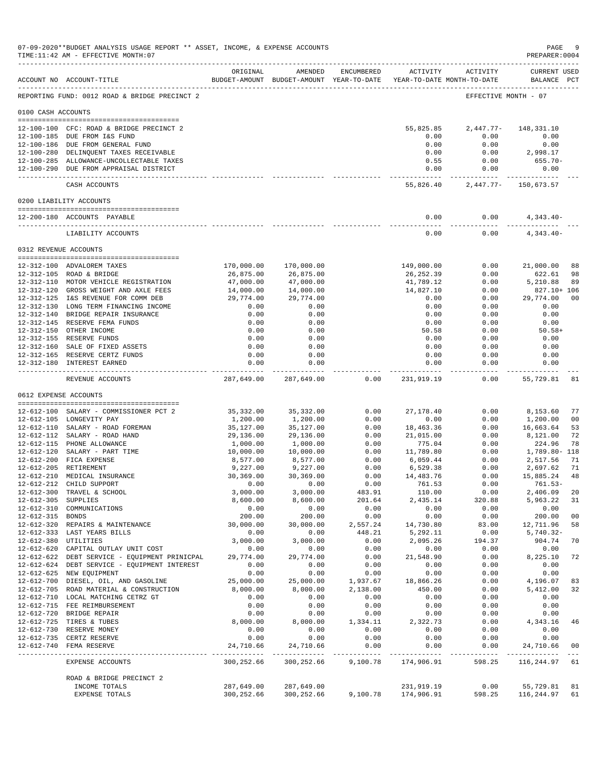|                    | ACCOUNT NO ACCOUNT-TITLE                                                             | ORIGINAL                | AMENDED                  | ENCUMBERED           | ACTIVITY<br>BUDGET-AMOUNT BUDGET-AMOUNT YEAR-TO-DATE YEAR-TO-DATE MONTH-TO-DATE | ACTIVITY                | <b>CURRENT USED</b><br>BALANCE PCT                 |          |
|--------------------|--------------------------------------------------------------------------------------|-------------------------|--------------------------|----------------------|---------------------------------------------------------------------------------|-------------------------|----------------------------------------------------|----------|
|                    |                                                                                      |                         |                          |                      |                                                                                 |                         |                                                    |          |
|                    | REPORTING FUND: 0012 ROAD & BRIDGE PRECINCT 2                                        |                         |                          |                      |                                                                                 | EFFECTIVE MONTH - 07    |                                                    |          |
| 0100 CASH ACCOUNTS |                                                                                      |                         |                          |                      |                                                                                 |                         |                                                    |          |
|                    | 12-100-100 CFC: ROAD & BRIDGE PRECINCT 2                                             |                         |                          |                      | 55,825.85                                                                       | $2,447.77-$             | 148,331.10                                         |          |
|                    | 12-100-185 DUE FROM I&S FUND                                                         |                         |                          |                      | 0.00                                                                            | 0.00                    | 0.00                                               |          |
|                    | 12-100-186 DUE FROM GENERAL FUND                                                     |                         |                          |                      | 0.00                                                                            | 0.00                    | 0.00                                               |          |
|                    | 12-100-280 DELINQUENT TAXES RECEIVABLE                                               |                         |                          |                      | 0.00<br>0.55                                                                    | 0.00<br>0.00            | 2,998.17<br>655.70-                                |          |
|                    | 12-100-285 ALLOWANCE-UNCOLLECTABLE TAXES<br>12-100-290 DUE FROM APPRAISAL DISTRICT   |                         |                          |                      | 0.00                                                                            | 0.00                    | 0.00                                               |          |
|                    | CASH ACCOUNTS                                                                        |                         |                          |                      | -----------<br>55,826.40                                                        |                         | ----------- --------------<br>2,447.77- 150,673.57 |          |
|                    | 0200 LIABILITY ACCOUNTS                                                              |                         |                          |                      |                                                                                 |                         |                                                    |          |
|                    | 12-200-180 ACCOUNTS PAYABLE                                                          |                         |                          |                      | 0.00                                                                            | 0.00                    | $4,343.40-$                                        |          |
|                    | LIABILITY ACCOUNTS                                                                   |                         |                          |                      | 0.00                                                                            | 0.00                    | $4,343.40-$                                        |          |
|                    | 0312 REVENUE ACCOUNTS                                                                |                         |                          |                      |                                                                                 |                         |                                                    |          |
|                    |                                                                                      |                         |                          |                      |                                                                                 |                         |                                                    |          |
|                    | 12-312-100 ADVALOREM TAXES<br>12-312-105 ROAD & BRIDGE                               | 170,000.00<br>26,875.00 | 170,000.00<br>26,875.00  |                      | 149,000.00<br>26,252.39                                                         | 0.00<br>0.00            | 21,000.00<br>622.61                                | 88<br>98 |
|                    | 12-312-110 MOTOR VEHICLE REGISTRATION                                                | 47,000.00               | 47,000.00                |                      | 41,789.12                                                                       | 0.00                    | 5,210.88                                           | 89       |
|                    | 12-312-120 GROSS WEIGHT AND AXLE FEES                                                | 14,000.00               | 14,000.00                |                      | 14,827.10                                                                       | 0.00                    | 827.10+ 106                                        |          |
|                    | 12-312-125 I&S REVENUE FOR COMM DEB                                                  | 29,774.00               | 29,774.00                |                      | 0.00                                                                            | 0.00                    | 29,774.00                                          | 00       |
|                    | 12-312-130 LONG TERM FINANCING INCOME<br>12-312-140 BRIDGE REPAIR INSURANCE          | 0.00<br>0.00            | 0.00<br>0.00             |                      | 0.00<br>0.00                                                                    | 0.00<br>0.00            | 0.00<br>0.00                                       |          |
|                    | 12-312-145 RESERVE FEMA FUNDS                                                        | 0.00                    | 0.00                     |                      | 0.00                                                                            | 0.00                    | 0.00                                               |          |
|                    | 12-312-150 OTHER INCOME                                                              | 0.00                    | 0.00                     |                      | 50.58                                                                           | 0.00                    | $50.58+$                                           |          |
|                    | 12-312-155 RESERVE FUNDS                                                             | 0.00                    | 0.00                     |                      | 0.00                                                                            | 0.00                    | 0.00                                               |          |
|                    | 12-312-160 SALE OF FIXED ASSETS                                                      | 0.00                    | 0.00                     |                      | 0.00                                                                            | 0.00                    | 0.00                                               |          |
|                    | 12-312-165 RESERVE CERTZ FUNDS<br>12-312-180 INTEREST EARNED                         | 0.00<br>0.00            | 0.00<br>0.00             |                      | 0.00<br>0.00                                                                    | 0.00<br>0.00            | 0.00<br>0.00                                       |          |
|                    | REVENUE ACCOUNTS                                                                     | ---------<br>287,649.00 | ----------<br>287,649.00 | 0.00                 | -------------<br>231,919.19                                                     | $- - - - - - -$<br>0.00 | -----------<br>55,729.81                           | - 81     |
|                    | 0612 EXPENSE ACCOUNTS                                                                |                         |                          |                      |                                                                                 |                         |                                                    |          |
|                    |                                                                                      |                         |                          |                      |                                                                                 |                         |                                                    | 77       |
|                    | 12-612-100 SALARY - COMMISSIONER PCT 2<br>12-612-105 LONGEVITY PAY                   | 35,332.00<br>1,200.00   | 35,332.00<br>1,200.00    | 0.00<br>0.00         | 27,178.40<br>0.00                                                               | 0.00<br>0.00            | 8,153.60<br>1,200.00                               | 00       |
|                    | 12-612-110 SALARY - ROAD FOREMAN                                                     | 35,127.00               | 35,127.00                | 0.00                 | 18,463.36                                                                       | 0.00                    | 16,663.64                                          | 53       |
|                    | 12-612-112 SALARY - ROAD HAND                                                        | 29,136.00               | 29,136.00                | 0.00                 | 21,015.00                                                                       | 0.00                    | 8,121.00                                           | 72       |
|                    | 12-612-115 PHONE ALLOWANCE                                                           | 1,000.00                | 1,000.00                 | 0.00                 | 775.04                                                                          | 0.00                    | 224.96                                             | 78       |
|                    | 12-612-120 SALARY - PART TIME                                                        | 10,000.00               | 10,000.00                | 0.00                 | 11,789.80                                                                       | 0.00                    | 1,789.80- 118                                      |          |
|                    | 12-612-200 FICA EXPENSE<br>12-612-205 RETIREMENT                                     | 8,577.00<br>9,227.00    | 8,577.00<br>9,227.00     | 0.00<br>0.00         | 6,059.44<br>6,529.38                                                            | 0.00<br>0.00            | 2,517.56<br>2,697.62                               | 71<br>71 |
|                    | 12-612-210 MEDICAL INSURANCE                                                         | 30,369.00               | 30,369.00                | 0.00                 | 14,483.76                                                                       | 0.00                    | 15,885.24                                          | 48       |
|                    | 12-612-212 CHILD SUPPORT                                                             | 0.00                    | 0.00                     | 0.00                 | 761.53                                                                          | 0.00                    | $761.53-$                                          |          |
|                    | 12-612-300 TRAVEL & SCHOOL                                                           | 3,000.00                | 3,000.00                 | 483.91               | 110.00                                                                          | 0.00                    | 2,406.09                                           | 20       |
|                    | 12-612-305 SUPPLIES<br>12-612-310 COMMUNICATIONS                                     | 8,600.00<br>0.00        | 8,600.00<br>0.00         | 201.64<br>0.00       | 2,435.14<br>0.00                                                                | 320.88<br>0.00          | 5,963.22<br>0.00                                   | 31       |
| 12-612-315 BONDS   |                                                                                      | 200.00                  | 200.00                   | 0.00                 | 0.00                                                                            | 0.00                    | 200.00                                             | 00       |
|                    | 12-612-320 REPAIRS & MAINTENANCE                                                     | 30,000.00               | 30,000.00                | 2,557.24             | 14,730.80                                                                       | 83.00                   | 12,711.96                                          | 58       |
|                    | 12-612-333 LAST YEARS BILLS                                                          | 0.00                    | 0.00                     | 448.21               | 5,292.11                                                                        | 0.00                    | $5,740.32 -$                                       |          |
|                    | 12-612-380 UTILITIES                                                                 | 3,000.00                | 3,000.00                 | 0.00                 | 2,095.26                                                                        | 194.37                  | 904.74                                             | 70       |
|                    | 12-612-620 CAPITAL OUTLAY UNIT COST<br>12-612-622 DEBT SERVICE - EQUIPMENT PRINICPAL | 0.00<br>29,774.00       | 0.00<br>29,774.00        | 0.00<br>0.00         | 0.00<br>21,548.90                                                               | 0.00<br>0.00            | 0.00<br>8,225.10                                   | 72       |
|                    | 12-612-624 DEBT SERVICE - EQUIPMENT INTEREST                                         | 0.00                    | 0.00                     | 0.00                 | 0.00                                                                            | 0.00                    | 0.00                                               |          |
|                    | 12-612-625 NEW EQUIPMENT                                                             | 0.00                    | 0.00                     | 0.00                 | 0.00                                                                            | 0.00                    | 0.00                                               |          |
|                    | 12-612-700 DIESEL, OIL, AND GASOLINE                                                 | 25,000.00               | 25,000.00                | 1,937.67             | 18,866.26                                                                       | 0.00                    | 4,196.07                                           | 83       |
|                    | 12-612-705 ROAD MATERIAL & CONSTRUCTION                                              | 8,000.00                | 8,000.00                 | 2,138.00             | 450.00                                                                          | 0.00                    | 5,412.00                                           | 32       |
|                    | 12-612-710 LOCAL MATCHING CETRZ GT<br>12-612-715 FEE REIMBURSEMENT                   | 0.00<br>0.00            | 0.00<br>0.00             | 0.00<br>0.00         | 0.00<br>0.00                                                                    | 0.00<br>0.00            | 0.00<br>0.00                                       |          |
|                    | 12-612-720 BRIDGE REPAIR                                                             | 0.00                    | 0.00                     | 0.00                 | 0.00                                                                            | 0.00                    | 0.00                                               |          |
|                    | 12-612-725 TIRES & TUBES                                                             | 8,000.00                | 8,000.00                 | 1,334.11             | 2,322.73                                                                        | 0.00                    | 4,343.16                                           | 46       |
|                    | 12-612-730 RESERVE MONEY                                                             | 0.00                    | 0.00                     | 0.00                 | 0.00                                                                            | 0.00                    | 0.00                                               |          |
|                    | 12-612-735 CERTZ RESERVE                                                             | 0.00                    | 0.00                     | 0.00                 | 0.00                                                                            | 0.00                    | 0.00                                               |          |
|                    | 12-612-740 FEMA RESERVE                                                              | 24,710.66               | 24,710.66                | 0.00<br>------------ | 0.00<br>-------------                                                           | 0.00<br>------------    | 24,710.66<br>--------------                        | 00       |
|                    | EXPENSE ACCOUNTS                                                                     | 300,252.66              | 300,252.66               | 9,100.78             | 174,906.91                                                                      | 598.25                  | 116,244.97                                         | 61       |
|                    | ROAD & BRIDGE PRECINCT 2                                                             |                         |                          |                      |                                                                                 |                         |                                                    |          |
|                    | INCOME TOTALS                                                                        | 287,649.00              | 287,649.00               |                      | 231,919.19                                                                      | 0.00                    | 55,729.81                                          | 81       |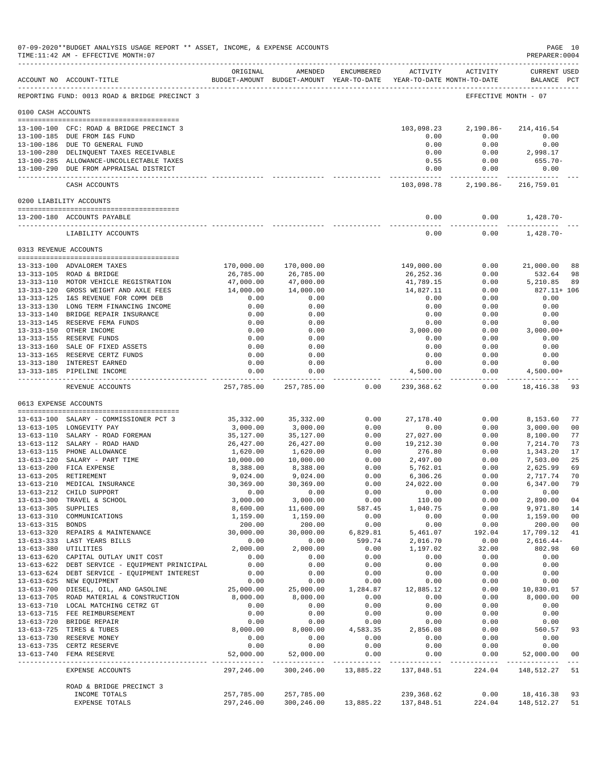|                     |                                                                                       | ORIGINAL               | AMENDED                                                             | ENCUMBERED       | ACTIVITY               | ACTIVITY             | CURRENT USED                |                 |
|---------------------|---------------------------------------------------------------------------------------|------------------------|---------------------------------------------------------------------|------------------|------------------------|----------------------|-----------------------------|-----------------|
|                     | ACCOUNT NO ACCOUNT-TITLE                                                              |                        | BUDGET-AMOUNT BUDGET-AMOUNT YEAR-TO-DATE YEAR-TO-DATE MONTH-TO-DATE |                  |                        |                      | BALANCE PCT                 |                 |
|                     | REPORTING FUND: 0013 ROAD & BRIDGE PRECINCT 3                                         |                        |                                                                     |                  |                        | EFFECTIVE MONTH - 07 |                             |                 |
| 0100 CASH ACCOUNTS  |                                                                                       |                        |                                                                     |                  |                        |                      |                             |                 |
|                     | 13-100-100 CFC: ROAD & BRIDGE PRECINCT 3                                              |                        |                                                                     |                  | 103,098.23             | $2,190.86-$          | 214,416.54                  |                 |
|                     | 13-100-185 DUE FROM I&S FUND                                                          |                        |                                                                     |                  | 0.00                   | 0.00                 | 0.00                        |                 |
|                     | 13-100-186 DUE TO GENERAL FUND<br>13-100-280 DELINQUENT TAXES RECEIVABLE              |                        |                                                                     |                  | 0.00<br>0.00           | 0.00<br>0.00         | 0.00<br>2,998.17            |                 |
|                     | 13-100-285 ALLOWANCE-UNCOLLECTABLE TAXES                                              |                        |                                                                     |                  | 0.55                   | 0.00                 | $655.70 -$                  |                 |
|                     | 13-100-290 DUE FROM APPRAISAL DISTRICT                                                |                        |                                                                     |                  | 0.00                   | 0.00<br>-----------  | 0.00<br>----------          |                 |
|                     | CASH ACCOUNTS                                                                         |                        |                                                                     |                  | 103,098.78             | 2,190.86-            | 216,759.01                  |                 |
|                     | 0200 LIABILITY ACCOUNTS                                                               |                        |                                                                     |                  |                        |                      |                             |                 |
|                     | 13-200-180 ACCOUNTS PAYABLE                                                           |                        |                                                                     |                  | 0.00                   | 0.00                 | 1,428.70-                   |                 |
|                     | LIABILITY ACCOUNTS                                                                    |                        |                                                                     |                  | 0.00                   | 0.00                 | $1,428.70-$                 |                 |
|                     |                                                                                       |                        |                                                                     |                  |                        |                      |                             |                 |
|                     | 0313 REVENUE ACCOUNTS                                                                 |                        |                                                                     |                  |                        |                      |                             |                 |
|                     | 13-313-100 ADVALOREM TAXES                                                            | 170,000.00             | 170,000.00                                                          |                  | 149,000.00             | 0.00                 | 21,000.00                   | 88              |
|                     | 13-313-105 ROAD & BRIDGE                                                              | 26,785.00              | 26,785.00                                                           |                  | 26, 252.36             | 0.00                 | 532.64                      | 98              |
|                     | 13-313-110 MOTOR VEHICLE REGISTRATION<br>13-313-120 GROSS WEIGHT AND AXLE FEES        | 47,000.00<br>14,000.00 | 47,000.00<br>14,000.00                                              |                  | 41,789.15<br>14,827.11 | 0.00<br>0.00         | 5,210.85<br>827.11+ 106     | 89              |
|                     | 13-313-125 I&S REVENUE FOR COMM DEB                                                   | 0.00                   | 0.00                                                                |                  | 0.00                   | 0.00                 | 0.00                        |                 |
|                     | 13-313-130 LONG TERM FINANCING INCOME                                                 | 0.00                   | 0.00                                                                |                  | 0.00                   | 0.00                 | 0.00                        |                 |
|                     | 13-313-140 BRIDGE REPAIR INSURANCE                                                    | 0.00                   | 0.00                                                                |                  | 0.00                   | 0.00                 | 0.00                        |                 |
|                     | 13-313-145 RESERVE FEMA FUNDS<br>13-313-150 OTHER INCOME                              | 0.00<br>0.00           | 0.00<br>0.00                                                        |                  | 0.00<br>3,000.00       | 0.00<br>0.00         | 0.00<br>$3,000.00+$         |                 |
|                     | 13-313-155 RESERVE FUNDS                                                              | 0.00                   | 0.00                                                                |                  | 0.00                   | 0.00                 | 0.00                        |                 |
|                     | 13-313-160 SALE OF FIXED ASSETS                                                       | 0.00                   | 0.00                                                                |                  | 0.00                   | 0.00                 | 0.00                        |                 |
|                     | 13-313-165 RESERVE CERTZ FUNDS                                                        | 0.00                   | 0.00                                                                |                  | 0.00                   | 0.00                 | 0.00                        |                 |
|                     | 13-313-180 INTEREST EARNED<br>13-313-185 PIPELINE INCOME                              | 0.00<br>0.00           | 0.00<br>0.00                                                        |                  | 0.00<br>4,500.00       | 0.00<br>0.00         | 0.00<br>$4,500.00+$         |                 |
|                     |                                                                                       | .                      | ------------                                                        |                  | -------------          | $- - - - - -$        | .                           |                 |
|                     | REVENUE ACCOUNTS                                                                      | 257,785.00             | 257,785.00                                                          | 0.00             | 239,368.62             | 0.00                 | 18,416.38                   | 93              |
|                     | 0613 EXPENSE ACCOUNTS                                                                 |                        |                                                                     |                  |                        |                      |                             |                 |
|                     | 13-613-100 SALARY - COMMISSIONER PCT 3                                                | 35, 332.00             | 35, 332.00                                                          | 0.00             | 27, 178.40             | 0.00                 | 8,153.60                    | 77              |
|                     | 13-613-105 LONGEVITY PAY<br>13-613-110 SALARY - ROAD FOREMAN                          | 3,000.00<br>35,127.00  | 3,000.00<br>35,127.00                                               | 0.00<br>0.00     | 0.00<br>27,027.00      | 0.00<br>0.00         | 3,000.00<br>8,100.00        | 00<br>77        |
|                     | 13-613-112 SALARY - ROAD HAND                                                         | 26, 427.00             | 26, 427.00                                                          | 0.00             | 19,212.30              | 0.00                 | 7,214.70                    | 73              |
|                     | 13-613-115 PHONE ALLOWANCE                                                            | 1,620.00               | 1,620.00                                                            | 0.00             | 276.80                 | 0.00                 | 1,343.20                    | 17              |
|                     | 13-613-120 SALARY - PART TIME                                                         | 10,000.00              | 10,000.00                                                           | 0.00             | 2,497.00               | 0.00                 | 7,503.00                    | 25              |
|                     | 13-613-200 FICA EXPENSE                                                               | 8,388.00               | 8,388.00                                                            | 0.00             | 5,762.01               | 0.00                 | 2,625.99                    | 69<br>70        |
|                     | 13-613-205 RETIREMENT<br>13-613-210 MEDICAL INSURANCE                                 | 9,024.00<br>30,369.00  | 9,024.00<br>30,369.00                                               | 0.00<br>0.00     | 6,306.26<br>24,022.00  | 0.00<br>0.00         | 2,717.74<br>6,347.00        | 79              |
|                     | 13-613-212 CHILD SUPPORT                                                              | 0.00                   | 0.00                                                                | 0.00             | 0.00                   | 0.00                 | 0.00                        |                 |
|                     | 13-613-300 TRAVEL & SCHOOL                                                            | 3,000.00               | 3,000.00                                                            | 0.00             | 110.00                 | 0.00                 | 2,890.00                    | 04              |
| 13-613-305 SUPPLIES |                                                                                       | 8,600.00               | 11,600.00                                                           | 587.45           | 1,040.75               | 0.00                 | 9,971.80                    | 14              |
| 13-613-315 BONDS    | 13-613-310 COMMUNICATIONS                                                             | 1,159.00<br>200.00     | 1,159.00<br>200.00                                                  | 0.00<br>0.00     | 0.00<br>0.00           | 0.00<br>0.00         | 1,159.00<br>200.00          | 00<br>00        |
|                     | 13-613-320 REPAIRS & MAINTENANCE                                                      | 30,000.00              | 30,000.00                                                           | 6,829.81         | 5,461.07               | 192.04               | 17,709.12                   | 41              |
|                     | 13-613-333 LAST YEARS BILLS                                                           | 0.00                   | 0.00                                                                | 599.74           | 2,016.70               | 0.00                 | 2,616.44-                   |                 |
|                     | 13-613-380 UTILITIES                                                                  | 2,000.00<br>0.00       | 2,000.00<br>0.00                                                    | 0.00             | 1,197.02<br>0.00       | 32.00                | 802.98<br>0.00              | 60              |
|                     | 13-613-620 CAPITAL OUTLAY UNIT COST<br>13-613-622 DEBT SERVICE - EQUIPMENT PRINICIPAL | 0.00                   | 0.00                                                                | 0.00<br>0.00     | 0.00                   | 0.00<br>0.00         | 0.00                        |                 |
|                     | 13-613-624 DEBT SERVICE - EQUIPMENT INTEREST                                          | 0.00                   | 0.00                                                                | 0.00             | 0.00                   | 0.00                 | 0.00                        |                 |
|                     | 13-613-625 NEW EQUIPMENT                                                              | 0.00                   | 0.00                                                                | 0.00             | 0.00                   | 0.00                 | 0.00                        |                 |
|                     | 13-613-700 DIESEL, OIL, AND GASOLINE<br>13-613-705 ROAD MATERIAL & CONSTRUCTION       | 25,000.00<br>8,000.00  | 25,000.00<br>8,000.00                                               | 1,284.87<br>0.00 | 12,885.12<br>0.00      | 0.00<br>0.00         | 10,830.01<br>8,000.00       | 57<br>00        |
|                     | 13-613-710 LOCAL MATCHING CETRZ GT                                                    | 0.00                   | 0.00                                                                | 0.00             | 0.00                   | 0.00                 | 0.00                        |                 |
|                     | 13-613-715 FEE REIMBURSEMENT                                                          | 0.00                   | 0.00                                                                | 0.00             | 0.00                   | 0.00                 | 0.00                        |                 |
|                     | 13-613-720 BRIDGE REPAIR                                                              | 0.00                   | 0.00                                                                | 0.00             | 0.00                   | 0.00                 | 0.00                        |                 |
|                     | 13-613-725 TIRES & TUBES<br>13-613-730 RESERVE MONEY                                  | 8,000.00<br>0.00       | 8,000.00<br>0.00                                                    | 4,583.35<br>0.00 | 2,856.08<br>0.00       | 0.00<br>0.00         | 560.57<br>0.00              | 93              |
|                     | 13-613-735 CERTZ RESERVE                                                              | 0.00                   | 0.00                                                                | 0.00             | 0.00                   | 0.00                 | 0.00                        |                 |
|                     | 13-613-740 FEMA RESERVE                                                               | 52,000.00              | 52,000.00                                                           | 0.00             | 0.00                   | 0.00                 | 52,000.00<br>-------------- | 00<br>$- - - -$ |
|                     | EXPENSE ACCOUNTS                                                                      | 297,246.00             | 300,246.00                                                          |                  | 13,885.22 137,848.51   | 224.04               | 148, 512. 27 51             |                 |
|                     | ROAD & BRIDGE PRECINCT 3                                                              |                        |                                                                     |                  |                        |                      |                             |                 |
|                     | INCOME TOTALS                                                                         | 257,785.00             | 257,785.00                                                          |                  | 239,368.62             | 0.00                 | 18,416.38                   | 93              |
|                     | EXPENSE TOTALS                                                                        | 297,246.00             | 300,246.00                                                          |                  | 13,885.22 137,848.51   | 224.04               | 148, 512. 27 51             |                 |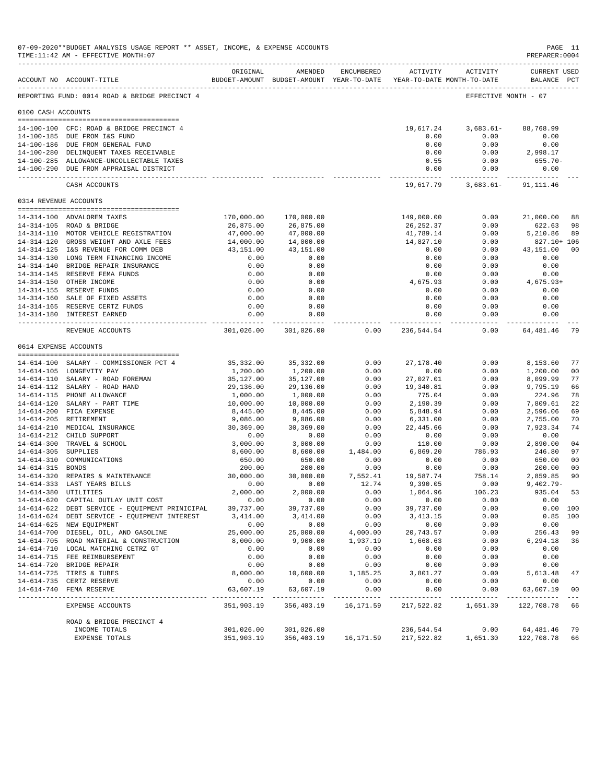|                       | 07-09-2020**BUDGET ANALYSIS USAGE REPORT ** ASSET, INCOME, & EXPENSE ACCOUNTS<br>TIME:11:42 AM - EFFECTIVE MONTH:07 |                             |                              |                            |                                                                     |                         | PAGE 11<br>PREPARER: 0004          |                      |
|-----------------------|---------------------------------------------------------------------------------------------------------------------|-----------------------------|------------------------------|----------------------------|---------------------------------------------------------------------|-------------------------|------------------------------------|----------------------|
|                       | ACCOUNT NO ACCOUNT-TITLE                                                                                            | ORIGINAL                    | AMENDED                      | ENCUMBERED                 | BUDGET-AMOUNT BUDGET-AMOUNT YEAR-TO-DATE YEAR-TO-DATE MONTH-TO-DATE | ACTIVITY ACTIVITY       | <b>CURRENT USED</b><br>BALANCE PCT |                      |
|                       | -------------------------------------<br>REPORTING FUND: 0014 ROAD & BRIDGE PRECINCT 4                              |                             |                              |                            |                                                                     | EFFECTIVE MONTH - 07    |                                    |                      |
| 0100 CASH ACCOUNTS    |                                                                                                                     |                             |                              |                            |                                                                     |                         |                                    |                      |
|                       | 14-100-100 CFC: ROAD & BRIDGE PRECINCT 4                                                                            |                             |                              |                            | 19,617.24                                                           | $3,683.61-$             | 88,768.99                          |                      |
|                       | 14-100-185 DUE FROM I&S FUND                                                                                        |                             |                              |                            | 0.00                                                                | 0.00                    | 0.00                               |                      |
|                       | 14-100-186 DUE FROM GENERAL FUND                                                                                    |                             |                              |                            | 0.00                                                                | 0.00                    | 0.00                               |                      |
|                       | 14-100-280 DELINQUENT TAXES RECEIVABLE                                                                              |                             |                              |                            | 0.00                                                                | 0.00                    | 2,998.17                           |                      |
|                       | 14-100-285 ALLOWANCE-UNCOLLECTABLE TAXES                                                                            |                             |                              |                            | 0.55                                                                | 0.00                    | 655.70-                            |                      |
|                       | 14-100-290 DUE FROM APPRAISAL DISTRICT                                                                              |                             |                              |                            | 0.00<br>----------- -                                               | 0.00                    | 0.00                               |                      |
|                       | CASH ACCOUNTS                                                                                                       |                             |                              |                            | 19,617.79                                                           |                         | $3,683.61 - 91,111.46$             |                      |
| 0314 REVENUE ACCOUNTS |                                                                                                                     |                             |                              |                            |                                                                     |                         |                                    |                      |
|                       | 14-314-100 ADVALOREM TAXES                                                                                          | 170,000.00                  | 170,000.00                   |                            | 149,000.00                                                          | 0.00                    | 21,000.00                          | 88                   |
|                       | 14-314-105 ROAD & BRIDGE                                                                                            | 26,875.00                   | 26,875.00                    |                            | 26,252.37                                                           | 0.00                    | 622.63                             | 98                   |
|                       | 14-314-110 MOTOR VEHICLE REGISTRATION                                                                               | 47,000.00                   | 47,000.00                    |                            | 41,789.14                                                           | 0.00                    | 5,210.86                           | 89                   |
|                       | 14-314-120 GROSS WEIGHT AND AXLE FEES                                                                               | 14,000.00                   | 14,000.00                    |                            | 14,827.10                                                           | 0.00                    | 827.10+ 106                        |                      |
|                       | 14-314-125 I&S REVENUE FOR COMM DEB                                                                                 | 43,151.00                   | 43,151.00                    |                            | 0.00                                                                | 0.00                    | 43,151.00                          | 00                   |
|                       | 14-314-130 LONG TERM FINANCING INCOME                                                                               | 0.00                        | 0.00                         |                            | 0.00                                                                | 0.00                    | 0.00                               |                      |
|                       | 14-314-140 BRIDGE REPAIR INSURANCE                                                                                  | 0.00                        | 0.00                         |                            | 0.00                                                                | 0.00                    | 0.00                               |                      |
|                       | 14-314-145 RESERVE FEMA FUNDS                                                                                       | 0.00                        | 0.00                         |                            | 0.00                                                                | 0.00                    | 0.00                               |                      |
|                       | 14-314-150 OTHER INCOME<br>14-314-155 RESERVE FUNDS                                                                 | 0.00<br>0.00                | 0.00<br>0.00                 |                            | 4,675.93<br>0.00                                                    | 0.00<br>0.00            | $4,675.93+$<br>0.00                |                      |
|                       | 14-314-160 SALE OF FIXED ASSETS                                                                                     | 0.00                        | 0.00                         |                            | 0.00                                                                | 0.00                    | 0.00                               |                      |
|                       | 14-314-165 RESERVE CERTZ FUNDS                                                                                      | 0.00                        | 0.00                         |                            | 0.00                                                                | 0.00                    | 0.00                               |                      |
|                       | 14-314-180 INTEREST EARNED                                                                                          | 0.00                        | 0.00                         |                            | 0.00                                                                | 0.00                    | 0.00                               |                      |
|                       | REVENUE ACCOUNTS                                                                                                    | ------------<br>301,026.00  | ------------<br>301,026.00   | 0.00                       | 236,544.54                                                          | -----------<br>0.00     | 64,481.46                          | 79                   |
| 0614 EXPENSE ACCOUNTS |                                                                                                                     |                             |                              |                            |                                                                     |                         |                                    |                      |
|                       |                                                                                                                     |                             |                              |                            |                                                                     |                         |                                    |                      |
|                       | 14-614-100 SALARY - COMMISSIONER PCT 4<br>14-614-105 LONGEVITY PAY                                                  | 35, 332.00                  | 35, 332.00                   | 0.00<br>0.00               | 27, 178.40<br>0.00                                                  | 0.00<br>0.00            | 8,153.60                           | 77                   |
|                       | 14-614-110 SALARY - ROAD FOREMAN                                                                                    | 1,200.00<br>35,127.00       | 1,200.00<br>35,127.00        | 0.00                       | 27,027.01                                                           | 0.00                    | 1,200.00<br>8,099.99               | 00<br>77             |
|                       | 14-614-112 SALARY - ROAD HAND                                                                                       | 29,136.00                   | 29,136.00                    | 0.00                       | 19,340.81                                                           | 0.00                    | 9,795.19                           | 66                   |
|                       | 14-614-115 PHONE ALLOWANCE                                                                                          | 1,000.00                    | 1,000.00                     | 0.00                       | 775.04                                                              | 0.00                    | 224.96                             | 78                   |
|                       | 14-614-120 SALARY - PART TIME                                                                                       | 10,000.00                   | 10,000.00                    | 0.00                       | 2,190.39                                                            | 0.00                    | 7,809.61                           | 22                   |
|                       | 14-614-200 FICA EXPENSE                                                                                             | 8,445.00                    | 8,445.00                     | 0.00                       | 5,848.94                                                            | 0.00                    | 2,596.06                           | 69                   |
|                       | 14-614-205 RETIREMENT                                                                                               | 9,086.00                    | 9,086.00                     | 0.00                       | 6,331.00                                                            | 0.00                    | 2,755.00                           | 70                   |
|                       | 14-614-210 MEDICAL INSURANCE                                                                                        | 30,369.00                   | 30,369.00                    | 0.00                       | 22,445.66                                                           | 0.00                    | 7,923.34                           | 74                   |
|                       | 14-614-212 CHILD SUPPORT                                                                                            | 0.00                        | 0.00                         | 0.00                       | 0.00                                                                | 0.00                    | 0.00                               |                      |
|                       | 14-614-300 TRAVEL & SCHOOL                                                                                          | 3,000.00                    | 3,000.00                     | 0.00                       | 110.00                                                              | 0.00                    | 2,890.00                           | 04                   |
| 14-614-305 SUPPLIES   |                                                                                                                     | 8,600.00                    | 8,600.00                     | 1,484.00                   | 6,869.20                                                            | 786.93                  | 246.80<br>650.00                   | 97                   |
| 14-614-315 BONDS      | 14-614-310 COMMUNICATIONS                                                                                           | 650.00<br>200.00            | 650.00<br>200.00             | 0.00<br>0.00               | 0.00<br>0.00                                                        | 0.00<br>0.00            | 200.00                             | 00<br>00             |
|                       | 14-614-320 REPAIRS & MAINTENANCE                                                                                    | 30,000.00                   | 30,000.00                    | 7,552.41                   | 19,587.74                                                           | 758.14                  | 2,859.85                           | 90                   |
|                       | 14-614-333 LAST YEARS BILLS                                                                                         | 0.00                        | 0.00                         | 12.74                      | 9,390.05                                                            | 0.00                    | $9.402.79 -$                       |                      |
| 14-614-380 UTILITIES  |                                                                                                                     | 2,000.00                    | 2,000.00                     | 0.00                       | 1,064.96                                                            | 106.23                  | 935.04 53                          |                      |
|                       | 14-614-620 CAPITAL OUTLAY UNIT COST                                                                                 | 0.00                        | 0.00                         | 0.00                       | 0.00                                                                | 0.00                    | 0.00                               |                      |
|                       | 14-614-622 DEBT SERVICE - EQUIPMENT PRINICIPAL                                                                      | 39,737.00                   | 39,737.00                    | 0.00                       | 39,737.00                                                           | 0.00                    | 0.00 100                           |                      |
|                       | 14-614-624 DEBT SERVICE - EQUIPMENT INTEREST                                                                        | 3,414.00                    | 3,414.00                     | 0.00                       | 3, 413.15                                                           | 0.00                    | $0.85$ 100                         |                      |
|                       | 14-614-625 NEW EQUIPMENT                                                                                            | 0.00                        | 0.00                         | 0.00                       | 0.00                                                                | 0.00                    | 0.00                               |                      |
|                       | 14-614-700 DIESEL, OIL, AND GASOLINE                                                                                | 25,000.00                   | 25,000.00                    | 4,000.00                   | 20,743.57                                                           | 0.00                    | 256.43                             | 99                   |
|                       | 14-614-705 ROAD MATERIAL & CONSTRUCTION                                                                             | 8,000.00<br>0.00            | 9,900.00<br>0.00             | 1,937.19<br>0.00           | 1,668.63<br>0.00                                                    | 0.00                    | 6,294.18<br>0.00                   | 36                   |
|                       | 14-614-710 LOCAL MATCHING CETRZ GT<br>14-614-715 FEE REIMBURSEMENT                                                  | 0.00                        | 0.00                         | 0.00                       | 0.00                                                                | 0.00<br>0.00            | 0.00                               |                      |
|                       | 14-614-720 BRIDGE REPAIR                                                                                            | 0.00                        | 0.00                         | 0.00                       | 0.00                                                                | 0.00                    | 0.00                               |                      |
|                       | 14-614-725 TIRES & TUBES                                                                                            | 8,000.00                    | 10,600.00                    | 1,185.25                   | 3,801.27                                                            | 0.00                    | 5,613.48                           | 47                   |
|                       | 14-614-735 CERTZ RESERVE                                                                                            | 0.00                        | 0.00                         | 0.00                       | 0.00                                                                | 0.00                    | 0.00                               |                      |
|                       | 14-614-740 FEMA RESERVE                                                                                             | 63,607.19                   | 63,607.19                    | 0.00                       | 0.00                                                                | 0.00                    | 63,607.19                          | 00                   |
|                       | EXPENSE ACCOUNTS                                                                                                    | -------------<br>351,903.19 | ______________<br>356,403.19 | -------------<br>16,171.59 | ------------<br>217,522.82                                          | -----------<br>1,651.30 | --------------<br>122,708.78 66    | $\sim$ $\sim$ $\sim$ |
|                       | ROAD & BRIDGE PRECINCT 4                                                                                            |                             |                              |                            |                                                                     |                         |                                    |                      |
|                       | INCOME TOTALS                                                                                                       | 301,026.00                  | 301,026.00                   |                            | 236,544.54                                                          | 0.00                    | 64,481.46                          | 79                   |
|                       | EXPENSE TOTALS                                                                                                      | 351,903.19                  | 356,403.19                   | 16,171.59                  | 217,522.82                                                          | 1,651.30                | 122,708.78                         | 66                   |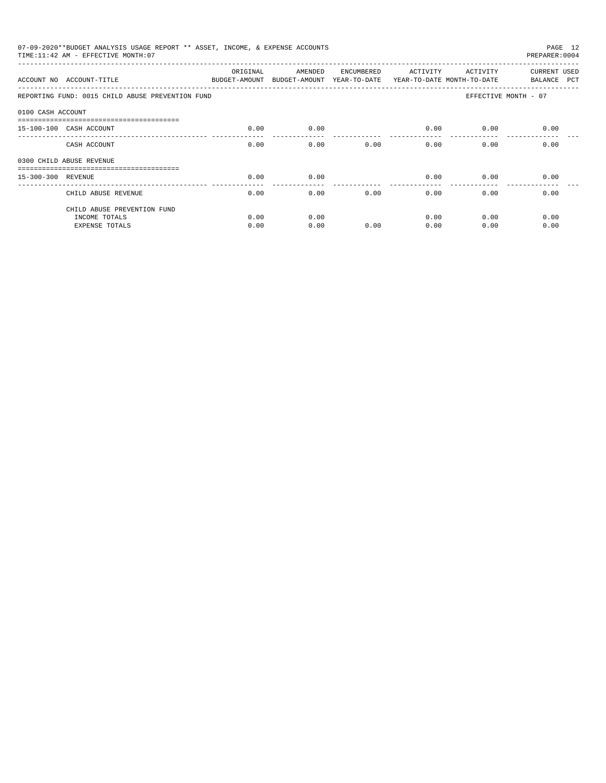| 07-09-2020**BUDGET ANALYSIS USAGE REPORT ** ASSET, INCOME, & EXPENSE ACCOUNTS<br>PAGE 12<br>TIME: 11:42 AM - EFFECTIVE MONTH: 07<br>PREPARER: 0004 |                                                               |          |         |            |                                                                   |                      |                             |  |  |
|----------------------------------------------------------------------------------------------------------------------------------------------------|---------------------------------------------------------------|----------|---------|------------|-------------------------------------------------------------------|----------------------|-----------------------------|--|--|
|                                                                                                                                                    | ACCOUNT NO ACCOUNT-TITLE <b>ACCOUNT ASSAULT</b> BUDGET-AMOUNT | ORIGINAL | AMENDED | ENCUMBERED | ACTIVITY<br>BUDGET-AMOUNT YEAR-TO-DATE YEAR-TO-DATE MONTH-TO-DATE | ACTIVITY             | CURRENT USED<br>BALANCE PCT |  |  |
|                                                                                                                                                    | REPORTING FUND: 0015 CHILD ABUSE PREVENTION FUND              |          |         |            |                                                                   | EFFECTIVE MONTH - 07 |                             |  |  |
| 0100 CASH ACCOUNT                                                                                                                                  |                                                               |          |         |            |                                                                   |                      |                             |  |  |
|                                                                                                                                                    | -------------------------------<br>15-100-100 CASH ACCOUNT    | 0.00     | 0.00    |            | 0.00                                                              | 0.00                 | 0.00                        |  |  |
|                                                                                                                                                    | CASH ACCOUNT                                                  | 0.00     | 0.00    | 0.00       | $0.00$ and $0.00$                                                 | 0.00                 | 0.00                        |  |  |
|                                                                                                                                                    | 0300 CHILD ABUSE REVENUE                                      |          |         |            |                                                                   |                      |                             |  |  |
| 15-300-300 REVENUE                                                                                                                                 |                                                               | 0.00     | 0.00    |            | 0.00                                                              | 0.00                 | 0.00                        |  |  |
|                                                                                                                                                    | CHILD ABUSE REVENUE                                           | 0.00     | 0.00    | 0.00       | _______________<br>0.00                                           | 0.00                 | 0.00                        |  |  |
|                                                                                                                                                    | CHILD ABUSE PREVENTION FUND                                   |          |         |            |                                                                   |                      |                             |  |  |
|                                                                                                                                                    | INCOME TOTALS                                                 | 0.00     | 0.00    |            | 0.00                                                              | 0.00                 | 0.00                        |  |  |
|                                                                                                                                                    | <b>EXPENSE TOTALS</b>                                         | 0.00     | 0.00    | 0.00       | 0.00                                                              | 0.00                 | 0.00                        |  |  |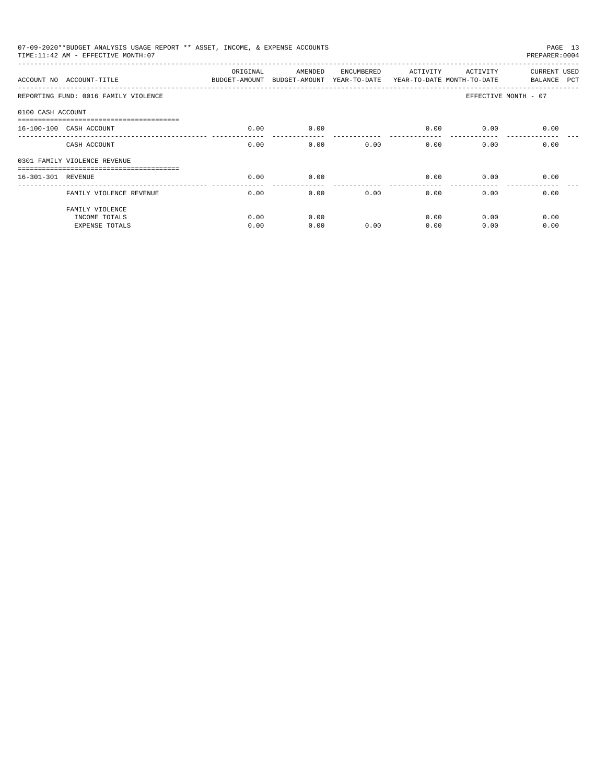|                    | 07-09-2020**BUDGET ANALYSIS USAGE REPORT ** ASSET, INCOME, & EXPENSE ACCOUNTS<br>TIME: 11:42 AM - EFFECTIVE MONTH: 07 |                                                                                 |         |            |                         |          | PAGE 13<br>PREPARER: 0004   |
|--------------------|-----------------------------------------------------------------------------------------------------------------------|---------------------------------------------------------------------------------|---------|------------|-------------------------|----------|-----------------------------|
|                    | ACCOUNT NO ACCOUNT-TITLE                                                                                              | ORIGINAL<br>BUDGET-AMOUNT BUDGET-AMOUNT YEAR-TO-DATE YEAR-TO-DATE MONTH-TO-DATE | AMENDED | ENCUMBERED | ACTIVITY                | ACTIVITY | CURRENT USED<br>BALANCE PCT |
|                    | REPORTING FUND: 0016 FAMILY VIOLENCE                                                                                  |                                                                                 |         |            |                         |          | EFFECTIVE MONTH - 07        |
| 0100 CASH ACCOUNT  |                                                                                                                       |                                                                                 |         |            |                         |          |                             |
|                    | 16-100-100 CASH ACCOUNT                                                                                               | 0.00                                                                            | 0.00    |            | 0.00                    | 0.00     | 0.00                        |
|                    | CASH ACCOUNT                                                                                                          | 0.00                                                                            | 0.00    | 0.00       | 0.00                    | 0.00     | 0.00                        |
|                    | 0301 FAMILY VIOLENCE REVENUE                                                                                          |                                                                                 |         |            |                         |          |                             |
| 16-301-301 REVENUE |                                                                                                                       | 0.00                                                                            | 0.00    |            | 0.00                    | 0.00     | 0.00                        |
|                    | FAMILY VIOLENCE REVENUE                                                                                               | 0.00                                                                            | 0.00    | 0.00       | _______________<br>0.00 | 0.00     | 0.00                        |
|                    | FAMILY VIOLENCE<br>INCOME TOTALS                                                                                      | 0.00                                                                            | 0.00    |            | 0.00                    | 0.00     | 0.00                        |
|                    | <b>EXPENSE TOTALS</b>                                                                                                 | 0.00                                                                            | 0.00    | 0.00       | 0.00                    | 0.00     | 0.00                        |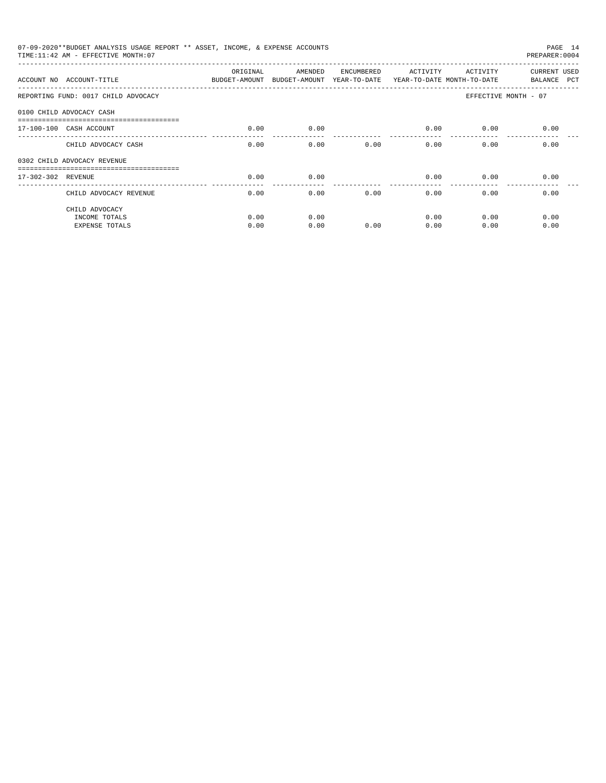| 07-09-2020**BUDGET ANALYSIS USAGE REPORT ** ASSET, INCOME, & EXPENSE ACCOUNTS<br>PAGE 14<br>TIME: 11:42 AM - EFFECTIVE MONTH: 07<br>PREPARER: 0004 |              |              |            |                         |                       |                             |  |  |
|----------------------------------------------------------------------------------------------------------------------------------------------------|--------------|--------------|------------|-------------------------|-----------------------|-----------------------------|--|--|
| ACCOUNT NO ACCOUNT-TITLE COMPARED BUDGET-AMOUNT BUDGET-AMOUNT YEAR-TO-DATE YEAR-TO-DATE MONTH-TO-DATE                                              | ORIGINAL     | AMENDED      | ENCUMBERED | ACTIVITY                | ACTIVITY              | CURRENT USED<br>BALANCE PCT |  |  |
| REPORTING FUND: 0017 CHILD ADVOCACY                                                                                                                |              |              |            |                         |                       | EFFECTIVE MONTH - 07        |  |  |
| 0100 CHILD ADVOCACY CASH                                                                                                                           |              |              |            |                         |                       |                             |  |  |
| 17-100-100 CASH ACCOUNT                                                                                                                            | 0.00         | 0.00         |            | 0.00                    | 0.00                  | 0.00                        |  |  |
| CHILD ADVOCACY CASH                                                                                                                                | 0.00         | 0.00         | 0.00       |                         | 0.00<br>0.00          | 0.00                        |  |  |
| 0302 CHILD ADVOCACY REVENUE                                                                                                                        |              |              |            |                         |                       |                             |  |  |
| 17-302-302 REVENUE                                                                                                                                 | 0.00         | 0.00         |            | 0.00<br>_______________ | 0.00<br>------------- | 0.00                        |  |  |
| CHILD ADVOCACY REVENUE                                                                                                                             | 0.00         | 0.00         | 0.00       | 0.00                    | 0.00                  | 0.00                        |  |  |
| CHILD ADVOCACY<br>INCOME TOTALS<br><b>EXPENSE TOTALS</b>                                                                                           | 0.00<br>0.00 | 0.00<br>0.00 | 0.00       | 0.00<br>0.00            | 0.00<br>0.00          | 0.00<br>0.00                |  |  |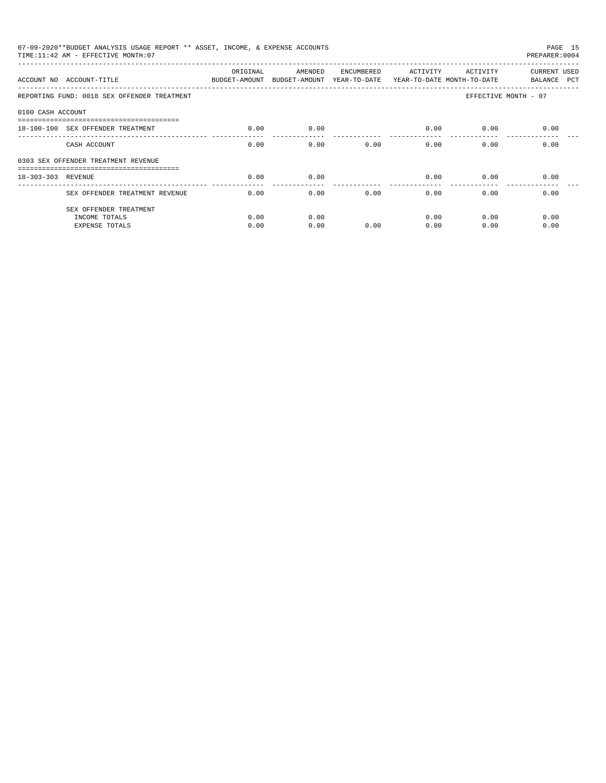| 07-09-2020**BUDGET ANALYSIS USAGE REPORT ** ASSET, INCOME, & EXPENSE ACCOUNTS<br>PAGE 15<br>TIME: 11:42 AM - EFFECTIVE MONTH: 07<br>PREPARER: 0004 |                                             |                           |                                                                  |            |                        |          |                             |  |  |
|----------------------------------------------------------------------------------------------------------------------------------------------------|---------------------------------------------|---------------------------|------------------------------------------------------------------|------------|------------------------|----------|-----------------------------|--|--|
|                                                                                                                                                    | ACCOUNT NO ACCOUNT-TITUE                    | ORIGINAL<br>BUDGET-AMOUNT | AMENDED<br>BUDGET-AMOUNT YEAR-TO-DATE YEAR-TO-DATE MONTH-TO-DATE | ENCUMBERED | ACTIVITY               | ACTIVITY | CURRENT USED<br>BALANCE PCT |  |  |
|                                                                                                                                                    | REPORTING FUND: 0018 SEX OFFENDER TREATMENT |                           |                                                                  |            |                        |          | EFFECTIVE MONTH - 07        |  |  |
| 0100 CASH ACCOUNT                                                                                                                                  |                                             |                           |                                                                  |            |                        |          |                             |  |  |
|                                                                                                                                                    | 18-100-100 SEX OFFENDER TREATMENT           | 0.00                      | 0.00                                                             |            | 0.00                   | 0.00     | 0.00                        |  |  |
|                                                                                                                                                    | CASH ACCOUNT                                | 0.00                      | 0.00                                                             | 0.00       | 0.00                   | 0.00     | 0.00                        |  |  |
|                                                                                                                                                    | 0303 SEX OFFENDER TREATMENT REVENUE         |                           |                                                                  |            |                        |          |                             |  |  |
| 18-303-303 REVENUE                                                                                                                                 |                                             | 0.00                      | 0.00                                                             |            | 0.00<br>-------------- | 0.00     | 0.00                        |  |  |
|                                                                                                                                                    | SEX OFFENDER TREATMENT REVENUE              | 0.00                      | 0.00                                                             | 0.00       | 0.00                   | 0.00     | 0.00                        |  |  |
|                                                                                                                                                    | SEX OFFENDER TREATMENT                      |                           |                                                                  |            |                        |          |                             |  |  |
|                                                                                                                                                    | INCOME TOTALS                               | 0.00                      | 0.00                                                             |            | 0.00                   | 0.00     | 0.00                        |  |  |
|                                                                                                                                                    | <b>EXPENSE TOTALS</b>                       | 0.00                      | 0.00                                                             | 0.00       | 0.00                   | 0.00     | 0.00                        |  |  |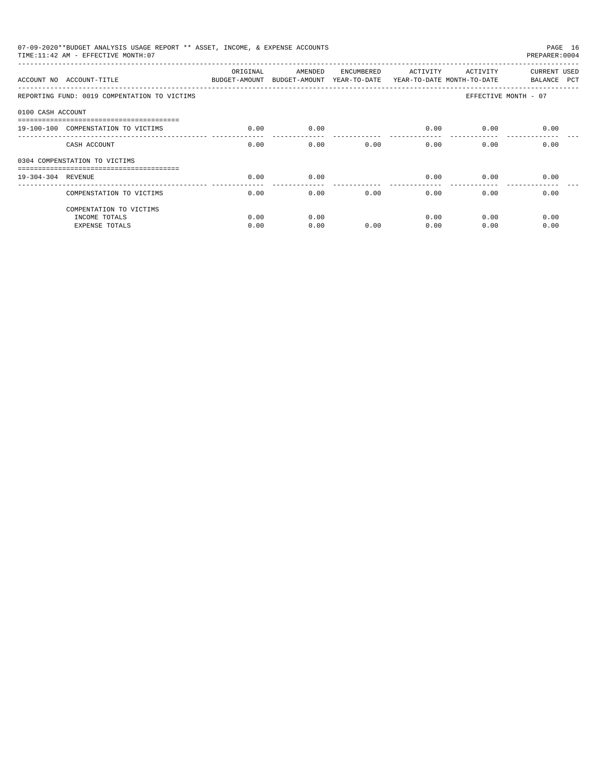| 07-09-2020**BUDGET ANALYSIS USAGE REPORT ** ASSET, INCOME, & EXPENSE ACCOUNTS<br>PAGE 16<br>TIME: 11:42 AM - EFFECTIVE MONTH: 07<br>PREPARER: 0004 |                                                                                                      |          |         |            |          |          |                             |  |  |
|----------------------------------------------------------------------------------------------------------------------------------------------------|------------------------------------------------------------------------------------------------------|----------|---------|------------|----------|----------|-----------------------------|--|--|
|                                                                                                                                                    | ACCOUNT NO ACCOUNT-TITLE COMPUTE BUDGET-AMOUNT BUDGET-AMOUNT YEAR-TO-DATE YEAR-TO-DATE MONTH-TO-DATE | ORIGINAL | AMENDED | ENCUMBERED | ACTIVITY | ACTIVITY | CURRENT USED<br>BALANCE PCT |  |  |
|                                                                                                                                                    | REPORTING FUND: 0019 COMPENTATION TO VICTIMS                                                         |          |         |            |          |          | EFFECTIVE MONTH - 07        |  |  |
| 0100 CASH ACCOUNT                                                                                                                                  |                                                                                                      |          |         |            |          |          |                             |  |  |
|                                                                                                                                                    | 19-100-100 COMPENSTATION TO VICTIMS                                                                  | 0.00     | 0.00    |            | 0.00     | 0.00     | 0.00                        |  |  |
|                                                                                                                                                    | CASH ACCOUNT                                                                                         | 0.00     | 0.00    | 0.00       | 0.00     | 0.00     | 0.00                        |  |  |
|                                                                                                                                                    | 0304 COMPENSTATION TO VICTIMS                                                                        |          |         |            |          |          |                             |  |  |
| 19-304-304 REVENUE                                                                                                                                 |                                                                                                      | 0.00     | 0.00    |            | 0.00     | 0.00     | 0.00                        |  |  |
|                                                                                                                                                    | COMPENSTATION TO VICTIMS                                                                             | 0.00     | 0.00    | 0.00       | 0.00     | 0.00     | 0.00                        |  |  |
|                                                                                                                                                    | COMPENTATION TO VICTIMS                                                                              |          |         |            |          |          |                             |  |  |
|                                                                                                                                                    | INCOME TOTALS                                                                                        | 0.00     | 0.00    |            | 0.00     | 0.00     | 0.00                        |  |  |
|                                                                                                                                                    | <b>EXPENSE TOTALS</b>                                                                                | 0.00     | 0.00    | 0.00       | 0.00     | 0.00     | 0.00                        |  |  |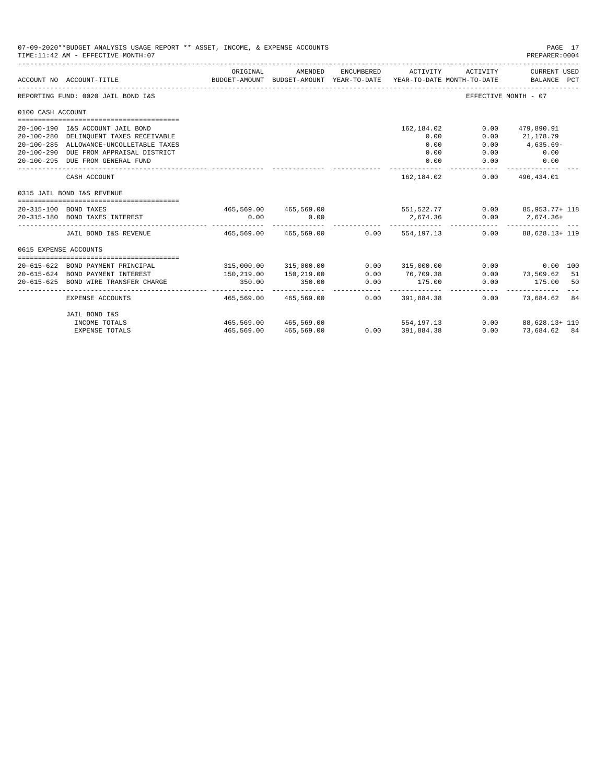|                       | 07-09-2020**BUDGET ANALYSIS USAGE REPORT ** ASSET, INCOME, & EXPENSE ACCOUNTS<br>TIME: 11:42 AM - EFFECTIVE MONTH: 07 |                         |                                                     |            |                                        |                      | PAGE 17<br>PREPARER: 0004                                                    |
|-----------------------|-----------------------------------------------------------------------------------------------------------------------|-------------------------|-----------------------------------------------------|------------|----------------------------------------|----------------------|------------------------------------------------------------------------------|
|                       | ACCOUNT NO ACCOUNT-TITLE                                                                                              | ORIGINAL                | AMENDED<br>BUDGET-AMOUNT BUDGET-AMOUNT YEAR-TO-DATE | ENCUMBERED | ACTIVITY<br>YEAR-TO-DATE MONTH-TO-DATE | ACTIVITY             | CURRENT USED<br>BALANCE PCT                                                  |
|                       | REPORTING FUND: 0020 JAIL BOND I&S                                                                                    |                         |                                                     |            |                                        | EFFECTIVE MONTH - 07 |                                                                              |
| 0100 CASH ACCOUNT     |                                                                                                                       |                         |                                                     |            |                                        |                      |                                                                              |
|                       | 20-100-190 I&S ACCOUNT JAIL BOND<br>20-100-280 DELINQUENT TAXES RECEIVABLE                                            |                         |                                                     |            | 162,184.02<br>0.00                     | 0.00<br>0.00         | 479,890.91<br>21,178.79                                                      |
|                       | 20-100-285 ALLOWANCE-UNCOLLETABLE TAXES<br>20-100-290 DUE FROM APPRAISAL DISTRICT                                     |                         |                                                     |            | 0.00<br>0.00                           | 0.00<br>0.00         | 4,635.69-<br>0.00                                                            |
|                       | 20-100-295 DUE FROM GENERAL FUND                                                                                      |                         |                                                     |            | 0.00                                   | 0.00                 | 0.00                                                                         |
|                       | CASH ACCOUNT                                                                                                          |                         |                                                     |            | 162, 184, 02                           | 0.00                 | 496,434.01                                                                   |
|                       | 0315 JAIL BOND I&S REVENUE                                                                                            |                         |                                                     |            |                                        |                      |                                                                              |
|                       | 20-315-100 BOND TAXES<br>20-315-180 BOND TAXES INTEREST                                                               | 0.00                    | 0.00                                                |            | 2,674.36                               |                      | 465.569.00 465.569.00 551.522.77 0.00 85.953.77 118<br>$0.00$ 2,674.36+<br>. |
|                       | JAIL BOND I&S REVENUE 465.569.00 465.569.00 0.00 554.197.13                                                           |                         |                                                     |            |                                        |                      | $0.00$ $88.628.13 + 119$                                                     |
| 0615 EXPENSE ACCOUNTS |                                                                                                                       |                         |                                                     |            |                                        |                      |                                                                              |
|                       | 20-615-622 BOND PAYMENT PRINCIPAL                                                                                     |                         | 315,000.00 315,000.00                               |            | 0.00 315,000.00                        |                      | 0.00<br>0.00 100                                                             |
|                       | 20-615-624 BOND PAYMENT INTEREST                                                                                      | 150,219.00              | 150,219.00                                          | 0.00       | 76,709.38                              | 0.00                 | 73,509.62 51                                                                 |
| 20-615-625            | BOND WIRE TRANSFER CHARGE                                                                                             | 350.00<br>------------- | 350.00<br>-------------                             | 0.00       | 175.00                                 | 0.00                 | 175.00<br>50<br>-----------                                                  |
|                       | EXPENSE ACCOUNTS                                                                                                      | 465,569.00              | 465,569.00                                          | 0.00       | 391,884.38                             |                      | 0.00 73,684.62 84                                                            |
|                       | JAIL BOND I&S                                                                                                         |                         |                                                     |            |                                        |                      |                                                                              |
|                       | INCOME TOTALS                                                                                                         |                         | 465,569,00 465,569,00                               |            | 554, 197. 13                           |                      | $0.00$ $88.628.13 + 119$                                                     |
|                       | <b>EXPENSE TOTALS</b>                                                                                                 | 465,569.00              | 465,569.00                                          |            | $0.00$ 391,884.38                      |                      | $0.00$ $73.684.62$ $84$                                                      |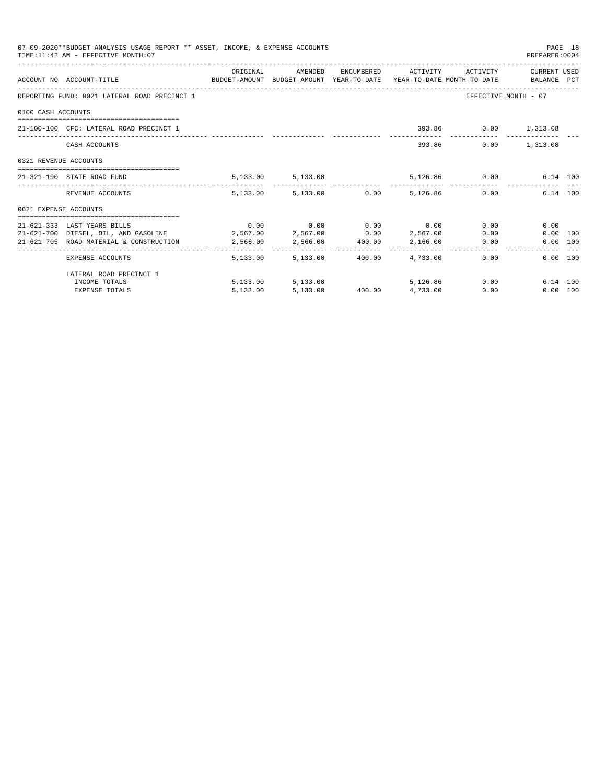|                       | 07-09-2020**BUDGET ANALYSIS USAGE REPORT ** ASSET, INCOME, & EXPENSE ACCOUNTS<br>TIME: 11:42 AM - EFFECTIVE MONTH: 07 |          |                                      |        |                                           |               | PREPARER: 0004       | PAGE 18 |
|-----------------------|-----------------------------------------------------------------------------------------------------------------------|----------|--------------------------------------|--------|-------------------------------------------|---------------|----------------------|---------|
|                       | ACCOUNT NO ACCOUNT-TITLE TO BUDGET-AMOUNT BUDGET-AMOUNT YEAR-TO-DATE YEAR-TO-DATE MONTH-TO-DATE BALANCE PCT           | ORIGINAL | AMENDED                              |        | ENCUMBERED ACTIVITY ACTIVITY CURRENT USED |               |                      |         |
|                       | REPORTING FUND: 0021 LATERAL ROAD PRECINCT 1                                                                          |          |                                      |        |                                           |               | EFFECTIVE MONTH - 07 |         |
| 0100 CASH ACCOUNTS    |                                                                                                                       |          |                                      |        |                                           |               |                      |         |
|                       | 21-100-100 CFC: LATERAL ROAD PRECINCT 1                                                                               |          |                                      |        |                                           |               | 393.86 0.00 1,313.08 |         |
|                       | CASH ACCOUNTS                                                                                                         |          |                                      |        |                                           | 393.86        | $0.00$ 1,313.08      |         |
| 0321 REVENUE ACCOUNTS |                                                                                                                       |          |                                      |        |                                           |               |                      |         |
|                       | 21-321-190 STATE ROAD FUND                                                                                            |          | 5, 133.00 5, 133.00                  |        |                                           | 5,126.86 0.00 | 6.14 100             |         |
|                       | REVENUE ACCOUNTS                                                                                                      |          | 5,133.00 5,133.00 0.00 5,126.86 0.00 |        |                                           |               | 6.14 100             |         |
| 0621 EXPENSE ACCOUNTS |                                                                                                                       |          |                                      |        |                                           |               |                      |         |
|                       | 21-621-333 LAST YEARS BILLS                                                                                           |          | $0.00$ $0.00$ $0.00$ $0.00$ $0.00$   |        |                                           |               | 0.00<br>0.00         |         |
|                       | $21-621-700$ DIESEL, OIL, AND GASOLINE $2,567.00$ $2,567.00$ $0.00$ $2,567.00$                                        |          |                                      |        |                                           |               | 0.00<br>0.00 100     |         |
|                       | 21-621-705 ROAD MATERIAL & CONSTRUCTION 2,566.00                                                                      |          | 2,566.00 400.00 2,166.00             |        |                                           |               | 0.00<br>0.00 100     |         |
|                       | EXPENSE ACCOUNTS                                                                                                      |          | 5,133,00 5,133,00                    | 400.00 | 4,733.00                                  | 0.00          | 0.00 100             |         |
|                       | LATERAL ROAD PRECINCT 1                                                                                               |          |                                      |        |                                           |               |                      |         |
|                       | INCOME TOTALS                                                                                                         |          | 5,133.00 5,133.00                    |        | 5,126,86                                  |               | 0.00<br>6.14 100     |         |
|                       | <b>EXPENSE TOTALS</b>                                                                                                 | 5,133.00 |                                      |        | 5,133.00 400.00 4,733.00                  | 0.00          | 0.00 100             |         |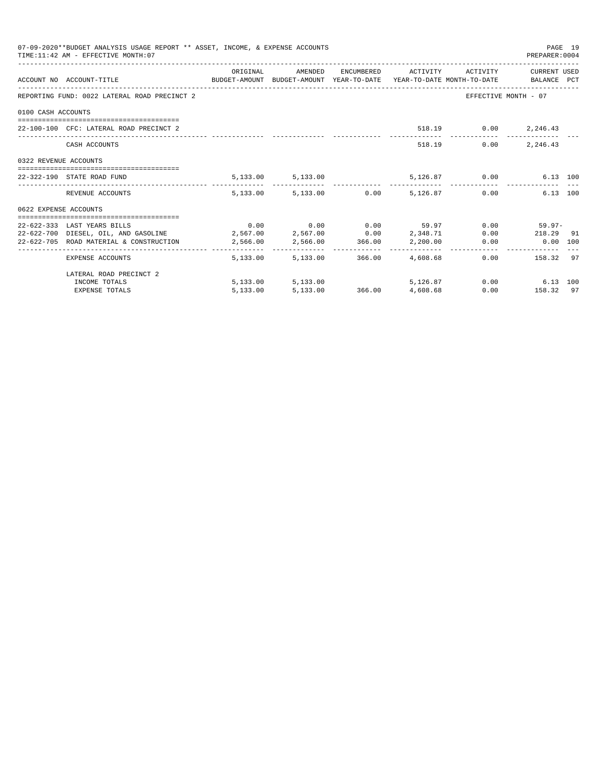| 07-09-2020**BUDGET ANALYSIS USAGE REPORT ** ASSET, INCOME, & EXPENSE ACCOUNTS<br>PAGE 19<br>TIME: 11:42 AM - EFFECTIVE MONTH: 07<br>PREPARER: 0004 |                                                                                                                  |          |                          |  |                                                            |                          |                  |  |  |
|----------------------------------------------------------------------------------------------------------------------------------------------------|------------------------------------------------------------------------------------------------------------------|----------|--------------------------|--|------------------------------------------------------------|--------------------------|------------------|--|--|
|                                                                                                                                                    |                                                                                                                  | ORIGINAL |                          |  | AMENDED ENCUMBERED ACTIVITY ACTIVITY CURRENT_USED          |                          |                  |  |  |
|                                                                                                                                                    | ACCOUNT NO ACCOUNT-TITLE CONTROL BUDGET-AMOUNT BUDGET-AMOUNT YEAR-TO-DATE YEAR-TO-DATE MONTH-TO-DATE BALANCE PCT |          |                          |  |                                                            |                          |                  |  |  |
|                                                                                                                                                    | REPORTING FUND: 0022 LATERAL ROAD PRECINCT 2                                                                     |          |                          |  |                                                            | EFFECTIVE MONTH - 07     |                  |  |  |
| 0100 CASH ACCOUNTS                                                                                                                                 |                                                                                                                  |          |                          |  |                                                            |                          |                  |  |  |
|                                                                                                                                                    | 22-100-100 CFC: LATERAL ROAD PRECINCT 2                                                                          |          |                          |  |                                                            | 518.19   0.00   2,246.43 |                  |  |  |
|                                                                                                                                                    |                                                                                                                  |          |                          |  |                                                            |                          |                  |  |  |
|                                                                                                                                                    | CASH ACCOUNTS                                                                                                    |          |                          |  |                                                            | 518.19 0.00              | 2,246.43         |  |  |
| 0322 REVENUE ACCOUNTS                                                                                                                              |                                                                                                                  |          |                          |  |                                                            |                          |                  |  |  |
|                                                                                                                                                    | 22-322-190 STATE ROAD FUND                                                                                       |          |                          |  | 5,133.00 5,133.00 5,126.87 0.00                            |                          | 6.13 100         |  |  |
|                                                                                                                                                    | REVENUE ACCOUNTS                                                                                                 |          |                          |  | $5,133.00$ $5,133.00$ $0.00$ $5,126.87$ $0.00$             |                          | 6.13 100         |  |  |
| 0622 EXPENSE ACCOUNTS                                                                                                                              |                                                                                                                  |          |                          |  |                                                            |                          |                  |  |  |
|                                                                                                                                                    | 22-622-333 LAST YEARS BILLS                                                                                      |          |                          |  | $0.00$ $0.00$ $0.00$ $59.97$ $0.00$ $59.97$ $0.00$ $59.97$ |                          |                  |  |  |
|                                                                                                                                                    | $22-622-700$ DIESEL, OIL, AND GASOLINE $2,567.00$ $2,567.00$ $0.00$ $2,348.71$                                   |          |                          |  |                                                            |                          | $0.00$ 218.29 91 |  |  |
|                                                                                                                                                    | 22-622-705 ROAD MATERIAL & CONSTRUCTION 2,566.00 2,566.00 366.00 2,200.00 0.00                                   |          |                          |  |                                                            |                          | 0.00 100         |  |  |
|                                                                                                                                                    | EXPENSE ACCOUNTS                                                                                                 |          | 5,133.00 5,133.00 366.00 |  | 4,608.68                                                   |                          | 0.00 158.32 97   |  |  |
|                                                                                                                                                    | LATERAL ROAD PRECINCT 2                                                                                          |          |                          |  |                                                            |                          |                  |  |  |
|                                                                                                                                                    | INCOME TOTALS                                                                                                    |          | 5,133.00 5,133.00        |  |                                                            | 5,126.87 0.00 6.13 100   |                  |  |  |
|                                                                                                                                                    | <b>EXPENSE TOTALS</b>                                                                                            |          |                          |  | 5,133.00 5,133.00 366.00 4,608.68                          |                          | $0.00$ 158.32 97 |  |  |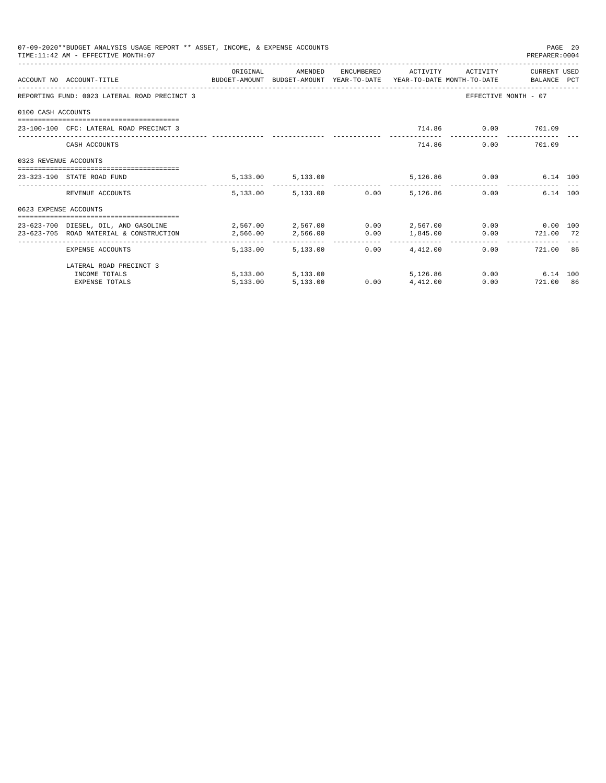| 07-09-2020**BUDGET ANALYSIS USAGE REPORT ** ASSET, INCOME, & EXPENSE ACCOUNTS<br>PAGE 20<br>TIME: 11:42 AM - EFFECTIVE MONTH: 07<br>PREPARER: 0004 |                                                                                                                  |            |                        |  |                        |                    |                               |  |  |  |
|----------------------------------------------------------------------------------------------------------------------------------------------------|------------------------------------------------------------------------------------------------------------------|------------|------------------------|--|------------------------|--------------------|-------------------------------|--|--|--|
|                                                                                                                                                    |                                                                                                                  | ORIGINAL   | AMENDED                |  | ENCUMBERED ACTIVITY    | ACTIVITY           | CURRENT USED                  |  |  |  |
|                                                                                                                                                    | ACCOUNT NO ACCOUNT-TITLE CONTROL SUDGET-AMOUNT BUDGET-AMOUNT YEAR-TO-DATE YEAR-TO-DATE MONTH-TO-DATE BALANCE PCT |            |                        |  |                        |                    |                               |  |  |  |
|                                                                                                                                                    | REPORTING FUND: 0023 LATERAL ROAD PRECINCT 3                                                                     |            |                        |  |                        |                    | EFFECTIVE MONTH - 07          |  |  |  |
| 0100 CASH ACCOUNTS                                                                                                                                 |                                                                                                                  |            |                        |  |                        |                    |                               |  |  |  |
|                                                                                                                                                    | 23-100-100 CFC: LATERAL ROAD PRECINCT 3                                                                          |            |                        |  |                        | 714.86 0.00 701.09 |                               |  |  |  |
|                                                                                                                                                    | CASH ACCOUNTS                                                                                                    |            |                        |  |                        | 714.86             | 0.00 701.09                   |  |  |  |
| 0323 REVENUE ACCOUNTS                                                                                                                              |                                                                                                                  |            |                        |  |                        |                    |                               |  |  |  |
|                                                                                                                                                    | 23-323-190 STATE ROAD FUND                                                                                       |            | 5, 133.00 5, 133.00    |  |                        | 5,126.86 0.00      | 6.14 100                      |  |  |  |
|                                                                                                                                                    | REVENUE ACCOUNTS                                                                                                 |            | 5,133.00 5,133.00 0.00 |  | 5,126.86               |                    | 6.14 100<br>0.00              |  |  |  |
| 0623 EXPENSE ACCOUNTS                                                                                                                              |                                                                                                                  |            |                        |  |                        |                    |                               |  |  |  |
|                                                                                                                                                    | 23-623-700 DIESEL, OIL, AND GASOLINE $2.567.00$ $2.567.00$ $0.00$ $2.567.00$ $0.00$ $0.00$ $0.00$ $0.00$         |            |                        |  |                        |                    |                               |  |  |  |
|                                                                                                                                                    | 23-623-705 ROAD MATERIAL & CONSTRUCTION                                                                          | 2,566.00   | 2,566.00 0.00 1,845.00 |  |                        |                    | $0.00$ $721.00$ $72$          |  |  |  |
|                                                                                                                                                    | __________________________________<br>EXPENSE ACCOUNTS                                                           | -------- - | 5,133,00 5,133,00      |  | $0.00 \qquad 4.412.00$ |                    | 721.00 86<br>0.00             |  |  |  |
|                                                                                                                                                    | LATERAL ROAD PRECINCT 3                                                                                          |            |                        |  |                        |                    |                               |  |  |  |
|                                                                                                                                                    | INCOME TOTALS                                                                                                    |            | 5,133.00 5,133.00      |  | 5,126,86               |                    | $0.00$ and $0.00$<br>6.14 100 |  |  |  |
|                                                                                                                                                    | <b>EXPENSE TOTALS</b>                                                                                            | 5.133.00   | 5,133.00               |  | $0.00$ $4.412.00$      |                    | 721.00 86<br>0.00             |  |  |  |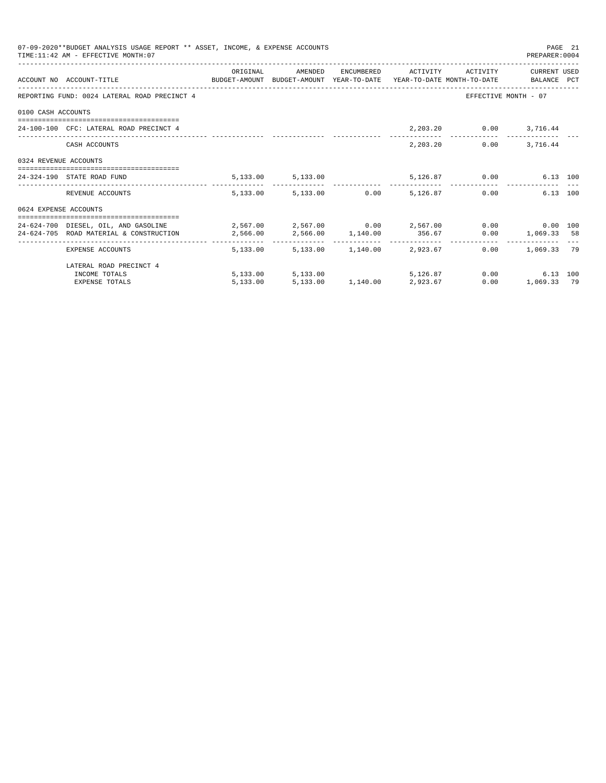|                       | 07-09-2020**BUDGET ANALYSIS USAGE REPORT ** ASSET, INCOME, & EXPENSE ACCOUNTS<br>TIME: 11:42 AM - EFFECTIVE MONTH: 07                                                                                                                                   |          |                                                   |  |                        | PREPARER: 0004                                          | PAGE 21 |
|-----------------------|---------------------------------------------------------------------------------------------------------------------------------------------------------------------------------------------------------------------------------------------------------|----------|---------------------------------------------------|--|------------------------|---------------------------------------------------------|---------|
|                       | ACCOUNT NO ACCOUNT-TITLE CONTROL PROTOCOLLY BUDGET-AMOUNT BUDGET-AMOUNT YEAR-TO-DATE YEAR-TO-DATE MONTH-TO-DATE                                                                                                                                         | ORIGINAL | AMENDED ENCUMBERED ACTIVITY ACTIVITY CURRENT_USED |  |                        |                                                         |         |
|                       | REPORTING FUND: 0024 LATERAL ROAD PRECINCT 4                                                                                                                                                                                                            |          |                                                   |  |                        | EFFECTIVE MONTH - 07                                    |         |
| 0100 CASH ACCOUNTS    |                                                                                                                                                                                                                                                         |          |                                                   |  |                        |                                                         |         |
|                       | 24-100-100 CFC: LATERAL ROAD PRECINCT 4                                                                                                                                                                                                                 |          |                                                   |  | 2,203.20 0.00 3,716.44 |                                                         |         |
|                       | CASH ACCOUNTS                                                                                                                                                                                                                                           |          |                                                   |  | 2,203.20               | $0.00$ 3,716.44                                         |         |
| 0324 REVENUE ACCOUNTS |                                                                                                                                                                                                                                                         |          |                                                   |  |                        |                                                         |         |
|                       | 24-324-190 STATE ROAD FUND                                                                                                                                                                                                                              |          | 5, 133.00 5, 133.00                               |  | 5,126.87 0.00          | 6.13 100                                                |         |
|                       | REVENUE ACCOUNTS                                                                                                                                                                                                                                        |          | 5,133.00 5,133.00 0.00 5,126.87                   |  |                        | 0.00<br>6.13 100                                        |         |
| 0624 EXPENSE ACCOUNTS |                                                                                                                                                                                                                                                         |          |                                                   |  |                        |                                                         |         |
|                       | 24-624-700 DIESEL, OIL, AND GASOLINE $2,567.00$ $2,567.00$ $0.00$ $2,567.00$ $0.00$ $0.00$ $0.00$ $0.00$<br>$2,566.00 \qquad \qquad 2,566.00 \qquad \qquad 1,140.00 \qquad \qquad 356.67 \qquad \qquad 0.00 \qquad \qquad 1,069.33 \qquad \qquad 58.59$ |          |                                                   |  |                        |                                                         |         |
|                       | EXPENSE ACCOUNTS                                                                                                                                                                                                                                        |          | 5,133.00 5,133.00 1,140.00 2,923.67               |  |                        | _________________________________<br>$0.00$ 1,069.33 79 |         |
|                       | LATERAL ROAD PRECINCT 4                                                                                                                                                                                                                                 |          |                                                   |  |                        |                                                         |         |
|                       | INCOME TOTALS                                                                                                                                                                                                                                           |          | 5,133.00 5,133.00                                 |  | 5.126.87 0.00          | 6.13 100                                                |         |
|                       | <b>EXPENSE TOTALS</b>                                                                                                                                                                                                                                   | 5.133.00 | 5,133.00 1,140.00 2,923.67                        |  | 0.00                   | 1,069.33 79                                             |         |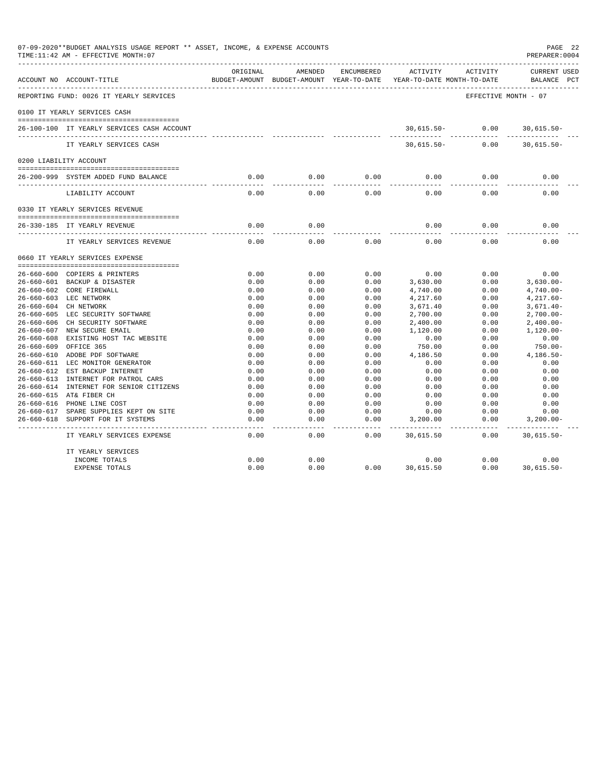| 07-09-2020**BUDGET ANALYSIS USAGE REPORT ** ASSET, INCOME, & EXPENSE ACCOUNTS<br>TIME:11:42 AM - EFFECTIVE MONTH:07 |                                            |                   |                       |                   |                                                                                 |                      |                                    |  |
|---------------------------------------------------------------------------------------------------------------------|--------------------------------------------|-------------------|-----------------------|-------------------|---------------------------------------------------------------------------------|----------------------|------------------------------------|--|
|                                                                                                                     | ACCOUNT NO ACCOUNT-TITLE                   | ORIGINAL          | AMENDED               | ENCUMBERED        | ACTIVITY<br>BUDGET-AMOUNT BUDGET-AMOUNT YEAR-TO-DATE YEAR-TO-DATE MONTH-TO-DATE | ACTIVITY             | <b>CURRENT USED</b><br>BALANCE PCT |  |
|                                                                                                                     | REPORTING FUND: 0026 IT YEARLY SERVICES    |                   |                       |                   |                                                                                 | EFFECTIVE MONTH - 07 |                                    |  |
|                                                                                                                     | 0100 IT YEARLY SERVICES CASH               |                   |                       |                   |                                                                                 |                      |                                    |  |
|                                                                                                                     | 26-100-100 IT YEARLY SERVICES CASH ACCOUNT |                   |                       |                   | $30,615.50 - 0.00$<br>____________                                              | ------------         | $30,615.50 -$<br>-------------     |  |
|                                                                                                                     | IT YEARLY SERVICES CASH                    |                   |                       |                   | $30,615.50-$                                                                    | 0.00                 | $30,615.50 -$                      |  |
|                                                                                                                     | 0200 LIABILITY ACCOUNT                     |                   |                       |                   |                                                                                 |                      |                                    |  |
|                                                                                                                     | 26-200-999 SYSTEM ADDED FUND BALANCE       | 0.00              | 0.00                  | 0.00              | 0.00                                                                            | 0.00                 | 0.00                               |  |
|                                                                                                                     |                                            | $- - - -$         | ---------             | $- - - -$         |                                                                                 |                      |                                    |  |
|                                                                                                                     | LIABILITY ACCOUNT                          | 0.00              | 0.00                  | 0.00              | 0.00                                                                            | 0.00                 | 0.00                               |  |
|                                                                                                                     | 0330 IT YEARLY SERVICES REVENUE            |                   |                       |                   |                                                                                 |                      |                                    |  |
|                                                                                                                     | 26-330-185 IT YEARLY REVENUE               | 0.00              | 0.00                  |                   | 0.00                                                                            | 0.00                 | 0.00                               |  |
|                                                                                                                     |                                            | $- - - - -$       | -----                 |                   | $- - - -$                                                                       | -----                |                                    |  |
|                                                                                                                     | IT YEARLY SERVICES REVENUE                 | 0.00              | 0.00                  | 0.00              | 0.00                                                                            | 0.00                 | 0.00                               |  |
|                                                                                                                     | 0660 IT YEARLY SERVICES EXPENSE            |                   |                       |                   |                                                                                 |                      |                                    |  |
|                                                                                                                     | 26-660-600 COPIERS & PRINTERS              | 0.00              | 0.00                  | 0.00              | 0.00                                                                            | 0.00                 | 0.00                               |  |
|                                                                                                                     | 26-660-601 BACKUP & DISASTER               | 0.00              | 0.00                  | 0.00              | 3,630.00                                                                        | 0.00                 | $3,630.00 -$                       |  |
|                                                                                                                     | 26-660-602 CORE FIREWALL                   | 0.00              | 0.00                  | 0.00              | 4,740.00                                                                        | 0.00                 | $4,740.00 -$                       |  |
|                                                                                                                     | 26-660-603 LEC NETWORK                     | 0.00              | 0.00                  | 0.00              | 4,217.60                                                                        | 0.00                 | $4,217.60-$                        |  |
|                                                                                                                     | 26-660-604 CH NETWORK                      | 0.00              | 0.00                  | 0.00              | 3,671.40                                                                        | 0.00                 | $3,671.40-$                        |  |
|                                                                                                                     | 26-660-605 LEC SECURITY SOFTWARE           | 0.00              | 0.00                  | 0.00              | 2,700.00                                                                        | 0.00                 | $2,700.00-$                        |  |
|                                                                                                                     | 26-660-606 CH SECURITY SOFTWARE            | 0.00              | 0.00                  | 0.00              | 2,400.00                                                                        | 0.00                 | $2,400.00-$                        |  |
|                                                                                                                     | 26-660-607 NEW SECURE EMAIL                | 0.00              | 0.00                  | 0.00              | 1,120.00                                                                        | 0.00                 | $1.120.00 -$                       |  |
|                                                                                                                     | 26-660-608 EXISTING HOST TAC WEBSITE       | 0.00              | 0.00                  | 0.00              | 0.00                                                                            | 0.00                 | 0.00                               |  |
| $26 - 660 - 609$                                                                                                    | OFFICE 365                                 | 0.00              | 0.00                  | 0.00              | 750.00                                                                          | 0.00                 | 750.00-                            |  |
|                                                                                                                     | 26-660-610 ADOBE PDF SOFTWARE              | 0.00              | 0.00                  | 0.00              | 4,186.50                                                                        | 0.00                 | $4,186.50-$                        |  |
|                                                                                                                     | 26-660-611 LEC MONITOR GENERATOR           | 0.00              | 0.00                  | 0.00              | 0.00                                                                            | 0.00                 | 0.00                               |  |
|                                                                                                                     | 26-660-612 EST BACKUP INTERNET             | 0.00              | 0.00                  | 0.00              | 0.00                                                                            | 0.00                 | 0.00                               |  |
|                                                                                                                     | 26-660-613 INTERNET FOR PATROL CARS        | 0.00              | 0.00                  | 0.00              | 0.00                                                                            | 0.00                 | 0.00                               |  |
|                                                                                                                     | 26-660-614 INTERNET FOR SENIOR CITIZENS    | 0.00              | 0.00                  | 0.00              | 0.00                                                                            | 0.00                 | 0.00                               |  |
|                                                                                                                     | 26-660-615 AT& FIBER CH                    | 0.00              | 0.00                  | 0.00              | 0.00                                                                            | 0.00                 | 0.00                               |  |
|                                                                                                                     | 26-660-616 PHONE LINE COST                 | 0.00              | 0.00                  | 0.00              | 0.00                                                                            | 0.00                 | 0.00                               |  |
|                                                                                                                     | 26-660-617 SPARE SUPPLIES KEPT ON SITE     | 0.00              | 0.00                  | 0.00              | 0.00                                                                            | 0.00                 | 0.00                               |  |
|                                                                                                                     | 26-660-618 SUPPORT FOR IT SYSTEMS          | 0.00              | 0.00                  | 0.00              | 3,200.00                                                                        | 0.00                 | $3,200.00 -$                       |  |
|                                                                                                                     | IT YEARLY SERVICES EXPENSE                 | $- - - -$<br>0.00 | $\frac{1}{2}$<br>0.00 | $- - - -$<br>0.00 | 30,615.50                                                                       | 0.00                 | ----------<br>$30,615.50 -$        |  |
|                                                                                                                     | IT YEARLY SERVICES                         |                   |                       |                   |                                                                                 |                      |                                    |  |
|                                                                                                                     | INCOME TOTALS                              | 0.00              | 0.00                  |                   | 0.00                                                                            | 0.00                 | 0.00                               |  |
|                                                                                                                     | <b>EXPENSE TOTALS</b>                      | 0.00              | 0.00                  | 0.00              | 30,615.50                                                                       | 0.00                 | 30,615.50-                         |  |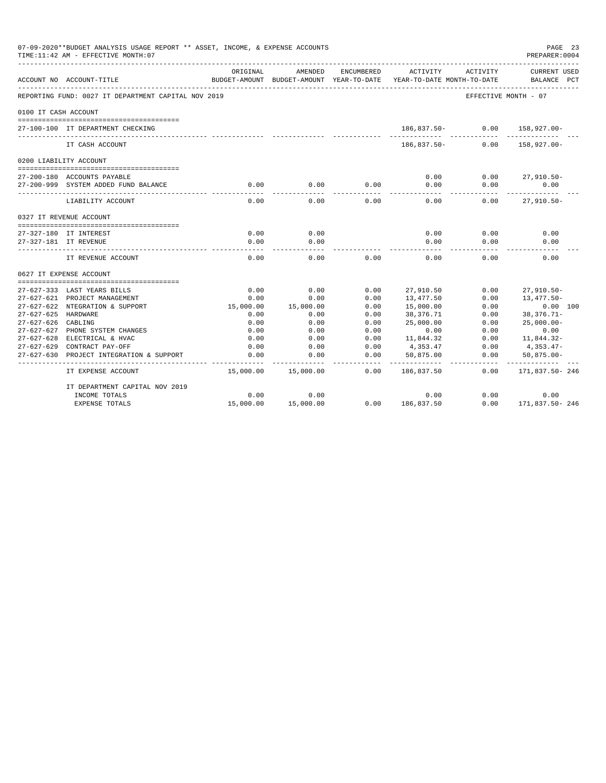| 07-09-2020**BUDGET ANALYSIS USAGE REPORT ** ASSET, INCOME, & EXPENSE ACCOUNTS<br>PREPARER: 0004<br>TIME:11:42 AM - EFFECTIVE MONTH:07 |                                                              |           |                                        |                            |                                        |              |                                    |  |
|---------------------------------------------------------------------------------------------------------------------------------------|--------------------------------------------------------------|-----------|----------------------------------------|----------------------------|----------------------------------------|--------------|------------------------------------|--|
|                                                                                                                                       | ACCOUNT NO ACCOUNT-TITLE                                     | ORIGINAL  | AMENDED<br>BUDGET-AMOUNT BUDGET-AMOUNT | ENCUMBERED<br>YEAR-TO-DATE | ACTIVITY<br>YEAR-TO-DATE MONTH-TO-DATE | ACTIVITY     | <b>CURRENT USED</b><br>BALANCE PCT |  |
|                                                                                                                                       | REPORTING FUND: 0027 IT DEPARTMENT CAPITAL NOV 2019          |           |                                        |                            |                                        |              | EFFECTIVE MONTH - 07               |  |
| 0100 IT CASH ACCOUNT                                                                                                                  |                                                              |           |                                        |                            |                                        |              |                                    |  |
|                                                                                                                                       | 27-100-100 IT DEPARTMENT CHECKING                            |           |                                        |                            | 186,837.50-                            | 0.00         | $158.927.00 -$                     |  |
|                                                                                                                                       | IT CASH ACCOUNT                                              |           |                                        |                            | 186,837.50-                            | 0.00         | 158,927.00-                        |  |
|                                                                                                                                       | 0200 LIABILITY ACCOUNT                                       |           |                                        |                            |                                        |              |                                    |  |
|                                                                                                                                       |                                                              |           |                                        |                            |                                        |              |                                    |  |
|                                                                                                                                       | 27-200-180 ACCOUNTS PAYABLE                                  |           |                                        |                            | 0.00                                   | 0.00         | $27,910.50 -$                      |  |
|                                                                                                                                       | 27-200-999 SYSTEM ADDED FUND BALANCE                         | 0.00      | 0.00                                   | 0.00                       | 0.00<br>$- - - -$                      | 0.00         | 0.00                               |  |
|                                                                                                                                       | LIABILITY ACCOUNT                                            | 0.00      | 0.00                                   | 0.00                       | 0.00                                   | 0.00         | $27,910.50 -$                      |  |
|                                                                                                                                       | 0327 IT REVENUE ACCOUNT                                      |           |                                        |                            |                                        |              |                                    |  |
|                                                                                                                                       |                                                              |           |                                        |                            |                                        |              |                                    |  |
|                                                                                                                                       | 27-327-180 IT INTEREST                                       | 0.00      | 0.00                                   |                            | 0.00                                   | 0.00         | 0.00                               |  |
|                                                                                                                                       | 27-327-181 IT REVENUE                                        | 0.00      | 0.00                                   |                            | 0.00                                   | 0.00         | 0.00                               |  |
|                                                                                                                                       | IT REVENUE ACCOUNT                                           | 0.00      | 0.00                                   | 0.00                       | 0.00                                   | 0.00         | 0.00                               |  |
|                                                                                                                                       | 0627 IT EXPENSE ACCOUNT                                      |           |                                        |                            |                                        |              |                                    |  |
|                                                                                                                                       |                                                              | 0.00      | 0.00                                   | 0.00                       |                                        |              |                                    |  |
|                                                                                                                                       | 27-627-333 LAST YEARS BILLS<br>27-627-621 PROJECT MANAGEMENT | 0.00      | 0.00                                   | 0.00                       | 27,910.50<br>13,477.50                 | 0.00<br>0.00 | $27,910.50 -$<br>13,477.50-        |  |
|                                                                                                                                       | 27-627-622 NTEGRATION & SUPPORT                              | 15,000.00 | 15,000.00                              | 0.00                       | 15,000.00                              | 0.00         | 0.00 100                           |  |
| 27-627-625 HARDWARE                                                                                                                   |                                                              | 0.00      | 0.00                                   | 0.00                       | 38,376.71                              | 0.00         | $38,376.71-$                       |  |
| $27 - 627 - 626$                                                                                                                      | CABLING                                                      | 0.00      | 0.00                                   | 0.00                       | 25,000.00                              | 0.00         | $25.000.00 -$                      |  |
|                                                                                                                                       | 27-627-627 PHONE SYSTEM CHANGES                              | 0.00      | 0.00                                   | 0.00                       | 0.00                                   | 0.00         | 0.00                               |  |
|                                                                                                                                       | 27-627-628 ELECTRICAL & HVAC                                 | 0.00      | 0.00                                   | 0.00                       | 11,844.32                              | 0.00         | 11,844.32-                         |  |
|                                                                                                                                       | 27-627-629 CONTRACT PAY-OFF                                  | 0.00      | 0.00                                   | 0.00                       | 4,353.47                               | 0.00         | 4,353.47-                          |  |
| $27 - 627 - 630$                                                                                                                      | PROJECT INTEGRATION & SUPPORT                                | 0.00      | 0.00                                   | 0.00                       | 50,875.00                              | 0.00         | $50,875.00 -$                      |  |
|                                                                                                                                       | IT EXPENSE ACCOUNT                                           | 15,000.00 | 15,000.00                              | 0.00                       | 186,837.50                             | 0.00         | -----------<br>171,837.50-246      |  |
|                                                                                                                                       | IT DEPARTMENT CAPITAL NOV 2019                               |           |                                        |                            |                                        |              |                                    |  |
|                                                                                                                                       | INCOME TOTALS                                                | 0.00      | 0.00                                   |                            | 0.00                                   | 0.00         | 0.00                               |  |
|                                                                                                                                       | <b>EXPENSE TOTALS</b>                                        | 15,000.00 | 15,000.00                              | 0.00                       | 186,837.50                             | 0.00         | 171,837.50-246                     |  |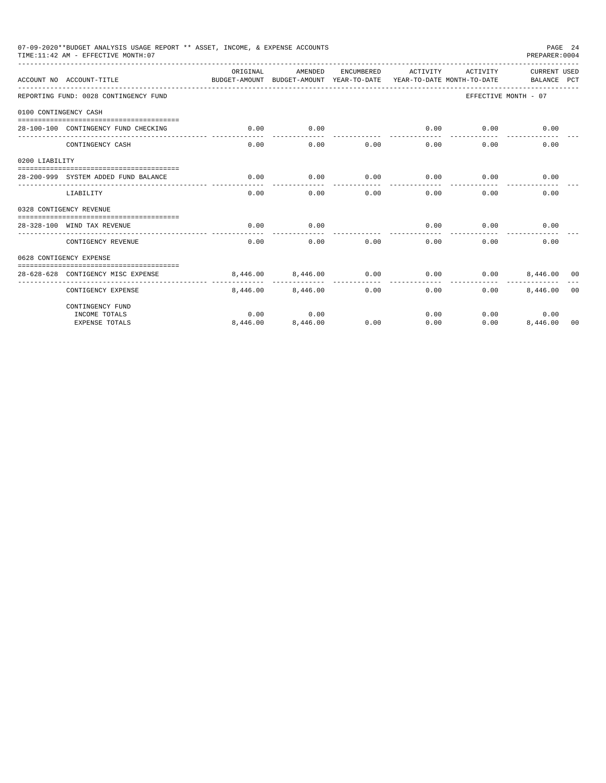| 07-09-2020**BUDGET ANALYSIS USAGE REPORT ** ASSET, INCOME, & EXPENSE ACCOUNTS<br>PAGE 24<br>TIME:11:42 AM - EFFECTIVE MONTH:07<br>PREPARER: 0004 |                                       |                                                                                 |          |            |                     |          |                             |                |  |
|--------------------------------------------------------------------------------------------------------------------------------------------------|---------------------------------------|---------------------------------------------------------------------------------|----------|------------|---------------------|----------|-----------------------------|----------------|--|
|                                                                                                                                                  | ACCOUNT NO ACCOUNT-TITLE              | ORTGINAL<br>BUDGET-AMOUNT BUDGET-AMOUNT YEAR-TO-DATE YEAR-TO-DATE MONTH-TO-DATE | AMENDED  | ENCUMBERED | ACTIVITY            | ACTIVITY | CURRENT USED<br>BALANCE PCT |                |  |
|                                                                                                                                                  | REPORTING FUND: 0028 CONTINGENCY FUND |                                                                                 |          |            |                     |          | EFFECTIVE MONTH - 07        |                |  |
| 0100 CONTINGENCY CASH                                                                                                                            |                                       |                                                                                 |          |            |                     |          |                             |                |  |
|                                                                                                                                                  | 28-100-100 CONTINGENCY FUND CHECKING  | 0.00                                                                            | 0.00     |            | 0.00<br>----------- | 0.00     | 0.00                        |                |  |
|                                                                                                                                                  | CONTINGENCY CASH                      | 0.00                                                                            | 0.00     | 0.00       | 0.00                | 0.00     | 0.00                        |                |  |
| 0200 LIABILITY                                                                                                                                   |                                       |                                                                                 |          |            |                     |          |                             |                |  |
|                                                                                                                                                  | 28-200-999 SYSTEM ADDED FUND BALANCE  | 0.00                                                                            | 0.00     | 0.00       | 0.00                | 0.00     | 0.00                        |                |  |
|                                                                                                                                                  | LIABILITY                             | 0.00                                                                            | 0.00     | 0.00       | 0.00                | 0.00     | 0.00                        |                |  |
|                                                                                                                                                  | 0328 CONTIGENCY REVENUE               |                                                                                 |          |            |                     |          |                             |                |  |
|                                                                                                                                                  | 28-328-100 WIND TAX REVENUE           | 0.00                                                                            | 0.00     |            | 0.00                | 0.00     | 0.00                        |                |  |
|                                                                                                                                                  | CONTIGENCY REVENUE                    | 0.00                                                                            | 0.00     | 0.00       | 0.00                | 0.00     | 0.00                        |                |  |
|                                                                                                                                                  | 0628 CONTIGENCY EXPENSE               |                                                                                 |          |            |                     |          |                             |                |  |
|                                                                                                                                                  | 28-628-628 CONTIGENCY MISC EXPENSE    | 8.446.00                                                                        | 8,446.00 | 0.00       | 0.00                | 0.00     | 8,446,00 00                 |                |  |
|                                                                                                                                                  | CONTIGENCY EXPENSE                    | 8,446.00                                                                        | 8,446.00 | 0.00       | 0.00                | 0.00     | 8,446.00                    | 0 <sub>0</sub> |  |
|                                                                                                                                                  | CONTINGENCY FUND                      |                                                                                 |          |            |                     |          |                             |                |  |
|                                                                                                                                                  | INCOME TOTALS                         | 0.00                                                                            | 0.00     |            | 0.00                |          | 0.00<br>0.00                |                |  |
|                                                                                                                                                  | <b>EXPENSE TOTALS</b>                 | 8,446.00                                                                        | 8,446.00 | 0.00       | 0.00                | 0.00     | 8,446.00                    | 00             |  |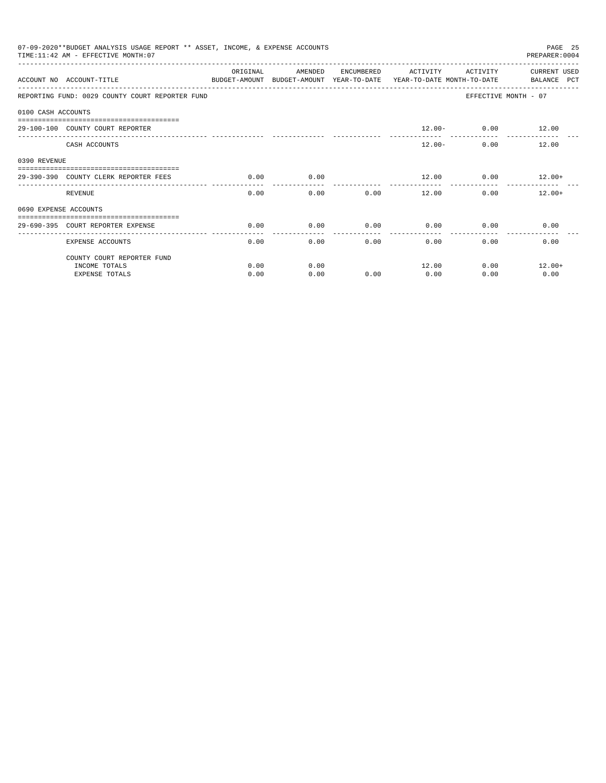|                       | 07-09-2020**BUDGET ANALYSIS USAGE REPORT ** ASSET, INCOME, & EXPENSE ACCOUNTS<br>TIME: 11:42 AM - EFFECTIVE MONTH: 07 |           |                                                     |            |              |                      | PAGE 25<br>PREPARER: 0004                                     |
|-----------------------|-----------------------------------------------------------------------------------------------------------------------|-----------|-----------------------------------------------------|------------|--------------|----------------------|---------------------------------------------------------------|
|                       | ACCOUNT NO ACCOUNT-TITLE                                                                                              | OR TGTNAL | AMENDED<br>BUDGET-AMOUNT BUDGET-AMOUNT YEAR-TO-DATE | ENCUMBERED | ACTIVITY     | ACTIVITY             | <b>CURRENT USED</b><br>YEAR-TO-DATE MONTH-TO-DATE BALANCE PCT |
|                       | REPORTING FUND: 0029 COUNTY COURT REPORTER FUND                                                                       |           |                                                     |            |              |                      | EFFECTIVE MONTH - 07                                          |
| 0100 CASH ACCOUNTS    |                                                                                                                       |           |                                                     |            |              |                      |                                                               |
|                       | 29-100-100 COUNTY COURT REPORTER                                                                                      |           |                                                     |            |              | $12.00 - 0.00$ 12.00 |                                                               |
|                       | CASH ACCOUNTS                                                                                                         |           |                                                     |            | $12.00 -$    |                      | 12.00<br>$0.00$ and $0.00$                                    |
| 0390 REVENUE          |                                                                                                                       |           |                                                     |            |              |                      |                                                               |
|                       | 29-390-390 COUNTY CLERK REPORTER FEES                                                                                 | 0.00      | 0.00                                                |            | 12.00        |                      | $0.00$ 12.00+                                                 |
|                       | <b>REVENUE</b>                                                                                                        | 0.00      | 0.00                                                | 0.00       | 12.00        |                      | 0.00<br>$12.00+$                                              |
| 0690 EXPENSE ACCOUNTS |                                                                                                                       |           |                                                     |            |              |                      |                                                               |
|                       | 29-690-395 COURT REPORTER EXPENSE                                                                                     | 0.00      | 0.00                                                | 0.00       | 0.00         | 0.00                 | 0.00                                                          |
|                       | <b>EXPENSE ACCOUNTS</b>                                                                                               | 0.00      | 0.00                                                |            | 0.00<br>0.00 | 0.00                 | 0.00                                                          |
|                       | COUNTY COURT REPORTER FUND                                                                                            |           |                                                     |            |              |                      |                                                               |
|                       | INCOME TOTALS                                                                                                         | 0.00      | 0.00                                                |            | 12.00        | 0.00                 | $12.00+$                                                      |
|                       | <b>EXPENSE TOTALS</b>                                                                                                 | 0.00      | 0.00                                                | 0.00       | 0.00         | 0.00                 | 0.00                                                          |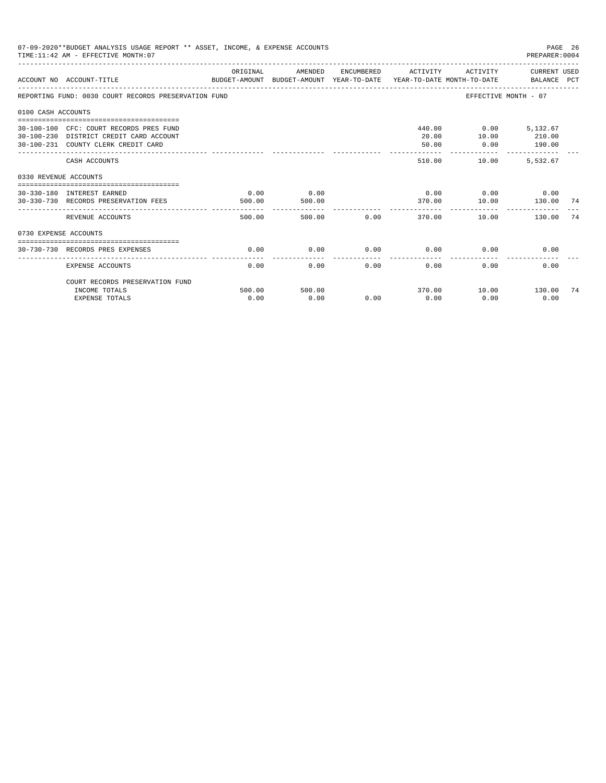|                       | 07-09-2020**BUDGET ANALYSIS USAGE REPORT ** ASSET, INCOME, & EXPENSE ACCOUNTS<br>TIME: 11:42 AM - EFFECTIVE MONTH: 07     |                |                |      |                               |                                            | PAGE 26<br>PREPARER: 0004 |    |
|-----------------------|---------------------------------------------------------------------------------------------------------------------------|----------------|----------------|------|-------------------------------|--------------------------------------------|---------------------------|----|
|                       | ACCOUNT NO ACCOUNT-TITLE COMPUTE SUDGET-AMOUNT BUDGET-AMOUNT YEAR-TO-DATE YEAR-TO-DATE MONTH-TO-DATE BALANCE PCT          | ORIGINAL       | AMENDED        |      | ENCUMBERED ACTIVITY           |                                            | ACTIVITY CURRENT USED     |    |
|                       | REPORTING FUND: 0030 COURT RECORDS PRESERVATION FUND                                                                      |                |                |      |                               | EFFECTIVE MONTH - 07                       |                           |    |
| 0100 CASH ACCOUNTS    |                                                                                                                           |                |                |      |                               |                                            |                           |    |
|                       | 30-100-100 CFC: COURT RECORDS PRES FUND<br>30-100-230 DISTRICT CREDIT CARD ACCOUNT<br>30-100-231 COUNTY CLERK CREDIT CARD |                |                |      | 20.00<br>50.00                | 440.00 0.00 5,132.67<br>10.00<br>0.00      | 210.00<br>190.00          |    |
|                       | CASH ACCOUNTS                                                                                                             |                |                |      | 510.00                        | _________________________________<br>10.00 | 5.532.67                  |    |
| 0330 REVENUE ACCOUNTS |                                                                                                                           |                |                |      |                               |                                            |                           |    |
|                       | 30-330-180 INTEREST EARNED<br>30-330-730 RECORDS PRESERVATION FEES                                                        | 0.00<br>500.00 | 0.00<br>500.00 |      | 370.00                        | $0.00$ $0.00$ $0.00$ $0.00$<br>10.00       | 130.00                    | 74 |
|                       | REVENUE ACCOUNTS                                                                                                          | 500.00         | 500.00         |      | -----------<br>0.00<br>370.00 | 10.00                                      | 130.00                    | 74 |
| 0730 EXPENSE ACCOUNTS |                                                                                                                           |                |                |      |                               |                                            |                           |    |
|                       | 30-730-730 RECORDS PRES EXPENSES                                                                                          | 0.00           | 0.00           | 0.00 | 0.00                          | 0.00                                       | 0.00                      |    |
|                       | <b>EXPENSE ACCOUNTS</b>                                                                                                   | 0.00           | 0.00           | 0.00 | 0.00                          | 0.00                                       | 0.00                      |    |
|                       | COURT RECORDS PRESERVATION FUND<br>INCOME TOTALS                                                                          | 500.00         | 500.00         |      |                               | 370.00    10.00    130.00                  |                           | 74 |
|                       | <b>EXPENSE TOTALS</b>                                                                                                     | 0.00           | 0.00           | 0.00 | 0.00                          | 0.00                                       | 0.00                      |    |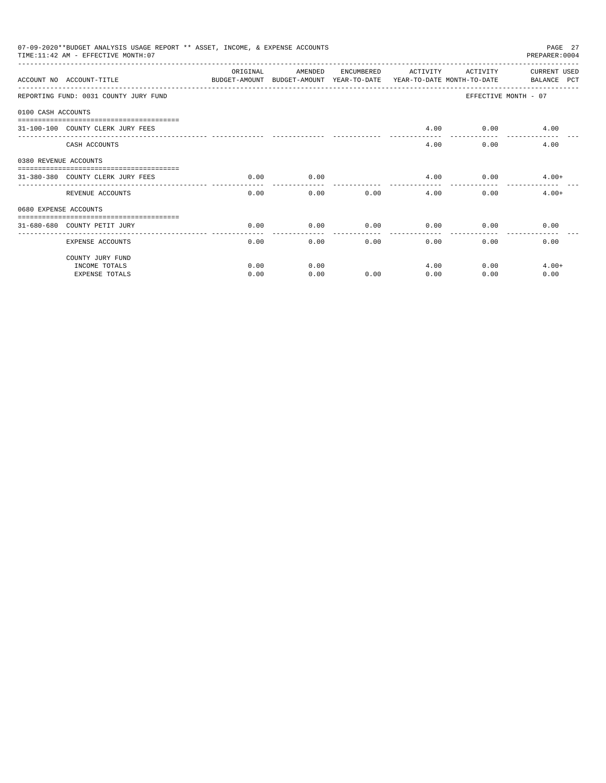|                       | 07-09-2020**BUDGET ANALYSIS USAGE REPORT ** ASSET, INCOME, & EXPENSE ACCOUNTS<br>TIME: 11:42 AM - EFFECTIVE MONTH: 07 |                    |                                                                                |            |          |              | PAGE 27<br>PREPARER: 0004   |
|-----------------------|-----------------------------------------------------------------------------------------------------------------------|--------------------|--------------------------------------------------------------------------------|------------|----------|--------------|-----------------------------|
|                       | ACCOUNT NO ACCOUNT-TITLE                                                                                              | ORIGINAL           | AMENDED<br>BUDGET-AMOUNT BUDGET-AMOUNT YEAR-TO-DATE YEAR-TO-DATE MONTH-TO-DATE | ENCUMBERED | ACTIVITY | ACTIVITY     | CURRENT USED<br>BALANCE PCT |
|                       | REPORTING FUND: 0031 COUNTY JURY FUND                                                                                 |                    |                                                                                |            |          |              | EFFECTIVE MONTH - 07        |
| 0100 CASH ACCOUNTS    |                                                                                                                       |                    |                                                                                |            |          |              |                             |
|                       | 31-100-100 COUNTY CLERK JURY FEES                                                                                     |                    |                                                                                |            | 4.00     |              | $0.00$ 4.00                 |
|                       | CASH ACCOUNTS                                                                                                         |                    |                                                                                |            | 4.00     | 0.00         | 4.00                        |
| 0380 REVENUE ACCOUNTS |                                                                                                                       |                    |                                                                                |            |          |              |                             |
|                       | 31-380-380 COUNTY CLERK JURY FEES                                                                                     | 0.00               | 0.00                                                                           |            | 4.00     |              | $0.00$ 4.00+                |
|                       | REVENUE ACCOUNTS                                                                                                      | ----------<br>0.00 | 0.00                                                                           | 0.00       | 4.00     | 0.00         | $4.00+$                     |
| 0680 EXPENSE ACCOUNTS |                                                                                                                       |                    |                                                                                |            |          |              |                             |
|                       | 31-680-680 COUNTY PETIT JURY                                                                                          | 0.00               | 0.00                                                                           | 0.00       | 0.00     | 0.00         | 0.00                        |
|                       | <b>EXPENSE ACCOUNTS</b>                                                                                               | 0.00               | 0.00                                                                           |            | 0.00     | 0.00<br>0.00 | 0.00                        |
|                       | COUNTY JURY FUND                                                                                                      |                    |                                                                                |            |          |              |                             |
|                       | INCOME TOTALS                                                                                                         | 0.00               | 0.00                                                                           |            | 4.00     | 0.00         | $4.00+$                     |
|                       | <b>EXPENSE TOTALS</b>                                                                                                 | 0.00               | 0.00                                                                           | 0.00       | 0.00     | 0.00         | 0.00                        |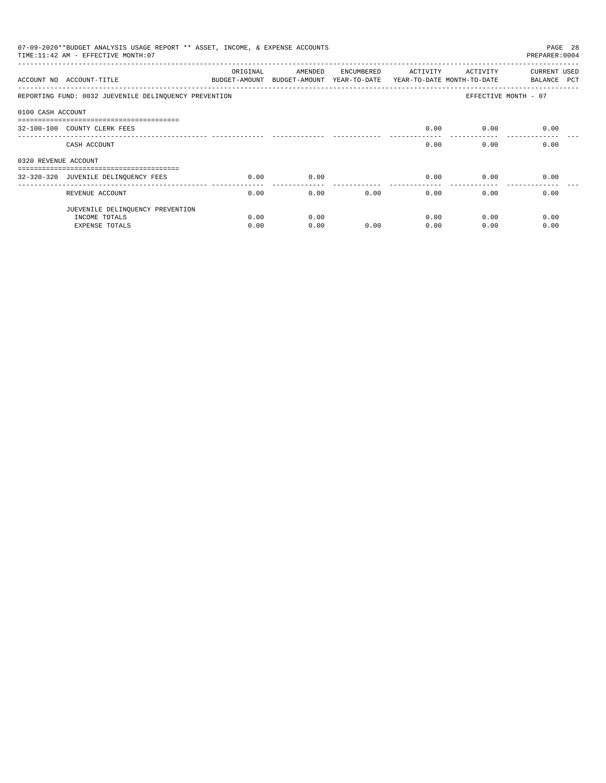|                      | 07-09-2020**BUDGET ANALYSIS USAGE REPORT ** ASSET, INCOME, & EXPENSE ACCOUNTS<br>PAGE 28<br>TIME: 11:42 AM - EFFECTIVE MONTH: 07<br>PREPARER: 0004 |                           |         |            |          |                                                                   |                                    |  |  |  |
|----------------------|----------------------------------------------------------------------------------------------------------------------------------------------------|---------------------------|---------|------------|----------|-------------------------------------------------------------------|------------------------------------|--|--|--|
|                      | ACCOUNT NO ACCOUNT-TITLE                                                                                                                           | ORIGINAL<br>BUDGET-AMOUNT | AMENDED | ENCUMBERED | ACTIVITY | ACTIVITY<br>BUDGET-AMOUNT YEAR-TO-DATE YEAR-TO-DATE MONTH-TO-DATE | <b>CURRENT USED</b><br>BALANCE PCT |  |  |  |
|                      | REPORTING FUND: 0032 JUEVENILE DELINQUENCY PREVENTION                                                                                              |                           |         |            |          |                                                                   | EFFECTIVE MONTH - 07               |  |  |  |
| 0100 CASH ACCOUNT    |                                                                                                                                                    |                           |         |            |          |                                                                   |                                    |  |  |  |
|                      | -------------------------------------<br>32-100-100 COUNTY CLERK FEES                                                                              |                           |         |            | 0.00     | 0.00                                                              | 0.00                               |  |  |  |
|                      | CASH ACCOUNT                                                                                                                                       |                           |         |            | 0.00     | 0.00                                                              | 0.00                               |  |  |  |
| 0320 REVENUE ACCOUNT |                                                                                                                                                    |                           |         |            |          |                                                                   |                                    |  |  |  |
|                      | -----------------------------------                                                                                                                |                           |         |            |          |                                                                   |                                    |  |  |  |
|                      | 32-320-320 JUVENILE DELINQUENCY FEES                                                                                                               | 0.00                      | 0.00    |            | 0.00     | 0.00                                                              | 0.00                               |  |  |  |
|                      | REVENUE ACCOUNT                                                                                                                                    | 0.00                      | 0.00    | 0.00       | 0.00     | 0.00                                                              | 0.00                               |  |  |  |
|                      | JUEVENILE DELINQUENCY PREVENTION                                                                                                                   |                           |         |            |          |                                                                   |                                    |  |  |  |
|                      | INCOME TOTALS                                                                                                                                      | 0.00                      | 0.00    |            | 0.00     | 0.00                                                              | 0.00                               |  |  |  |
|                      | <b>EXPENSE TOTALS</b>                                                                                                                              | 0.00                      | 0.00    | 0.00       | 0.00     | 0.00                                                              | 0.00                               |  |  |  |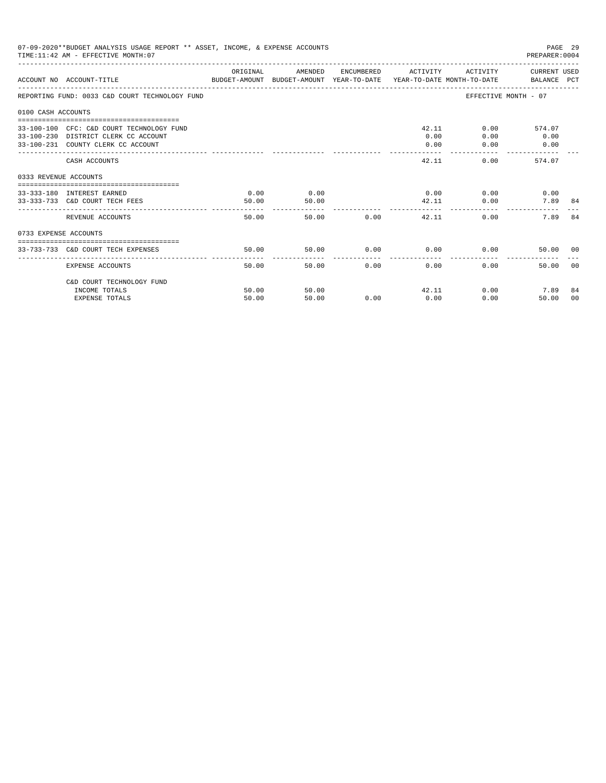| 07-09-2020**BUDGET ANALYSIS USAGE REPORT ** ASSET, INCOME, & EXPENSE ACCOUNTS<br>TIME: 11:42 AM - EFFECTIVE MONTH: 07<br>PREPARER: 0004 |                                                                                                                         |                |                |               |                     |                                            |                        |                |
|-----------------------------------------------------------------------------------------------------------------------------------------|-------------------------------------------------------------------------------------------------------------------------|----------------|----------------|---------------|---------------------|--------------------------------------------|------------------------|----------------|
|                                                                                                                                         | BUDGET-AMOUNT BUDGET-AMOUNT YEAR-TO-DATE  YEAR-TO-DATE MONTH-TO-DATE     BALANCE PCT<br>ACCOUNT NO ACCOUNT-TITLE        | ORIGINAL       | AMENDED        |               | ENCUMBERED ACTIVITY |                                            | ACTIVITY CURRENT USED  |                |
|                                                                                                                                         | REPORTING FUND: 0033 C&D COURT TECHNOLOGY FUND                                                                          |                |                |               |                     | EFFECTIVE MONTH - 07                       |                        |                |
| 0100 CASH ACCOUNTS                                                                                                                      |                                                                                                                         |                |                |               |                     |                                            |                        |                |
|                                                                                                                                         | 33-100-100 CFC: C&D COURT TECHNOLOGY FUND<br>33-100-230 DISTRICT CLERK CC ACCOUNT<br>33-100-231 COUNTY CLERK CC ACCOUNT |                |                |               | 0.00<br>0.00        | 42.11<br>$0.00$ and $0.00$<br>0.00<br>0.00 | 574.07<br>0.00<br>0.00 |                |
|                                                                                                                                         | CASH ACCOUNTS                                                                                                           |                |                |               | 42.11               | 0.00                                       | 574.07                 |                |
| 0333 REVENUE ACCOUNTS                                                                                                                   |                                                                                                                         |                |                |               |                     |                                            |                        |                |
|                                                                                                                                         | 33-333-180 INTEREST EARNED<br>33-333-733 C&D COURT TECH FEES                                                            | 0.00<br>50.00  | 0.00<br>50.00  |               |                     | $0.00$ 0.00<br>42.11<br>0.00               | 0.00<br>7.89 84        |                |
|                                                                                                                                         | REVENUE ACCOUNTS                                                                                                        | 50.00          |                | 50.00 0.00    | 42.11               | $0.00 -$                                   | 7.89                   | 84             |
| 0733 EXPENSE ACCOUNTS                                                                                                                   |                                                                                                                         |                |                |               |                     |                                            |                        |                |
|                                                                                                                                         | 33-733-733 C&D COURT TECH EXPENSES                                                                                      | 50.00          | 50.00          |               | $0.00$ 0.00         | 0.00                                       | 50.00 00               |                |
|                                                                                                                                         | EXPENSE ACCOUNTS                                                                                                        | 50.00          |                | 50.00<br>0.00 | 0.00                | 0.00                                       | 50.00                  | 0 <sub>0</sub> |
|                                                                                                                                         | C&D COURT TECHNOLOGY FUND                                                                                               |                |                |               |                     |                                            |                        |                |
|                                                                                                                                         | INCOME TOTALS<br><b>EXPENSE TOTALS</b>                                                                                  | 50.00<br>50.00 | 50.00<br>50.00 | 0.00          | 0.00                | 42.11<br>0.00<br>0.00                      | 7.89<br>50.00          | 84<br>00       |
|                                                                                                                                         |                                                                                                                         |                |                |               |                     |                                            |                        |                |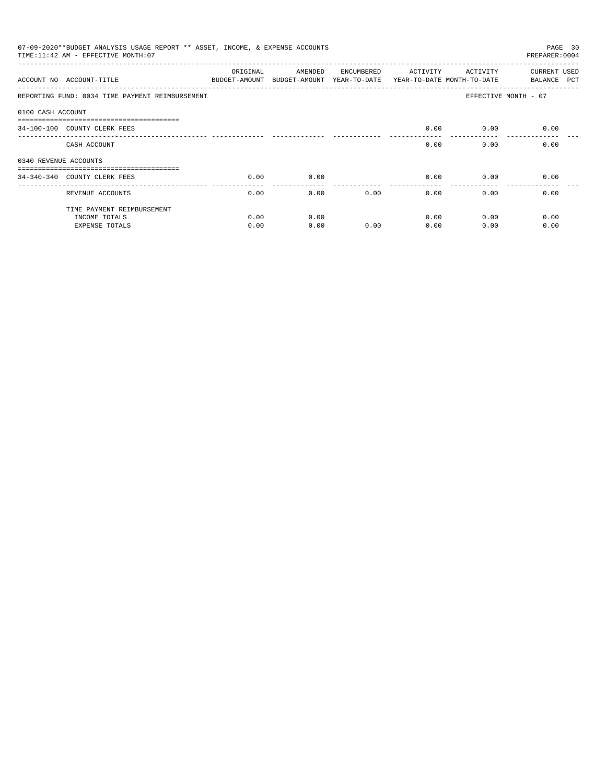| 07-09-2020**BUDGET ANALYSIS USAGE REPORT ** ASSET, INCOME, & EXPENSE ACCOUNTS<br>PAGE 30<br>TIME: 11:42 AM - EFFECTIVE MONTH: 07<br>PREPARER: 0004 |                                                                 |          |                                       |            |                                        |          |                                    |  |  |
|----------------------------------------------------------------------------------------------------------------------------------------------------|-----------------------------------------------------------------|----------|---------------------------------------|------------|----------------------------------------|----------|------------------------------------|--|--|
|                                                                                                                                                    | ACCOUNT NO ACCOUNT-TITLE<br>BUDGET-AMOUNT                       | ORIGINAL | AMENDED<br>BUDGET-AMOUNT YEAR-TO-DATE | ENCUMBERED | ACTIVITY<br>YEAR-TO-DATE MONTH-TO-DATE | ACTIVITY | <b>CURRENT USED</b><br>BALANCE PCT |  |  |
|                                                                                                                                                    | REPORTING FUND: 0034 TIME PAYMENT REIMBURSEMENT                 |          |                                       |            |                                        |          | EFFECTIVE MONTH - 07               |  |  |
| 0100 CASH ACCOUNT                                                                                                                                  |                                                                 |          |                                       |            |                                        |          |                                    |  |  |
|                                                                                                                                                    | -------------------------------<br>34-100-100 COUNTY CLERK FEES |          |                                       |            | 0.00                                   | 0.00     | 0.00                               |  |  |
|                                                                                                                                                    | CASH ACCOUNT                                                    |          |                                       |            | 0.00                                   | 0.00     | 0.00                               |  |  |
| 0340 REVENUE ACCOUNTS                                                                                                                              |                                                                 |          |                                       |            |                                        |          |                                    |  |  |
|                                                                                                                                                    | 34-340-340 COUNTY CLERK FEES                                    | 0.00     | 0.00                                  |            | 0.00                                   | 0.00     | 0.00                               |  |  |
|                                                                                                                                                    | REVENUE ACCOUNTS                                                | 0.00     | 0.00                                  |            | 0.00<br>0.00                           | 0.00     | 0.00                               |  |  |
|                                                                                                                                                    | TIME PAYMENT REIMBURSEMENT                                      |          |                                       |            |                                        |          |                                    |  |  |
|                                                                                                                                                    | INCOME TOTALS                                                   | 0.00     | 0.00                                  |            | 0.00                                   | 0.00     | 0.00                               |  |  |
|                                                                                                                                                    | <b>EXPENSE TOTALS</b>                                           | 0.00     | 0.00                                  | 0.00       | 0.00                                   | 0.00     | 0.00                               |  |  |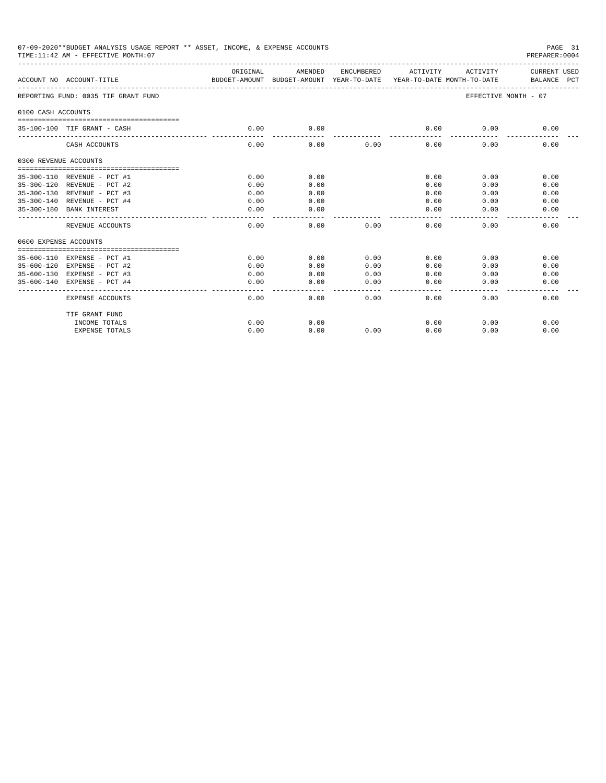|                             | 07-09-2020**BUDGET ANALYSIS USAGE REPORT ** ASSET, INCOME, & EXPENSE ACCOUNTS<br>TIME:11:42 AM - EFFECTIVE MONTH:07<br>PREPARER:0004 |                                                                                 |               |                     |                 |                       |                             |  |
|-----------------------------|--------------------------------------------------------------------------------------------------------------------------------------|---------------------------------------------------------------------------------|---------------|---------------------|-----------------|-----------------------|-----------------------------|--|
|                             | ACCOUNT NO ACCOUNT-TITLE                                                                                                             | ORIGINAL<br>BUDGET-AMOUNT BUDGET-AMOUNT YEAR-TO-DATE YEAR-TO-DATE MONTH-TO-DATE | AMENDED       | ENCUMBERED          | ACTIVITY        | ACTIVITY              | CURRENT USED<br>BALANCE PCT |  |
|                             | -------------------------<br>REPORTING FUND: 0035 TIF GRANT FUND                                                                     |                                                                                 |               |                     |                 | EFFECTIVE MONTH - 07  |                             |  |
| 0100 CASH ACCOUNTS          |                                                                                                                                      |                                                                                 |               |                     |                 |                       |                             |  |
|                             | 35-100-100 TIF GRANT - CASH                                                                                                          | 0.00                                                                            | 0.00          |                     | 0.00            | 0.00                  | 0.00                        |  |
|                             | CASH ACCOUNTS                                                                                                                        | 0.00                                                                            | 0.00          | 0.00                | 0.00            | 0.00                  | 0.00                        |  |
| 0300 REVENUE ACCOUNTS       |                                                                                                                                      |                                                                                 |               |                     |                 |                       |                             |  |
|                             | 35-300-110 REVENUE - PCT #1                                                                                                          | 0.00                                                                            | 0.00          |                     | 0.00            | 0.00                  | 0.00                        |  |
|                             | 35-300-120 REVENUE - PCT #2                                                                                                          | 0.00                                                                            | 0.00          |                     | 0.00            | 0.00                  | 0.00                        |  |
|                             |                                                                                                                                      | 0.00                                                                            | 0.00          |                     | 0.00            | 0.00                  | 0.00                        |  |
| 35-300-130 REVENUE - PCT #3 | 35-300-140 REVENUE - PCT #4                                                                                                          | 0.00                                                                            | 0.00          |                     | 0.00            | 0.00                  | 0.00                        |  |
|                             | 35-300-180 BANK INTEREST                                                                                                             | 0.00                                                                            | 0.00          |                     | 0.00            | 0.00                  | 0.00                        |  |
|                             | REVENUE ACCOUNTS                                                                                                                     | 0.00                                                                            | 0.00          | 0.00                | 0.00            | 0.00                  | 0.00                        |  |
| 0600 EXPENSE ACCOUNTS       |                                                                                                                                      |                                                                                 |               |                     |                 |                       |                             |  |
|                             |                                                                                                                                      |                                                                                 |               |                     |                 |                       |                             |  |
|                             | 35-600-110 EXPENSE - PCT #1                                                                                                          | 0.00                                                                            | 0.00          | 0.00                | 0.00            | 0.00                  | 0.00                        |  |
| $35 - 600 - 120$            | EXPENSE - PCT #2                                                                                                                     | 0.00                                                                            | 0.00          | 0.00                | 0.00            | 0.00                  | 0.00                        |  |
|                             | 35-600-130 EXPENSE - PCT #3                                                                                                          | 0.00                                                                            | 0.00          | 0.00                | 0.00            | 0.00                  | 0.00                        |  |
|                             | 35-600-140 EXPENSE - PCT #4                                                                                                          | 0.00                                                                            | 0.00<br>----- | 0.00<br>$- - - - -$ | 0.00<br>------- | 0.00<br>$- - - - - -$ | 0.00<br>-----               |  |
|                             | EXPENSE ACCOUNTS                                                                                                                     | 0.00                                                                            | 0.00          | 0.00                | 0.00            | 0.00                  | 0.00                        |  |
|                             | TIF GRANT FUND                                                                                                                       |                                                                                 |               |                     |                 |                       |                             |  |
|                             | INCOME TOTALS                                                                                                                        | 0.00                                                                            | 0.00          |                     | 0.00            | 0.00                  | 0.00                        |  |
|                             | <b>EXPENSE TOTALS</b>                                                                                                                | 0.00                                                                            | 0.00          | 0.00                | 0.00            | 0.00                  | 0.00                        |  |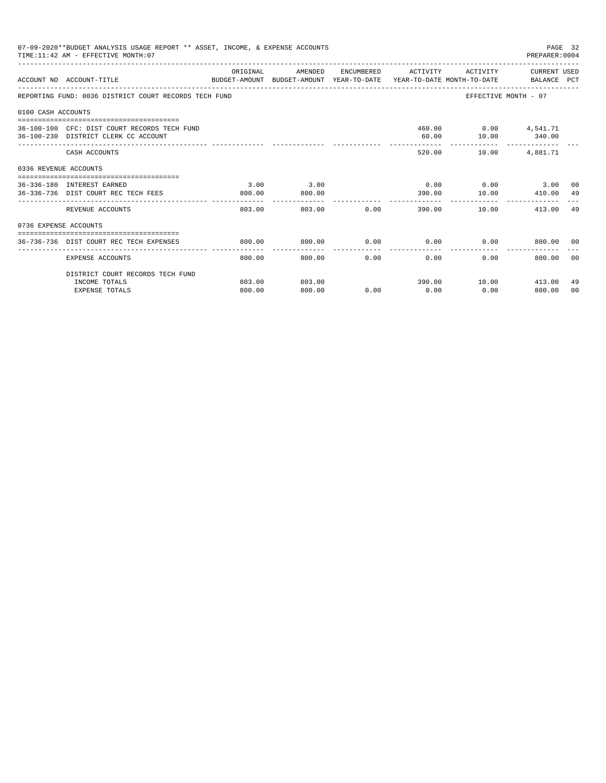|                       | 07-09-2020**BUDGET ANALYSIS USAGE REPORT ** ASSET, INCOME, & EXPENSE ACCOUNTS<br>TIME: 11:42 AM - EFFECTIVE MONTH: 07 |                       |                                                                                            |             |                                           |                                        | PAGE 32<br>PREPARER: 0004 |                |
|-----------------------|-----------------------------------------------------------------------------------------------------------------------|-----------------------|--------------------------------------------------------------------------------------------|-------------|-------------------------------------------|----------------------------------------|---------------------------|----------------|
|                       | ACCOUNT NO ACCOUNT-TITLE                                                                                              | ORIGINAL              | AMENDED<br>BUDGET-AMOUNT BUDGET-AMOUNT YEAR-TO-DATE YEAR-TO-DATE MONTH-TO-DATE BALANCE PCT |             | ENCUMBERED ACTIVITY ACTIVITY CURRENT USED |                                        |                           |                |
|                       | REPORTING FUND: 0036 DISTRICT COURT RECORDS TECH FUND                                                                 |                       |                                                                                            |             |                                           |                                        | EFFECTIVE MONTH - 07      |                |
| 0100 CASH ACCOUNTS    |                                                                                                                       |                       |                                                                                            |             |                                           |                                        |                           |                |
|                       | 36-100-100 CFC: DIST COURT RECORDS TECH FUND<br>36-100-230 DISTRICT CLERK CC ACCOUNT                                  |                       |                                                                                            |             | 60.00                                     | 460.00 0.00 4,541.71<br>$10.00$ 340.00 |                           |                |
|                       | CASH ACCOUNTS                                                                                                         |                       |                                                                                            |             | 520.00                                    |                                        | 10.00  4,881.71           |                |
| 0336 REVENUE ACCOUNTS |                                                                                                                       |                       |                                                                                            |             |                                           |                                        |                           |                |
|                       | ---------------------------------<br>36-336-180 INTEREST EARNED                                                       | 3.00                  | 3.00                                                                                       |             |                                           |                                        | $0.00$ $0.00$ $3.00$ $00$ |                |
|                       | 36-336-736 DIST COURT REC TECH FEES                                                                                   | 800.00<br>----------- | 800.00                                                                                     |             | 390.00                                    | . _ _ _ _ _ _ _ _ _ _ _                | 10.00 410.00              | 49             |
|                       | REVENUE ACCOUNTS                                                                                                      | 803.00                |                                                                                            | 803.00 0.00 | 390.00                                    |                                        | 10.00 413.00 49           |                |
| 0736 EXPENSE ACCOUNTS |                                                                                                                       |                       |                                                                                            |             |                                           |                                        |                           |                |
|                       | 36-736-736 DIST COURT REC TECH EXPENSES                                                                               | 800.00                | 800.00                                                                                     |             | $0.00$ $0.00$ $0.00$ $0.00$               |                                        | 800.00 00                 |                |
|                       | EXPENSE ACCOUNTS                                                                                                      | 800.00                | -----------<br>800.00                                                                      | .<br>0.00   | ------------<br>0.00                      | $0.00 -$                               | 800.00                    | 0 <sub>0</sub> |
|                       | DISTRICT COURT RECORDS TECH FUND                                                                                      |                       |                                                                                            |             |                                           |                                        |                           |                |
|                       | INCOME TOTALS                                                                                                         | 803.00                | 803.00                                                                                     |             |                                           |                                        | 390.00 10.00 413.00       | 49             |
|                       | <b>EXPENSE TOTALS</b>                                                                                                 | 800.00                | 800.00                                                                                     | 0.00        | 0.00                                      | 0.00                                   | 800.00                    | 00             |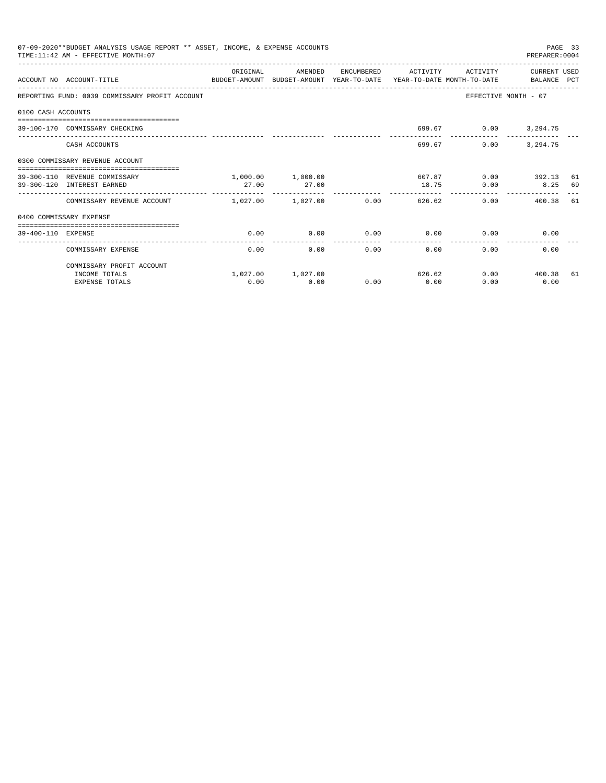|                    | 07-09-2020**BUDGET ANALYSIS USAGE REPORT ** ASSET, INCOME, & EXPENSE ACCOUNTS<br>TIME: 11:42 AM - EFFECTIVE MONTH: 07 |                       |                   |      |                            |          | PREPARER: 0004       | PAGE 33 |
|--------------------|-----------------------------------------------------------------------------------------------------------------------|-----------------------|-------------------|------|----------------------------|----------|----------------------|---------|
|                    | ACCOUNT NO ACCOUNT-TITLE CONTROL SUDGET-AMOUNT BUDGET-AMOUNT YEAR-TO-DATE YEAR-TO-DATE MONTH-TO-DATE BALANCE PCT      | ORIGINAL              | AMENDED           |      | ENCUMBERED ACTIVITY        | ACTIVITY | CURRENT USED         |         |
|                    | REPORTING FUND: 0039 COMMISSARY PROFIT ACCOUNT                                                                        |                       |                   |      |                            |          | EFFECTIVE MONTH - 07 |         |
| 0100 CASH ACCOUNTS |                                                                                                                       |                       |                   |      |                            |          |                      |         |
|                    | 39-100-170 COMMISSARY CHECKING                                                                                        |                       |                   |      |                            |          | 699.67 0.00 3,294.75 |         |
|                    | CASH ACCOUNTS                                                                                                         |                       |                   |      | 699.67                     | 0.00     | 3, 294, 75           |         |
|                    | 0300 COMMISSARY REVENUE ACCOUNT<br>-----------------------------------                                                |                       |                   |      |                            |          |                      |         |
|                    | 39-300-110 REVENUE COMMISSARY                                                                                         |                       | 1,000.00 1,000.00 |      | 607.87                     |          | $0.00$ 392.13        | 61      |
|                    | 39-300-120 INTEREST EARNED                                                                                            | 27.00                 | 27.00             |      | 18.75                      | 0.00     | 8.25 69              |         |
|                    | COMMISSARY REVENUE ACCOUNT                                                                                            | $1,027,00$ $1,027,00$ |                   | 0.00 | ----------------<br>626.62 |          | 0.00<br>400.38 61    |         |
|                    | 0400 COMMISSARY EXPENSE                                                                                               |                       |                   |      |                            |          |                      |         |
| 39-400-110 EXPENSE |                                                                                                                       | 0.00                  | 0.00              | 0.00 | 0.00                       | 0.00     | 0.00                 |         |
|                    | COMMISSARY EXPENSE                                                                                                    | 0.00                  | 0.00              | 0.00 | 0.00                       | 0.00     | 0.00                 |         |
|                    | COMMISSARY PROFIT ACCOUNT                                                                                             |                       |                   |      |                            |          |                      |         |
|                    | INCOME TOTALS                                                                                                         |                       | 1,027.00 1,027.00 |      | 626.62                     |          | $0.00$ 400.38        | 61      |
|                    | <b>EXPENSE TOTALS</b>                                                                                                 | 0.00                  | 0.00              | 0.00 | 0.00                       | 0.00     | 0.00                 |         |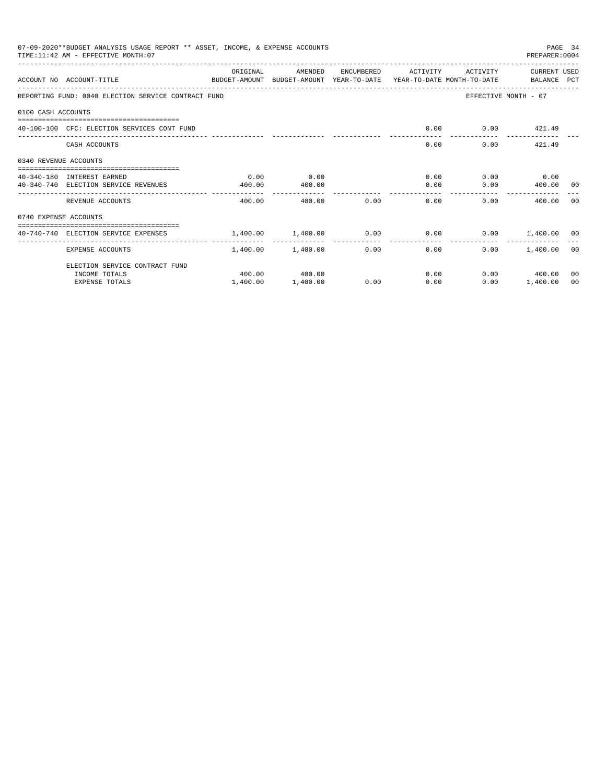|                       | 07-09-2020**BUDGET ANALYSIS USAGE REPORT ** ASSET, INCOME, & EXPENSE ACCOUNTS<br>TIME: 11:42 AM - EFFECTIVE MONTH: 07 |                                                             |                   |      |                                       |                      | PREPARER: 0004       | PAGE 34 |
|-----------------------|-----------------------------------------------------------------------------------------------------------------------|-------------------------------------------------------------|-------------------|------|---------------------------------------|----------------------|----------------------|---------|
|                       | ACCOUNT NO ACCOUNT-TITLE<br>BUDGET-AMOUNT BUDGET-AMOUNT YEAR-TO-DATE YEAR-TO-DATE MONTH-TO-DATE   BALANCE PCT         | ORIGINAL                                                    | AMENDED           |      | ENCUMBERED ACTIVITY                   | ACTIVITY             | CURRENT USED         |         |
|                       | REPORTING FUND: 0040 ELECTION SERVICE CONTRACT FUND                                                                   |                                                             |                   |      |                                       |                      | EFFECTIVE MONTH - 07 |         |
| 0100 CASH ACCOUNTS    |                                                                                                                       |                                                             |                   |      |                                       |                      |                      |         |
|                       | 40-100-100 CFC: ELECTION SERVICES CONT FUND                                                                           |                                                             |                   |      | 0.00                                  |                      | $0.00$ $421.49$      |         |
|                       | CASH ACCOUNTS                                                                                                         |                                                             |                   |      |                                       | 0.00                 | $0.00$ 421.49        |         |
| 0340 REVENUE ACCOUNTS |                                                                                                                       |                                                             |                   |      |                                       |                      |                      |         |
|                       | 40-340-180 INTEREST EARNED                                                                                            | 0.00                                                        | 0.00              |      |                                       | $0.00$ $0.00$ $0.00$ |                      |         |
|                       | 40-340-740 ELECTION SERVICE REVENUES                                                                                  | 400.00                                                      | 400.00            |      | . <u>.</u>                            | 0.00                 | $0.00$ 400.00 00     |         |
|                       | REVENUE ACCOUNTS                                                                                                      | 400.00                                                      | 400.00            | 0.00 | 0.00                                  |                      | 0.00<br>400.00       | - 0.0   |
| 0740 EXPENSE ACCOUNTS |                                                                                                                       |                                                             |                   |      |                                       |                      |                      |         |
|                       | 40-740-740 ELECTION SERVICE EXPENSES                                                                                  | $1.400.00$ $1.400.00$ $0.00$ $0.00$ $0.00$ $1.400.00$ $0.0$ |                   |      |                                       |                      |                      |         |
|                       | EXPENSE ACCOUNTS                                                                                                      |                                                             | 1,400.00 1,400.00 |      | ----------------<br>$0.00$ and $0.00$ | 0.00                 | $0.00$ 1.400.00 00   |         |
|                       | ELECTION SERVICE CONTRACT FUND                                                                                        |                                                             |                   |      |                                       |                      |                      |         |
|                       | INCOME TOTALS                                                                                                         |                                                             | 400.00 400.00     |      |                                       | 0.00                 | $0.00$ 400.00        | 00      |
|                       | <b>EXPENSE TOTALS</b>                                                                                                 | 1,400.00                                                    | 1,400.00          | 0.00 | 0.00                                  | 0.00                 | 1,400.00             | 00      |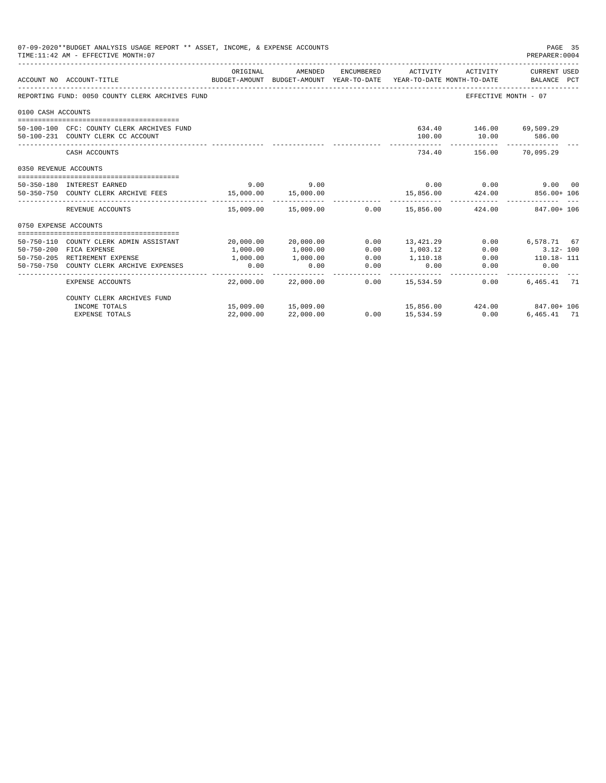|                       | 07-09-2020**BUDGET ANALYSIS USAGE REPORT ** ASSET, INCOME, & EXPENSE ACCOUNTS<br>TIME: 11:42 AM - EFFECTIVE MONTH: 07 |           |                                      |                     |                                |                         | PAGE 35<br>PREPARER: 0004                                        |
|-----------------------|-----------------------------------------------------------------------------------------------------------------------|-----------|--------------------------------------|---------------------|--------------------------------|-------------------------|------------------------------------------------------------------|
|                       | ACCOUNT NO ACCOUNT-TITLE<br>BUDGET-AMOUNT BUDGET-AMOUNT YEAR-TO-DATE YEAR-TO-DATE MONTH-TO-DATE BALANCE PCT           | ORIGINAL  | AMENDED                              | ENCUMBERED          | ACTIVITY                       | ACTIVITY                | CURRENT USED                                                     |
|                       |                                                                                                                       |           |                                      |                     |                                |                         |                                                                  |
|                       | REPORTING FUND: 0050 COUNTY CLERK ARCHIVES FUND                                                                       |           |                                      |                     |                                | EFFECTIVE MONTH - 07    |                                                                  |
| 0100 CASH ACCOUNTS    |                                                                                                                       |           |                                      |                     |                                |                         |                                                                  |
|                       | 50-100-100 CFC: COUNTY CLERK ARCHIVES FUND                                                                            |           |                                      |                     |                                | 634.40 146.00 69,509.29 |                                                                  |
|                       | 50-100-231 COUNTY CLERK CC ACCOUNT                                                                                    |           |                                      |                     | 100.00                         | 10.00                   | 586.00                                                           |
|                       | CASH ACCOUNTS                                                                                                         |           |                                      |                     |                                | 734.40 156.00 70.095.29 |                                                                  |
| 0350 REVENUE ACCOUNTS |                                                                                                                       |           |                                      |                     |                                |                         |                                                                  |
|                       | 50-350-180 INTEREST EARNED                                                                                            | 9.00      | 9.00                                 |                     |                                |                         | $0.00$ $0.00$ $9.00$ $00$                                        |
|                       | 50-350-750 COUNTY CLERK ARCHIVE FEES 15,000.00                                                                        |           | 15,000.00                            |                     | 15,856.00                      | 424.00                  | 856.00+ 106                                                      |
|                       | REVENUE ACCOUNTS                                                                                                      |           |                                      |                     |                                |                         | $15,009.00$ $15,009.00$ $0.00$ $15,856.00$ $424.00$ $847.00+106$ |
| 0750 EXPENSE ACCOUNTS |                                                                                                                       |           |                                      |                     |                                |                         |                                                                  |
|                       | 50-750-110 COUNTY CLERK ADMIN ASSISTANT                                                                               |           | 20,000.00 20,000.00                  | 0.00                | 13,421.29                      |                         | $0.00$ 6,578.71 67                                               |
|                       | 50-750-200 FICA EXPENSE                                                                                               | 1,000.00  | 1,000.00                             | 0.00                | 1,003.12                       | 0.00                    | $3.12 - 100$                                                     |
|                       | 50-750-205 RETIREMENT EXPENSE                                                                                         | 1,000.00  | 1,000.00                             | 0.00                | 1,110.18                       |                         | $0.00$ 110.18-111                                                |
|                       | 50-750-750 COUNTY CLERK ARCHIVE EXPENSES                                                                              | 0.00      | 0.00                                 | 0.00<br>___________ | 0.00                           | 0.00<br>------------    | 0.00                                                             |
|                       | EXPENSE ACCOUNTS                                                                                                      |           | -------------<br>22,000.00 22,000.00 |                     | . <u>.</u><br>$0.00$ 15,534.59 | 0.00                    | 6,465.41 71                                                      |
|                       | COUNTY CLERK ARCHIVES FUND                                                                                            |           |                                      |                     |                                |                         |                                                                  |
|                       | INCOME TOTALS                                                                                                         |           | 15,009.00 15,009.00                  |                     |                                |                         | 15,856.00 424.00 847.00 + 106                                    |
|                       | <b>EXPENSE TOTALS</b>                                                                                                 | 22,000.00 | 22,000.00                            |                     | $0.00$ 15,534.59               | 0.00                    | 6,465.41 71                                                      |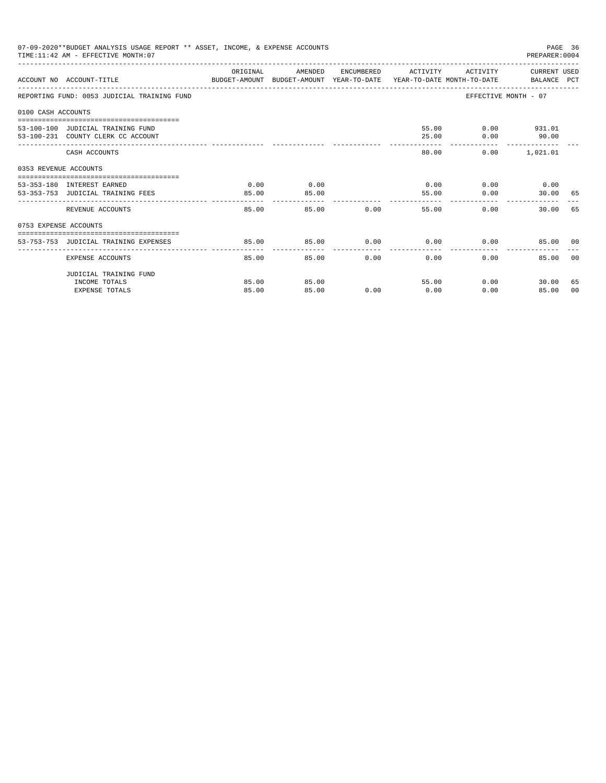|                       | 07-09-2020**BUDGET ANALYSIS USAGE REPORT ** ASSET, INCOME, & EXPENSE ACCOUNTS<br>TIME: 11:42 AM - EFFECTIVE MONTH: 07 |          |         |               |                                              |                       | PAGE 36<br>PREPARER: 0004 |                |
|-----------------------|-----------------------------------------------------------------------------------------------------------------------|----------|---------|---------------|----------------------------------------------|-----------------------|---------------------------|----------------|
|                       | ACCOUNT NO ACCOUNT-TITLE CONTROL SUDGET-AMOUNT BUDGET-AMOUNT YEAR-TO-DATE YEAR-TO-DATE MONTH-TO-DATE BALANCE PCT      | ORIGINAL | AMENDED |               | ENCUMBERED ACTIVITY ACTIVITY CURRENT USED    |                       |                           |                |
|                       | REPORTING FUND: 0053 JUDICIAL TRAINING FUND                                                                           |          |         |               |                                              | EFFECTIVE MONTH - 07  |                           |                |
| 0100 CASH ACCOUNTS    |                                                                                                                       |          |         |               |                                              |                       |                           |                |
|                       | 53-100-100 JUDICIAL TRAINING FUND                                                                                     |          |         |               |                                              | 55.00   0.00   931.01 |                           |                |
|                       | 53-100-231 COUNTY CLERK CC ACCOUNT                                                                                    |          |         |               | 25.00                                        |                       | $0.00$ 90.00              |                |
|                       | CASH ACCOUNTS                                                                                                         |          |         |               | 80.00                                        |                       | $0.00$ 1,021.01           |                |
| 0353 REVENUE ACCOUNTS |                                                                                                                       |          |         |               |                                              |                       |                           |                |
|                       | 53-353-180 INTEREST EARNED                                                                                            | 0.00     | 0.00    |               | $0.00$ 0.00 0.00 0.00                        |                       |                           |                |
|                       | 53-353-753 JUDICIAL TRAINING FEES                                                                                     | 85.00    | 85.00   |               | 55.00                                        | 0.00                  | 30.00 65                  |                |
|                       | REVENUE ACCOUNTS                                                                                                      | 85.00    |         | 85.00         | --------------<br>$0.00$ and $0.00$<br>55.00 | 0.00                  | 30.00 65                  |                |
| 0753 EXPENSE ACCOUNTS |                                                                                                                       |          |         |               |                                              |                       |                           |                |
|                       | 53-753-753 JUDICIAL TRAINING EXPENSES                                                                                 | 85.00    | 85.00   |               | $0.00$ $0.00$ $0.00$ $0.00$                  |                       | 85.00 00                  |                |
|                       |                                                                                                                       |          |         |               |                                              |                       |                           |                |
|                       | EXPENSE ACCOUNTS                                                                                                      | 85.00    |         | 0.00<br>85.00 | 0.00                                         | 0.00                  | 85.00                     | 0 <sub>0</sub> |
|                       | JUDICIAL TRAINING FUND                                                                                                |          |         |               |                                              |                       |                           |                |
|                       | INCOME TOTALS                                                                                                         | 85.00    | 85.00   |               | 55.00                                        | 0.00                  | 30.00                     | 65             |
|                       | <b>EXPENSE TOTALS</b>                                                                                                 | 85.00    | 85.00   | 0.00          | 0.00                                         | 0.00                  | 85.00                     | 00             |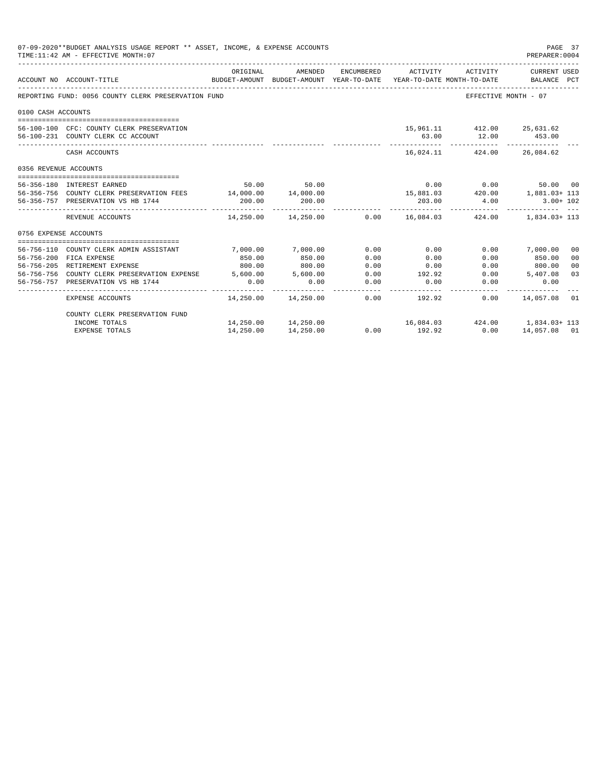|                       | 07-09-2020**BUDGET ANALYSIS USAGE REPORT ** ASSET, INCOME, & EXPENSE ACCOUNTS<br>TIME: 11:42 AM - EFFECTIVE MONTH: 07 |             |                                                                                |                 |                       |                            | PAGE 37<br>PREPARER: 0004                                          |
|-----------------------|-----------------------------------------------------------------------------------------------------------------------|-------------|--------------------------------------------------------------------------------|-----------------|-----------------------|----------------------------|--------------------------------------------------------------------|
|                       | ACCOUNT NO ACCOUNT-TITLE                                                                                              | ORIGINAL    | AMENDED<br>BUDGET-AMOUNT BUDGET-AMOUNT YEAR-TO-DATE YEAR-TO-DATE MONTH-TO-DATE | ENCUMBERED      | ACTIVITY              | ACTIVITY                   | CURRENT USED<br>BALANCE PCT                                        |
|                       | REPORTING FUND: 0056 COUNTY CLERK PRESERVATION FUND                                                                   |             |                                                                                |                 |                       |                            | EFFECTIVE MONTH - 07                                               |
| 0100 CASH ACCOUNTS    |                                                                                                                       |             |                                                                                |                 |                       |                            |                                                                    |
|                       |                                                                                                                       |             |                                                                                |                 |                       |                            |                                                                    |
|                       | 56-100-100 CFC: COUNTY CLERK PRESERVATION                                                                             |             |                                                                                |                 |                       | 15,961.11 412.00 25,631.62 |                                                                    |
|                       | 56-100-231 COUNTY CLERK CC ACCOUNT                                                                                    |             |                                                                                |                 | 63.00                 |                            | 12.00 453.00                                                       |
|                       | CASH ACCOUNTS                                                                                                         |             |                                                                                |                 |                       | 16,024.11 424.00 26,084.62 |                                                                    |
| 0356 REVENUE ACCOUNTS |                                                                                                                       |             |                                                                                |                 |                       |                            |                                                                    |
|                       | 56-356-180 INTEREST EARNED                                                                                            |             | 50.00 50.00                                                                    |                 |                       | $0.00$ 0.00                | 50.00 00                                                           |
|                       | 56-356-756 COUNTY CLERK PRESERVATION FEES 14,000.00 14,000.00                                                         |             |                                                                                |                 |                       |                            | $15,881.03$ $420.00$ $1,881.03 + 113$                              |
|                       | 56-356-757 PRESERVATION VS HB 1744                                                                                    | 200.00      | 200.00                                                                         |                 | 203.00                | 4.00                       | $3.00 + 102$                                                       |
|                       | REVENUE ACCOUNTS                                                                                                      | ----------- |                                                                                |                 | . _ _ _ _ _ _ _ _ _ _ | ------------               | $14,250.00$ $14,250.00$ $0.00$ $16,084.03$ $424.00$ $1,834.03+113$ |
| 0756 EXPENSE ACCOUNTS |                                                                                                                       |             |                                                                                |                 |                       |                            |                                                                    |
|                       |                                                                                                                       |             |                                                                                |                 |                       |                            |                                                                    |
|                       | 56-756-110 COUNTY CLERK ADMIN ASSISTANT                                                                               | 7,000.00    | 7,000.00                                                                       | 0.00            | 0.00                  |                            | $0.00$ 7,000.00<br>00                                              |
|                       | 56-756-200 FICA EXPENSE                                                                                               | 850.00      | 850.00                                                                         | 0.00            | 0.00                  | 0.00                       | 850.00<br>0 <sub>0</sub>                                           |
|                       | 56-756-205 RETIREMENT EXPENSE                                                                                         | 800.00      | 800.00                                                                         | 0.00            | 0.00                  |                            | $0.00$ 800.00<br>0 <sup>0</sup>                                    |
|                       | 56-756-756 COUNTY CLERK PRESERVATION EXPENSE 5.600.00 5.600.00                                                        |             |                                                                                | 0.00            | 192.92                |                            | $0.00$ 5,407.08<br>03                                              |
|                       | 56-756-757 PRESERVATION VS HB 1744                                                                                    | 0.00        | 0.00                                                                           | 0.00<br>------- | 0.00                  | 0.00                       | 0.00                                                               |
|                       | EXPENSE ACCOUNTS                                                                                                      |             | 14,250.00 14,250.00                                                            |                 | $0.00$ 192.92         |                            | $0.00$ $14.057.08$ 01                                              |
|                       | COUNTY CLERK PRESERVATION FUND                                                                                        |             |                                                                                |                 |                       |                            |                                                                    |
|                       | INCOME TOTALS                                                                                                         |             | 14,250.00  14,250.00                                                           |                 |                       |                            | $16,084.03$ $424.00$ $1,834.03+113$                                |
|                       | EXPENSE TOTALS                                                                                                        | 14,250.00   | 14,250.00                                                                      | 0.00            | 192.92                | 0.00                       | 14,057.08 01                                                       |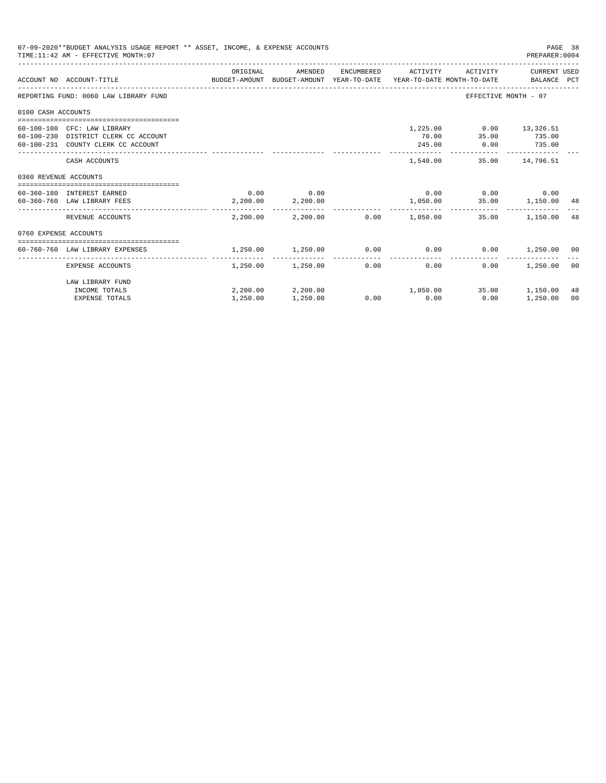|                       | 07-09-2020**BUDGET ANALYSIS USAGE REPORT ** ASSET, INCOME, & EXPENSE ACCOUNTS<br>TIME: 11:42 AM - EFFECTIVE MONTH: 07 |          |                        |                                             |                             | PAGE 38<br>PREPARER: 0004 |                |
|-----------------------|-----------------------------------------------------------------------------------------------------------------------|----------|------------------------|---------------------------------------------|-----------------------------|---------------------------|----------------|
|                       | ACCOUNT NO ACCOUNT-TITLE COMPUTE THE SUDGET-AMOUNT BUDGET-AMOUNT VEAR-TO-DATE YEAR-TO-DATE MONTH-TO-DATE BALANCE PCT  | ORIGINAL | AMENDED                | ENCUMBERED ACTIVITY                         |                             | ACTIVITY CURRENT USED     |                |
|                       | REPORTING FUND: 0060 LAW LIBRARY FUND                                                                                 |          |                        |                                             | EFFECTIVE MONTH - 07        |                           |                |
| 0100 CASH ACCOUNTS    |                                                                                                                       |          |                        |                                             |                             |                           |                |
|                       | 60-100-100 CFC: LAW LIBRARY                                                                                           |          |                        |                                             | 1,225.00   0.00   13,326.51 |                           |                |
|                       | 60-100-230 DISTRICT CLERK CC ACCOUNT                                                                                  |          |                        | 70.00                                       | 35.00                       | 735.00                    |                |
|                       | 60-100-231 COUNTY CLERK CC ACCOUNT                                                                                    |          |                        | 245.00                                      | $0.00$ 735.00               |                           |                |
|                       |                                                                                                                       |          |                        |                                             |                             |                           |                |
|                       | CASH ACCOUNTS                                                                                                         |          |                        | 1,540.00                                    |                             | 35.00 14,796.51           |                |
| 0360 REVENUE ACCOUNTS |                                                                                                                       |          |                        |                                             |                             |                           |                |
|                       | 60-360-180 INTEREST EARNED                                                                                            |          | $0.00$ 0.00            |                                             | $0.00$ $0.00$ $0.00$ $0.00$ |                           |                |
|                       | 60-360-760 LAW LIBRARY FEES                                                                                           |          | 2,200.00 2,200.00      |                                             | 1,050.00 35.00 1,150.00 48  |                           |                |
|                       | REVENUE ACCOUNTS                                                                                                      |          |                        | $2.200.00$ $2.200.00$ $0.00$ $1.050.00$     |                             | 35.00 1.150.00            | 48             |
| 0760 EXPENSE ACCOUNTS |                                                                                                                       |          |                        |                                             |                             |                           |                |
|                       |                                                                                                                       |          |                        |                                             |                             |                           |                |
|                       | 60-760-760 LAW LIBRARY EXPENSES                                                                                       | 1,250.00 | 1,250.00               | $0.00$ $0.00$ $0.00$ $0.00$ $1,250.00$ $00$ |                             |                           |                |
|                       | EXPENSE ACCOUNTS                                                                                                      |          | 1,250.00 1,250.00 0.00 | 0.00                                        | 0.00                        | 1,250.00                  | 0 <sup>0</sup> |
|                       | LAW LIBRARY FUND                                                                                                      |          |                        |                                             |                             |                           |                |
|                       | INCOME TOTALS                                                                                                         |          |                        | $2,200.00$ $2,200.00$ $1,050.00$            |                             | 35.00 1.150.00            | 48             |
|                       | <b>EXPENSE TOTALS</b>                                                                                                 | 1,250.00 | 1,250.00               | $0.00$ 0.00                                 | 0.00                        | 1,250.00                  | 00             |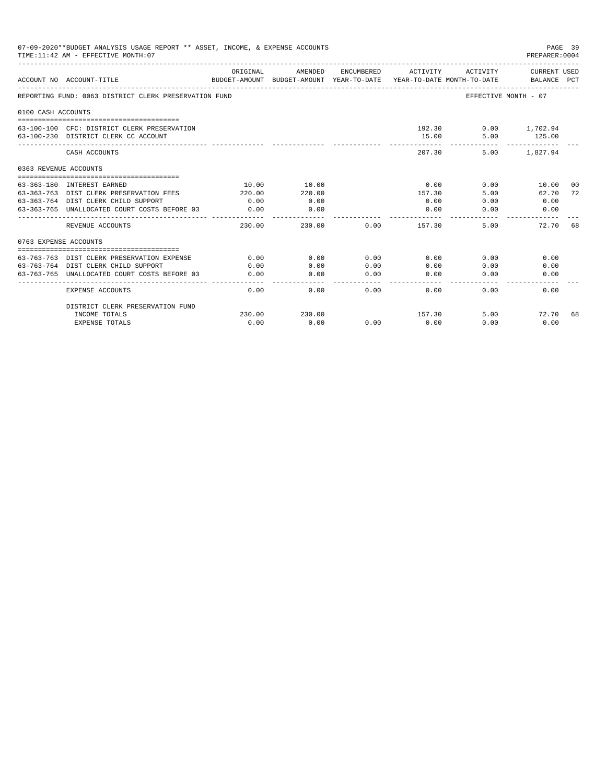|                       | 07-09-2020**BUDGET ANALYSIS USAGE REPORT ** ASSET, INCOME, & EXPENSE ACCOUNTS<br>TIME: 11:42 AM - EFFECTIVE MONTH: 07 |                           |                                       |            |          |                                        | PAGE 39<br>PREPARER: 0004          |       |
|-----------------------|-----------------------------------------------------------------------------------------------------------------------|---------------------------|---------------------------------------|------------|----------|----------------------------------------|------------------------------------|-------|
|                       | ACCOUNT NO ACCOUNT-TITLE                                                                                              | ORIGINAL<br>BUDGET-AMOUNT | AMENDED<br>BUDGET-AMOUNT YEAR-TO-DATE | ENCUMBERED | ACTIVITY | ACTIVITY<br>YEAR-TO-DATE MONTH-TO-DATE | <b>CURRENT USED</b><br>BALANCE PCT |       |
|                       | REPORTING FUND: 0063 DISTRICT CLERK PRESERVATION FUND                                                                 |                           |                                       |            |          |                                        | EFFECTIVE MONTH - 07               |       |
| 0100 CASH ACCOUNTS    |                                                                                                                       |                           |                                       |            |          |                                        |                                    |       |
|                       | 63-100-100 CFC: DISTRICT CLERK PRESERVATION<br>63-100-230 DISTRICT CLERK CC ACCOUNT                                   |                           |                                       |            | 15.00    | 192.30<br>5.00                         | $0.00$ 1,702.94<br>125.00          |       |
|                       | CASH ACCOUNTS                                                                                                         |                           |                                       |            | 207.30   | 5.00                                   | 1,827.94                           |       |
| 0363 REVENUE ACCOUNTS |                                                                                                                       |                           |                                       |            |          |                                        |                                    |       |
|                       |                                                                                                                       |                           |                                       |            |          |                                        |                                    |       |
|                       | 63-363-180 INTEREST EARNED                                                                                            | 10.00                     | 10.00                                 |            | 0.00     | 0.00                                   | 10.00                              | - 0.0 |
|                       | 63-363-763 DIST CLERK PRESERVATION FEES                                                                               | 220.00                    | 220.00                                |            | 157.30   | 5.00                                   | 62.70                              | 72    |
|                       | 63-363-764 DIST CLERK CHILD SUPPORT                                                                                   | 0.00                      | 0.00                                  |            | 0.00     | 0.00                                   | 0.00                               |       |
|                       | 63-363-765 UNALLOCATED COURT COSTS BEFORE 03                                                                          | 0.00<br>-------------     | 0.00<br>--------                      |            | 0.00     | 0.00                                   | 0.00                               |       |
|                       | REVENUE ACCOUNTS                                                                                                      | 230.00                    | 230.00                                | 0.00       | 157.30   | 5.00                                   | 72.70 68                           |       |
| 0763 EXPENSE ACCOUNTS |                                                                                                                       |                           |                                       |            |          |                                        |                                    |       |
|                       |                                                                                                                       |                           |                                       |            |          |                                        |                                    |       |
|                       | 63-763-763 DIST CLERK PRESERVATION EXPENSE                                                                            | 0.00                      | 0.00                                  | 0.00       | 0.00     | 0.00                                   | 0.00                               |       |
|                       | 63-763-764 DIST CLERK CHILD SUPPORT                                                                                   | 0.00                      | 0.00                                  | 0.00       | 0.00     | 0.00                                   | 0.00                               |       |
| 63-763-765            | UNALLOCATED COURT COSTS BEFORE 03                                                                                     | 0.00                      | 0.00                                  | 0.00       | 0.00     | 0.00                                   | 0.00                               |       |
|                       | <b>EXPENSE ACCOUNTS</b>                                                                                               | 0.00                      | 0.00                                  | 0.00       | 0.00     | 0.00                                   | 0.00                               |       |
|                       | DISTRICT CLERK PRESERVATION FUND                                                                                      |                           |                                       |            |          |                                        |                                    |       |
|                       | INCOME TOTALS                                                                                                         | 230.00                    | 230.00                                |            | 157.30   | 5.00                                   | 72.70                              | 68    |
|                       | <b>EXPENSE TOTALS</b>                                                                                                 | 0.00                      | 0.00                                  | 0.00       | 0.00     | 0.00                                   | 0.00                               |       |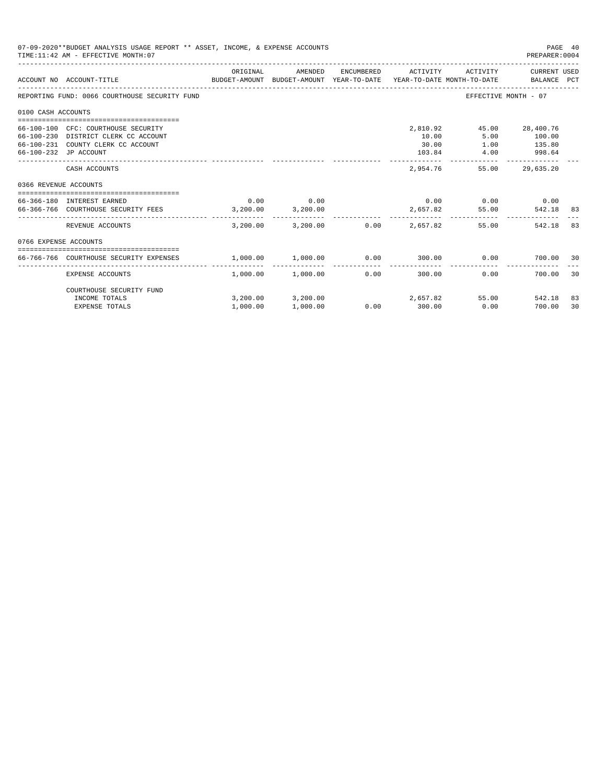|                       | 07-09-2020**BUDGET ANALYSIS USAGE REPORT ** ASSET, INCOME, & EXPENSE ACCOUNTS<br>TIME: 11:42 AM - EFFECTIVE MONTH: 07           |                  |                                        |                      |                                      |                                      | PAGE 40<br>PREPARER: 0004                     |    |
|-----------------------|---------------------------------------------------------------------------------------------------------------------------------|------------------|----------------------------------------|----------------------|--------------------------------------|--------------------------------------|-----------------------------------------------|----|
|                       | BUDGET-AMOUNT BUDGET-AMOUNT YEAR-TO-DATE YEAR-TO-DATE_MONTH-TO-DATE<br>ACCOUNT NO ACCOUNT-TITLE                                 | ORIGINAL         | AMENDED                                | ENCUMBERED           | ACTIVITY                             | ACTIVITY                             | CURRENT USED<br>BALANCE PCT                   |    |
|                       | REPORTING FUND: 0066 COURTHOUSE SECURITY FUND                                                                                   |                  |                                        |                      |                                      | EFFECTIVE MONTH - 07                 |                                               |    |
| 0100 CASH ACCOUNTS    |                                                                                                                                 |                  |                                        |                      |                                      |                                      |                                               |    |
| 66-100-230            | 66-100-100 CFC: COURTHOUSE SECURITY<br>DISTRICT CLERK CC ACCOUNT<br>66-100-231 COUNTY CLERK CC ACCOUNT<br>66-100-232 JP ACCOUNT |                  |                                        |                      | 2,810.92<br>10.00<br>30.00<br>103.84 | 5.00<br>1.00<br>4.00                 | 45.00 28,400.76<br>100.00<br>135.80<br>998.64 |    |
|                       | CASH ACCOUNTS                                                                                                                   |                  |                                        |                      | 2,954.76                             | 55.00                                | 29,635.20                                     |    |
| 0366 REVENUE ACCOUNTS |                                                                                                                                 |                  |                                        |                      |                                      |                                      |                                               |    |
|                       | 66-366-180 INTEREST EARNED<br>66-366-766 COURTHOUSE SECURITY FEES                                                               | 0.00<br>3,200,00 | 0.00<br>3,200.00                       |                      | 2,657.82                             | $0.00$ $0.00$ $0.00$ $0.00$<br>55.00 | 542.18 83                                     |    |
|                       | REVENUE ACCOUNTS                                                                                                                | 3,200,00         | 3,200.00                               |                      | $0.00$ 2.657.82                      | 55.00                                | 542.18                                        | 83 |
| 0766 EXPENSE ACCOUNTS |                                                                                                                                 |                  |                                        |                      |                                      |                                      |                                               |    |
|                       | 66-766-766 COURTHOUSE SECURITY EXPENSES                                                                                         | 1,000.00         | 1,000.00                               |                      |                                      | 0.00                                 | 700.00 30                                     |    |
|                       | <b>EXPENSE ACCOUNTS</b>                                                                                                         |                  | -------------<br>$1.000.00$ $1.000.00$ | ------------<br>0.00 | 300.00                               | 0.00                                 | 700.00                                        | 30 |
|                       | COURTHOUSE SECURITY FUND<br>INCOME TOTALS                                                                                       |                  | 3,200.00 3,200.00                      |                      | 2,657.82                             |                                      | 55.00 542.18                                  | 83 |
|                       | <b>EXPENSE TOTALS</b>                                                                                                           | 1,000.00         | 1,000.00                               | 0.00                 | 300.00                               | 0.00                                 | 700.00                                        | 30 |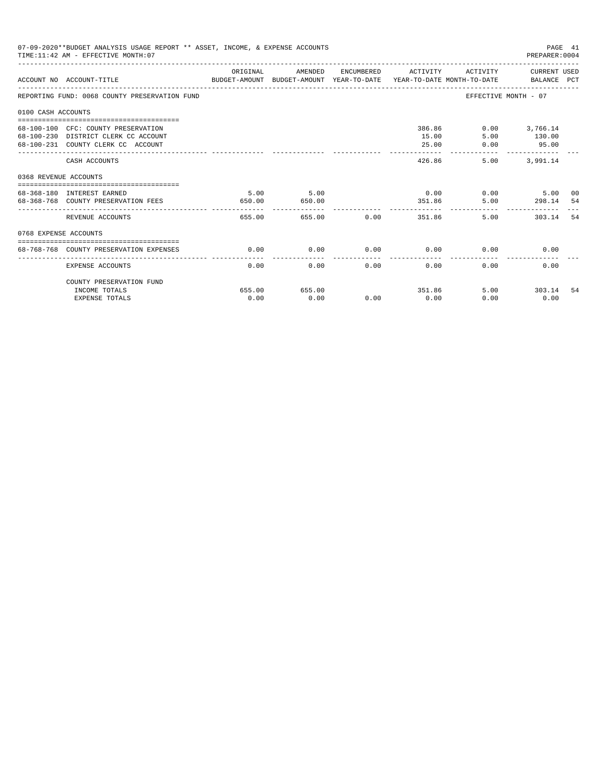|                       | 07-09-2020**BUDGET ANALYSIS USAGE REPORT ** ASSET, INCOME, & EXPENSE ACCOUNTS<br>TIME: 11:42 AM - EFFECTIVE MONTH: 07  |                |                                 |             |                                  |                        | PAGE 41<br>PREPARER: 0004                           |     |
|-----------------------|------------------------------------------------------------------------------------------------------------------------|----------------|---------------------------------|-------------|----------------------------------|------------------------|-----------------------------------------------------|-----|
|                       | ACCOUNT NO ACCOUNT-TITLE COMPARENT AND BUDGET-AMOUNT BUDGET-AMOUNT YEAR-TO-DATE YEAR-TO-DATE MONTH-TO-DATE BALANCE PCT | ORIGINAL       | AMENDED                         |             | ENCUMBERED ACTIVITY              |                        | ACTIVITY CURRENT USED                               |     |
|                       | REPORTING FUND: 0068 COUNTY PRESERVATION FUND                                                                          |                |                                 |             |                                  |                        | EFFECTIVE MONTH - 07                                |     |
| 0100 CASH ACCOUNTS    |                                                                                                                        |                |                                 |             |                                  |                        |                                                     |     |
|                       | 68-100-100 CFC: COUNTY PRESERVATION<br>68-100-230 DISTRICT CLERK CC ACCOUNT<br>68-100-231 COUNTY CLERK CC ACCOUNT      |                |                                 |             | 15.00<br>25.00<br>-------------- | 386.86<br>5.00<br>0.00 | $0.00$ 3,766.14<br>130.00<br>95.00<br>------------- |     |
|                       | CASH ACCOUNTS                                                                                                          |                |                                 |             |                                  | 426.86                 | 5.00 3.991.14                                       |     |
| 0368 REVENUE ACCOUNTS |                                                                                                                        |                |                                 |             |                                  |                        |                                                     |     |
|                       | 68-368-180 INTEREST EARNED<br>68-368-768 COUNTY PRESERVATION FEES                                                      | 5.00<br>650.00 | 5.00<br>650.00<br>------------- |             |                                  | 351.86                 | $0.00$ $0.00$ $5.00$<br>5.00 298.14 54              | 00  |
|                       | REVENUE ACCOUNTS                                                                                                       | 655.00         |                                 | 655.00 0.00 |                                  | 351.86                 | 5.00<br>303.14                                      | -54 |
| 0768 EXPENSE ACCOUNTS |                                                                                                                        |                |                                 |             |                                  |                        |                                                     |     |
|                       | 68-768-768 COUNTY PRESERVATION EXPENSES                                                                                | 0.00           | 0.00                            |             | $0.00$ 0.00                      |                        | 0.00<br>0.00                                        |     |
|                       | <b>EXPENSE ACCOUNTS</b>                                                                                                | 0.00           | 0.00                            | 0.00        | 0.00                             | 0.00                   | 0.00                                                |     |
|                       | COUNTY PRESERVATION FUND                                                                                               |                |                                 |             |                                  |                        |                                                     |     |
|                       | INCOME TOTALS                                                                                                          | 655.00         | 655.00                          |             | 351.86                           |                        | 5.00 303.14                                         | -54 |
|                       | <b>EXPENSE TOTALS</b>                                                                                                  | 0.00           | 0.00                            | 0.00        | 0.00                             | 0.00                   | 0.00                                                |     |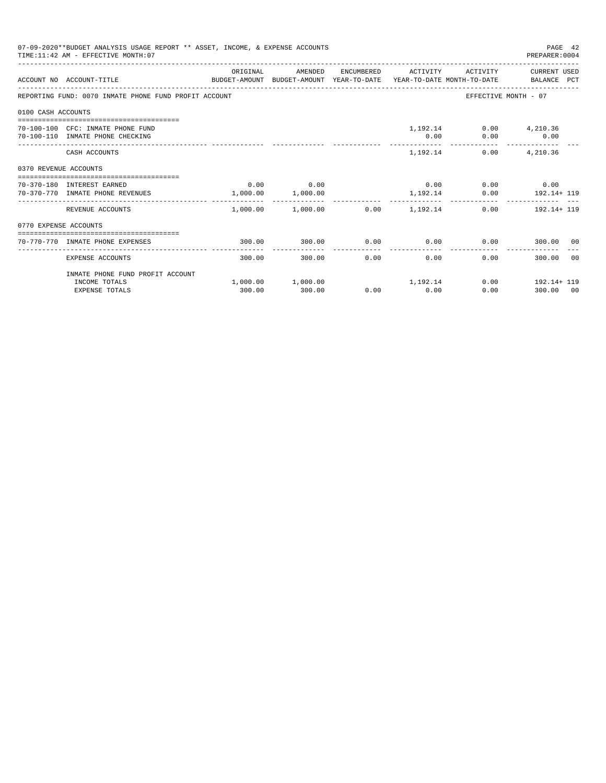|                       | 07-09-2020**BUDGET ANALYSIS USAGE REPORT ** ASSET, INCOME, & EXPENSE ACCOUNTS<br>TIME: 11:42 AM - EFFECTIVE MONTH: 07 |          |                                                                       |      |                       |                                | PAGE 42<br>PREPARER: 0004                 |       |
|-----------------------|-----------------------------------------------------------------------------------------------------------------------|----------|-----------------------------------------------------------------------|------|-----------------------|--------------------------------|-------------------------------------------|-------|
|                       | ACCOUNT NO ACCOUNT-TITLE CONTROL PROTECT-AMOUNT BUDGET-AMOUNT YEAR-TO-DATE YEAR-TO-DATE MONTH-TO-DATE BALANCE PCT     | ORIGINAL | AMENDED                                                               |      |                       |                                | ENCUMBERED ACTIVITY ACTIVITY CURRENT USED |       |
|                       | REPORTING FUND: 0070 INMATE PHONE FUND PROFIT ACCOUNT                                                                 |          |                                                                       |      |                       |                                | EFFECTIVE MONTH - 07                      |       |
| 0100 CASH ACCOUNTS    |                                                                                                                       |          |                                                                       |      |                       |                                |                                           |       |
|                       | 70-100-100 CFC: INMATE PHONE FUND<br>70-100-110 INMATE PHONE CHECKING                                                 |          |                                                                       |      |                       | 1,192.14 0.00 4,210.36<br>0.00 | $0.00$ 0.00                               |       |
|                       | CASH ACCOUNTS                                                                                                         |          |                                                                       |      |                       | 1,192.14                       | $0.00$ $4,210.36$                         |       |
| 0370 REVENUE ACCOUNTS |                                                                                                                       |          |                                                                       |      |                       |                                |                                           |       |
|                       | 70-370-180 INTEREST EARNED<br>70-370-770 INMATE PHONE REVENUES                                                        |          | $0.00$ 0.00<br>1,000.00 1,000.00                                      |      |                       | $0.00$ 0.00 0.00 0.00          | 1, 192.14 0.00 192.14+ 119                |       |
|                       | REVENUE ACCOUNTS                                                                                                      |          | __________________________<br>$1,000.00$ $1,000.00$ $0.00$ $1,192.14$ |      | -------------         |                                | $0.00$ 192.14+ 119                        |       |
| 0770 EXPENSE ACCOUNTS |                                                                                                                       |          |                                                                       |      |                       |                                |                                           |       |
|                       | 70-770-770 INMATE PHONE EXPENSES                                                                                      | 300.00   | 300.00                                                                |      |                       | $0.00$ $0.00$ $0.00$ $0.00$    | 300.00 00                                 |       |
|                       | EXPENSE ACCOUNTS                                                                                                      | 300.00   | 300.00                                                                | 0.00 | -------------<br>0.00 |                                | 0.00<br>300.00                            | - 0.0 |
|                       | INMATE PHONE FUND PROFIT ACCOUNT                                                                                      |          |                                                                       |      |                       |                                |                                           |       |
|                       | INCOME TOTALS<br><b>EXPENSE TOTALS</b>                                                                                | 300.00   | $1,000.00$ $1,000.00$ $1,192.14$<br>300.00                            |      | $0.00$ 0.00           |                                | $0.00$ 192.14+ 119<br>0.00<br>300.00 00   |       |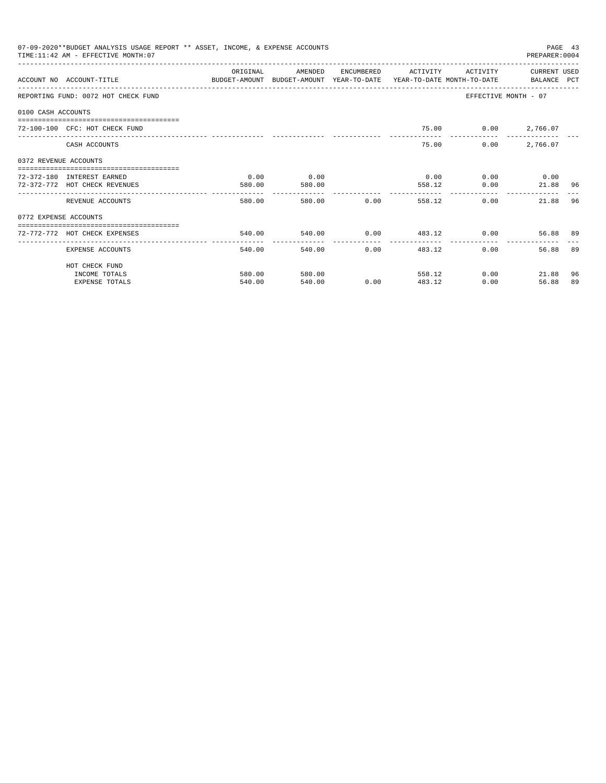|                       | 07-09-2020**BUDGET ANALYSIS USAGE REPORT ** ASSET, INCOME, & EXPENSE ACCOUNTS<br>TIME: 11:42 AM - EFFECTIVE MONTH: 07 |                                              |                          |                      |                         |                      | PAGE 43<br>PREPARER: 0004 |    |
|-----------------------|-----------------------------------------------------------------------------------------------------------------------|----------------------------------------------|--------------------------|----------------------|-------------------------|----------------------|---------------------------|----|
|                       | ACCOUNT NO ACCOUNT-TITLE COMPUTE THE SUDGET-AMOUNT BUDGET-AMOUNT VEAR-TO-DATE YEAR-TO-DATE MONTH-TO-DATE BALANCE PCT  | OR TGTNAL                                    | AMENDED                  | ENCUMBERED           | <b>ACTIVITY</b>         | <b>ACTIVITY</b>      | CURRENT USED              |    |
|                       | REPORTING FUND: 0072 HOT CHECK FUND                                                                                   |                                              |                          |                      |                         | EFFECTIVE MONTH - 07 |                           |    |
| 0100 CASH ACCOUNTS    |                                                                                                                       |                                              |                          |                      |                         |                      |                           |    |
|                       | 72-100-100 CFC: HOT CHECK FUND                                                                                        |                                              |                          |                      |                         | 75.00 0.00 2,766.07  |                           |    |
|                       | CASH ACCOUNTS                                                                                                         |                                              |                          |                      | 75.00                   | 0.00                 | 2,766.07                  |    |
| 0372 REVENUE ACCOUNTS |                                                                                                                       |                                              |                          |                      |                         |                      |                           |    |
|                       | 72-372-180 INTEREST EARNED                                                                                            | 0.00                                         | 0.00                     |                      | 0.00                    |                      | $0.00$ 0.00               |    |
|                       | 72-372-772 HOT CHECK REVENUES                                                                                         | 580.00                                       | 580.00<br>-------------- |                      | 558.12                  | 0.00                 | 21.88                     | 96 |
|                       | REVENUE ACCOUNTS                                                                                                      | 580.00                                       |                          | 580.00 0.00          | 558.12                  | 0.00                 | 21.88                     | 96 |
| 0772 EXPENSE ACCOUNTS |                                                                                                                       |                                              |                          |                      |                         |                      |                           |    |
|                       | 72-772-772 HOT CHECK EXPENSES                                                                                         | 540.00                                       |                          |                      | 540.00 0.00 483.12 0.00 |                      | 56.88 89                  |    |
|                       | EXPENSE ACCOUNTS                                                                                                      | -------------------- -------------<br>540.00 | 540.00                   | ------------<br>0.00 | 483.12                  | 0.00                 | 56.88                     | 89 |
|                       | HOT CHECK FUND                                                                                                        |                                              |                          |                      |                         |                      |                           |    |
|                       | INCOME TOTALS                                                                                                         | 580.00                                       | 580.00                   |                      | 558.12                  | $0.00$ and $0.00$    | 21.88                     | 96 |
|                       | <b>EXPENSE TOTALS</b>                                                                                                 | 540.00                                       | 540.00                   | 0.00                 | 483.12                  | 0.00                 | 56.88                     | 89 |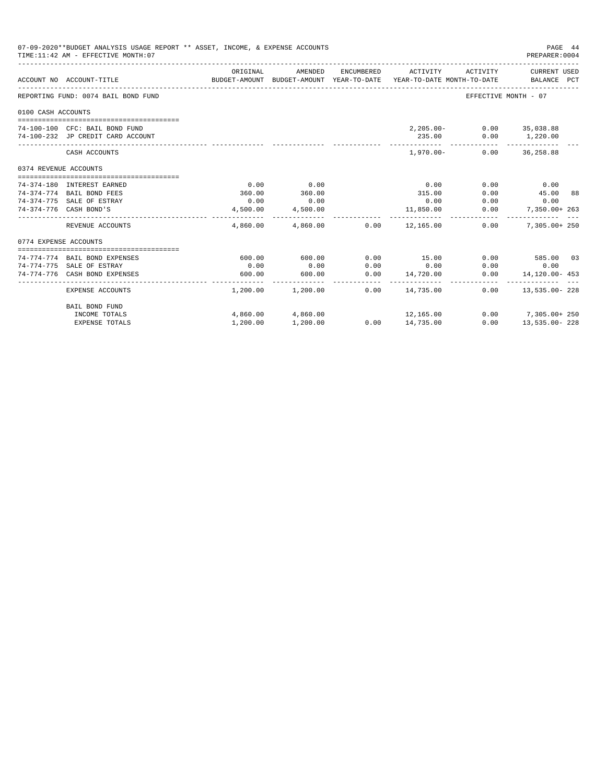|                       | 07-09-2020**BUDGET ANALYSIS USAGE REPORT ** ASSET, INCOME, & EXPENSE ACCOUNTS<br>TIME: 11:42 AM - EFFECTIVE MONTH: 07 |          |                         |      |                                                                                            |                          | PAGE 44<br>PREPARER: 0004   |  |
|-----------------------|-----------------------------------------------------------------------------------------------------------------------|----------|-------------------------|------|--------------------------------------------------------------------------------------------|--------------------------|-----------------------------|--|
|                       | ACCOUNT NO ACCOUNT-TITLE                                                                                              | ORIGINAL | AMENDED                 |      | ENCUMBERED ACTIVITY<br>BUDGET-AMOUNT BUDGET-AMOUNT YEAR-TO-DATE YEAR-TO-DATE MONTH-TO-DATE | ACTIVITY                 | CURRENT USED<br>BALANCE PCT |  |
|                       | REPORTING FUND: 0074 BAIL BOND FUND                                                                                   |          |                         |      |                                                                                            | EFFECTIVE MONTH - 07     |                             |  |
| 0100 CASH ACCOUNTS    |                                                                                                                       |          |                         |      |                                                                                            |                          |                             |  |
|                       |                                                                                                                       |          |                         |      |                                                                                            |                          |                             |  |
|                       | 74-100-100 CFC: BAIL BOND FUND                                                                                        |          |                         |      |                                                                                            | 2,205.00- 0.00 35,038.88 |                             |  |
|                       | 74-100-232 JP CREDIT CARD ACCOUNT                                                                                     |          |                         |      | 235.00                                                                                     |                          | $0.00$ 1,220.00             |  |
|                       | CASH ACCOUNTS                                                                                                         |          |                         |      | $1.970.00 -$                                                                               |                          | $0.00$ 36,258.88            |  |
| 0374 REVENUE ACCOUNTS |                                                                                                                       |          |                         |      |                                                                                            |                          |                             |  |
|                       |                                                                                                                       |          |                         |      |                                                                                            |                          |                             |  |
|                       | 74-374-180 INTEREST EARNED                                                                                            | 0.00     | 0.00                    |      | 0.00                                                                                       | 0.00                     | 0.00                        |  |
|                       | 74-374-774 BAIL BOND FEES                                                                                             | 360.00   | 360.00                  |      | 315.00                                                                                     | 0.00                     | 45.00 88                    |  |
|                       | 74-374-775 SALE OF ESTRAY                                                                                             | 0.00     | 0.00                    |      | 0.00                                                                                       | 0.00                     | 0.00                        |  |
|                       | 74-374-776 CASH BOND'S                                                                                                | 4,500.00 | 4,500.00                |      | 11,850.00<br>--------------                                                                | 0.00                     | 7,350.00+ 263               |  |
|                       | REVENUE ACCOUNTS                                                                                                      |          |                         |      | $4,860.00$ $4,860.00$ $0.00$ $12,165.00$                                                   | 0.00                     | $7.305.00 + 250$            |  |
| 0774 EXPENSE ACCOUNTS |                                                                                                                       |          |                         |      |                                                                                            |                          |                             |  |
|                       |                                                                                                                       |          |                         |      |                                                                                            |                          |                             |  |
|                       | 74-774-774 BAIL BOND EXPENSES                                                                                         | 600.00   | 600.00                  | 0.00 | 15.00                                                                                      |                          | $0.00$ 585.00 03            |  |
|                       | 74-774-775 SALE OF ESTRAY                                                                                             | 0.00     | 0.00                    | 0.00 | 0.00                                                                                       | 0.00                     | 0.00                        |  |
|                       | 74-774-776 CASH BOND EXPENSES                                                                                         | 600.00   | 600.00<br>------------- | 0.00 | 14,720.00<br>______________________                                                        |                          | $0.00$ 14,120.00 - 453      |  |
|                       | EXPENSE ACCOUNTS                                                                                                      |          | 1,200.00 1,200.00       | 0.00 | 14,735.00                                                                                  |                          | $0.00$ 13,535.00-228        |  |
|                       | <b>BAIL BOND FUND</b>                                                                                                 |          |                         |      |                                                                                            |                          |                             |  |
|                       | INCOME TOTALS                                                                                                         |          | 4,860.00 4,860.00       |      | 12,165.00                                                                                  |                          | $0.00$ 7,305.00+ 250        |  |
|                       | <b>EXPENSE TOTALS</b>                                                                                                 | 1,200.00 | 1,200.00                |      | $0.00$ 14,735.00                                                                           | 0.00                     | 13,535.00-228               |  |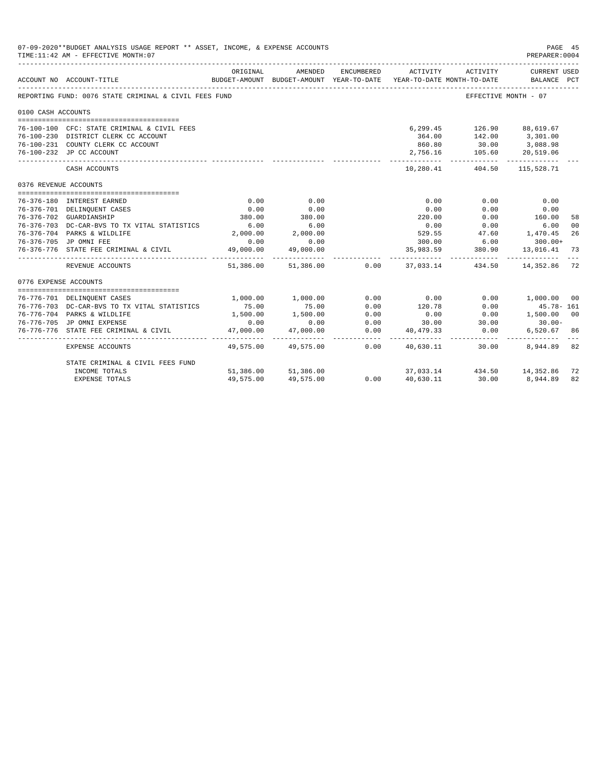| 07-09-2020**BUDGET ANALYSIS USAGE REPORT ** ASSET, INCOME, & EXPENSE ACCOUNTS<br>TIME: 11:42 AM - EFFECTIVE MONTH: 07 |                                                       |                          |                                                                                |            |                          |                  |                                    | PAGE 45<br>PREPARER: 0004 |
|-----------------------------------------------------------------------------------------------------------------------|-------------------------------------------------------|--------------------------|--------------------------------------------------------------------------------|------------|--------------------------|------------------|------------------------------------|---------------------------|
|                                                                                                                       | ACCOUNT NO ACCOUNT-TITLE                              | ORIGINAL                 | AMENDED<br>BUDGET-AMOUNT BUDGET-AMOUNT YEAR-TO-DATE YEAR-TO-DATE MONTH-TO-DATE | ENCUMBERED | ACTIVITY                 | ACTIVITY         | <b>CURRENT USED</b><br>BALANCE PCT |                           |
|                                                                                                                       | REPORTING FUND: 0076 STATE CRIMINAL & CIVIL FEES FUND |                          |                                                                                |            |                          |                  | EFFECTIVE MONTH - 07               |                           |
| 0100 CASH ACCOUNTS                                                                                                    |                                                       |                          |                                                                                |            |                          |                  |                                    |                           |
|                                                                                                                       |                                                       |                          |                                                                                |            |                          |                  |                                    |                           |
|                                                                                                                       | 76-100-100 CFC: STATE CRIMINAL & CIVIL FEES           |                          |                                                                                |            | 6,299.45                 | 126.90 88,619.67 |                                    |                           |
|                                                                                                                       | 76-100-230 DISTRICT CLERK CC ACCOUNT                  |                          |                                                                                |            | 364.00                   |                  | 142.00 3,301.00                    |                           |
|                                                                                                                       | 76-100-231 COUNTY CLERK CC ACCOUNT                    |                          |                                                                                |            | 860.80                   | 30.00            | 3,088.98                           |                           |
|                                                                                                                       | 76-100-232 JP CC ACCOUNT                              |                          |                                                                                |            | 2,756.16                 | 105.60           | 20,519.06                          |                           |
|                                                                                                                       | CASH ACCOUNTS                                         |                          |                                                                                |            | -----------<br>10,280.41 | .                | -----------<br>404.50 115,528.71   |                           |
| 0376 REVENUE ACCOUNTS                                                                                                 |                                                       |                          |                                                                                |            |                          |                  |                                    |                           |
|                                                                                                                       |                                                       |                          |                                                                                |            |                          |                  |                                    |                           |
|                                                                                                                       | 76-376-180 INTEREST EARNED                            | 0.00                     | 0.00                                                                           |            | 0.00                     | 0.00             | 0.00                               |                           |
|                                                                                                                       | 76-376-701 DELINOUENT CASES                           | 0.00                     | 0.00                                                                           |            | 0.00                     | 0.00             | 0.00                               |                           |
|                                                                                                                       | 76-376-702 GUARDIANSHIP                               | 380.00                   | 380.00                                                                         |            | 220.00                   | 0.00             | 160.00                             | 58                        |
|                                                                                                                       | 76-376-703 DC-CAR-BVS TO TX VITAL STATISTICS          | 6.00                     | 6.00                                                                           |            | 0.00                     | 0.00             | 6.00                               | 00                        |
|                                                                                                                       | 76-376-704 PARKS & WILDLIFE                           | 2,000.00                 | 2,000.00                                                                       |            | 529.55                   |                  | 47.60 1,470.45                     | 26                        |
|                                                                                                                       | 76-376-705 JP OMNI FEE                                | 0.00                     | 0.00                                                                           |            | 300.00                   | 6.00             | $300.00+$                          |                           |
|                                                                                                                       | 76-376-776 STATE FEE CRIMINAL & CIVIL                 | 49,000.00<br>----------- | 49,000.00<br>.                                                                 |            | 35,983.59                | 380.90           | 13,016.41                          | 73                        |
|                                                                                                                       | REVENUE ACCOUNTS                                      | 51,386.00                | 51,386.00                                                                      | 0.00       |                          | 37,033.14 434.50 | 14,352.86                          | 72                        |
| 0776 EXPENSE ACCOUNTS                                                                                                 |                                                       |                          |                                                                                |            |                          |                  |                                    |                           |
|                                                                                                                       |                                                       |                          |                                                                                |            |                          |                  |                                    |                           |
|                                                                                                                       | 76-776-701 DELINQUENT CASES                           | 1,000.00                 | 1,000.00                                                                       | 0.00       | 0.00                     | 0.00             | 1,000.00 00                        |                           |
|                                                                                                                       | 76-776-703 DC-CAR-BVS TO TX VITAL STATISTICS          | 75.00                    | 75.00                                                                          | 0.00       | 120.78                   | 0.00             | $45.78 - 161$                      |                           |
|                                                                                                                       | 76-776-704 PARKS & WILDLIFE                           | 1,500.00                 | 1,500.00                                                                       | 0.00       | 0.00                     | 0.00             | 1,500.00 00                        |                           |
|                                                                                                                       | 76-776-705 JP OMNI EXPENSE                            | 0.00                     | 0.00                                                                           | 0.00       | 30.00                    | 30.00            | $30.00 -$                          |                           |
|                                                                                                                       | 76-776-776 STATE FEE CRIMINAL & CIVIL                 | 47,000.00                | 47,000.00                                                                      | 0.00       | 40,479.33                | 0.00             | 6,520.67                           | 86                        |
|                                                                                                                       | <b>EXPENSE ACCOUNTS</b>                               | 49,575.00                | 49,575.00                                                                      | 0.00       | 40,630.11                | 30.00            | 8,944,89 82                        |                           |
|                                                                                                                       | STATE CRIMINAL & CIVIL FEES FUND                      |                          |                                                                                |            |                          |                  |                                    |                           |
|                                                                                                                       | INCOME TOTALS                                         | 51,386.00                | 51,386.00                                                                      |            | 37,033.14                |                  | 434.50 14,352.86                   | 72                        |
|                                                                                                                       | <b>EXPENSE TOTALS</b>                                 | 49,575.00                | 49,575.00                                                                      | 0.00       | 40,630.11                | 30.00            | 8,944.89                           | 82                        |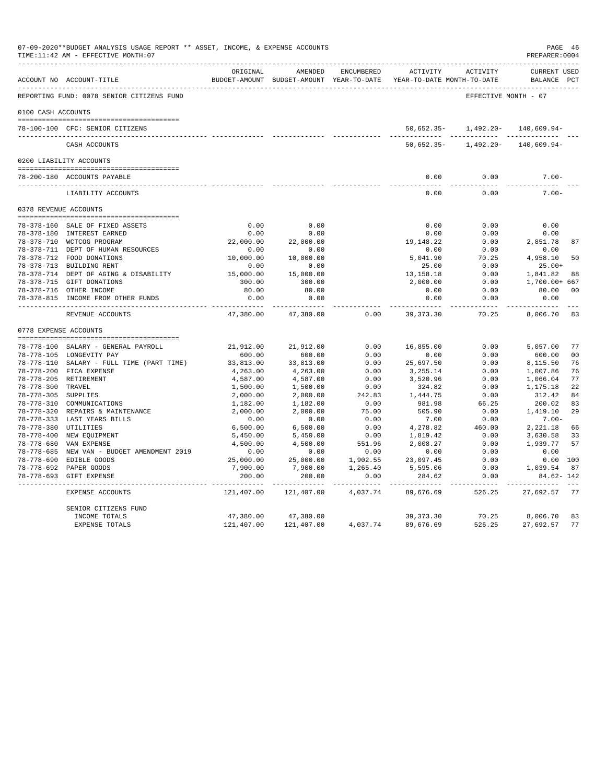|                    | 07-09-2020**BUDGET ANALYSIS USAGE REPORT ** ASSET, INCOME, & EXPENSE ACCOUNTS<br>TIME:11:42 AM - EFFECTIVE MONTH:07 |                     |                     |          |                                                                                                     |                      | PAGE 46<br>PREPARER:0004             |
|--------------------|---------------------------------------------------------------------------------------------------------------------|---------------------|---------------------|----------|-----------------------------------------------------------------------------------------------------|----------------------|--------------------------------------|
|                    | ACCOUNT NO ACCOUNT-TITLE                                                                                            | ORIGINAL            | AMENDED             |          | ENCUMBERED ACTIVITY ACTIVITY<br>BUDGET-AMOUNT BUDGET-AMOUNT YEAR-TO-DATE YEAR-TO-DATE MONTH-TO-DATE |                      | <b>CURRENT USED</b><br>BALANCE PCT   |
|                    | REPORTING FUND: 0078 SENIOR CITIZENS FUND                                                                           |                     |                     |          |                                                                                                     | EFFECTIVE MONTH - 07 |                                      |
| 0100 CASH ACCOUNTS |                                                                                                                     |                     |                     |          |                                                                                                     |                      |                                      |
|                    |                                                                                                                     |                     |                     |          |                                                                                                     |                      |                                      |
|                    | 78-100-100 CFC: SENIOR CITIZENS                                                                                     |                     |                     |          | $50.652.35 -$                                                                                       |                      | $1,492.20 - 140.609.94 -$            |
|                    | CASH ACCOUNTS                                                                                                       |                     |                     |          | 50,652.35-                                                                                          |                      | $1,492.20 - 140,609.94 -$            |
|                    | 0200 LIABILITY ACCOUNTS                                                                                             |                     |                     |          |                                                                                                     |                      |                                      |
|                    |                                                                                                                     |                     |                     |          |                                                                                                     |                      |                                      |
|                    | 78-200-180 ACCOUNTS PAYABLE                                                                                         |                     |                     |          | 0.00<br>$- - - - -$                                                                                 | 0.00                 | $7.00 -$                             |
|                    | LIABILITY ACCOUNTS                                                                                                  |                     |                     |          | 0.00                                                                                                | 0.00                 | 7 00-                                |
|                    | 0378 REVENUE ACCOUNTS                                                                                               |                     |                     |          |                                                                                                     |                      |                                      |
|                    | 78-378-160 SALE OF FIXED ASSETS                                                                                     | 0.00                | 0.00                |          | 0.00                                                                                                | 0.00                 | 0.00                                 |
|                    | 78-378-180 INTEREST EARNED                                                                                          | 0.00                | 0.00                |          | 0.00                                                                                                | 0.00                 | 0.00                                 |
|                    | 78-378-710 WCTCOG PROGRAM                                                                                           | 22,000.00           | 22,000.00           |          | 19,148.22                                                                                           | 0.00                 | 2,851.78<br>87                       |
|                    | 78-378-711 DEPT OF HUMAN RESOURCES                                                                                  | 0.00                | 0.00                |          | 0.00                                                                                                | 0.00                 | 0.00                                 |
|                    | 78-378-712 FOOD DONATIONS                                                                                           | 10,000.00           | 10,000.00           |          | 5,041.90                                                                                            | 70.25                | 4,958.10<br>50                       |
|                    | 78-378-713 BUILDING RENT                                                                                            | 0.00                | 0.00                |          | 25.00                                                                                               | 0.00                 | $25.00+$                             |
|                    | 78-378-714 DEPT OF AGING & DISABILITY                                                                               | 15,000.00           | 15,000.00           |          | 13,158.18                                                                                           | 0.00                 | 1,841.82 88                          |
|                    | 78-378-715 GIFT DONATIONS                                                                                           | 300.00              | 300.00              |          | 2,000.00                                                                                            | 0.00                 | 1,700.00+ 667                        |
|                    | 78-378-716 OTHER INCOME                                                                                             | 80.00               | 80.00               |          | 0.00                                                                                                | 0.00                 | 80.00<br>00                          |
|                    | 78-378-815 INCOME FROM OTHER FUNDS                                                                                  | 0.00                | 0.00                |          | 0.00                                                                                                | 0.00                 | 0.00                                 |
|                    | REVENUE ACCOUNTS                                                                                                    | 47,380.00           | 47,380.00           | 0.00     | 39, 373. 30                                                                                         | المستسلسات<br>70.25  | ---------- ---<br>8,006.70 83        |
|                    | 0778 EXPENSE ACCOUNTS                                                                                               |                     |                     |          |                                                                                                     |                      |                                      |
|                    |                                                                                                                     |                     |                     | 0.00     | 16,855.00                                                                                           | 0.00                 | 77                                   |
|                    | 78-778-100 SALARY - GENERAL PAYROLL<br>78-778-105 LONGEVITY PAY                                                     | 21,912.00<br>600.00 | 21,912.00<br>600.00 | 0.00     | 0.00                                                                                                | 0.00                 | 5,057.00<br>0 <sub>0</sub><br>600.00 |
|                    | 78-778-110 SALARY - FULL TIME (PART TIME)                                                                           | 33,813.00           | 33,813.00           | 0.00     | 25,697.50                                                                                           | 0.00                 | 76<br>8,115.50                       |
|                    | 78-778-200 FICA EXPENSE                                                                                             | 4,263.00            | 4,263.00            | 0.00     | 3, 255.14                                                                                           | 0.00                 | 76<br>1,007.86                       |
|                    | 78-778-205 RETIREMENT                                                                                               | 4,587.00            | 4,587.00            | 0.00     | 3,520.96                                                                                            | 0.00                 | 77<br>1,066.04                       |
| 78-778-300 TRAVEL  |                                                                                                                     | 1,500.00            | 1,500.00            | 0.00     | 324.82                                                                                              | 0.00                 | 22<br>1,175.18                       |
|                    | 78-778-305 SUPPLIES                                                                                                 | 2,000.00            | 2,000.00            | 242.83   | 1,444.75                                                                                            | 0.00                 | 312.42<br>84                         |
|                    | 78-778-310 COMMUNICATIONS                                                                                           | 1,182.00            | 1,182.00            | 0.00     | 981.98                                                                                              | 66.25                | 200.02<br>83                         |
|                    | 78-778-320 REPAIRS & MAINTENANCE                                                                                    | 2,000.00            | 2,000.00            | 75.00    | 505.90                                                                                              | 0.00                 | 1,419.10<br>29                       |
|                    | 78-778-333 LAST YEARS BILLS                                                                                         | 0.00                | 0.00                | 0.00     | 7.00                                                                                                | 0.00                 | $7.00 -$                             |
|                    | 78-778-380 UTILITIES                                                                                                | 6,500.00            | 6,500.00            | 0.00     | 4,278.82                                                                                            | 460.00               | 2,221.18<br>- 66                     |
|                    | 78-778-400 NEW EQUIPMENT                                                                                            | 5,450.00            | 5,450.00            | 0.00     | 1,819.42                                                                                            | 0.00                 | 3,630.58<br>33                       |
|                    | 78-778-680 VAN EXPENSE                                                                                              | 4,500.00            | 4,500.00            | 551.96   | 2,008.27                                                                                            | 0.00                 | 1,939.77<br>57                       |
|                    | 78-778-685 NEW VAN - BUDGET AMENDMENT 2019                                                                          | 0.00                | 0.00                | 0.00     | 0.00                                                                                                | 0.00                 | 0.00                                 |
|                    | 78-778-690 EDIBLE GOODS                                                                                             | 25,000.00           | 25,000.00           |          | 1,902.55 23,097.45                                                                                  | 0.00                 | 0.00 100                             |
|                    | 78-778-692 PAPER GOODS                                                                                              | 7,900.00            | 7,900.00            | 1,265.40 | 5,595.06                                                                                            | 0.00                 | 1,039.54 87                          |
|                    | 78-778-693 GIFT EXPENSE                                                                                             | 200.00              | 200.00              | 0.00     | 284.62                                                                                              | 0.00                 | 84.62-142                            |
|                    | EXPENSE ACCOUNTS                                                                                                    | 121,407.00          | 121,407.00          | 4,037.74 | 89,676.69                                                                                           | 526.25               | 77<br>27,692.57                      |
|                    | SENIOR CITIZENS FUND                                                                                                |                     |                     |          |                                                                                                     |                      |                                      |
|                    | INCOME TOTALS                                                                                                       | 47,380.00           | 47,380.00           |          | 39, 373.30                                                                                          | 70.25                | 8,006.70<br>83                       |
|                    | EXPENSE TOTALS                                                                                                      | 121,407.00          | 121,407.00          | 4,037.74 | 89,676.69                                                                                           | 526.25               | 77<br>27,692.57                      |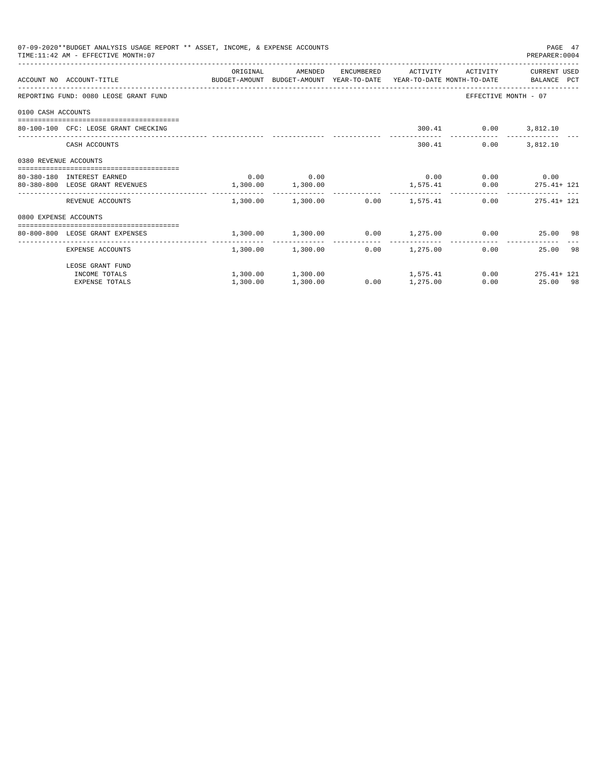|                       | 07-09-2020**BUDGET ANALYSIS USAGE REPORT ** ASSET, INCOME, & EXPENSE ACCOUNTS<br>TIME: 11:42 AM - EFFECTIVE MONTH: 07 |                       |                                         |      |                     |                             | PAGE 47<br>PREPARER: 0004                                   |
|-----------------------|-----------------------------------------------------------------------------------------------------------------------|-----------------------|-----------------------------------------|------|---------------------|-----------------------------|-------------------------------------------------------------|
|                       | ACCOUNT NO ACCOUNT-TITLE COMPUTE BUDGET-AMOUNT BUDGET-AMOUNT YEAR-TO-DATE YEAR-TO-DATE MONTH-TO-DATE BALANCE PCT      | ORIGINAL              | AMENDED                                 |      | ENCUMBERED ACTIVITY | ACTIVITY                    | CURRENT USED                                                |
|                       | REPORTING FUND: 0080 LEOSE GRANT FUND                                                                                 |                       |                                         |      |                     |                             | EFFECTIVE MONTH - 07                                        |
| 0100 CASH ACCOUNTS    |                                                                                                                       |                       |                                         |      |                     |                             |                                                             |
|                       | 80-100-100 CFC: LEOSE GRANT CHECKING                                                                                  |                       |                                         |      |                     | 300.41 0.00 3,812.10        |                                                             |
|                       | CASH ACCOUNTS                                                                                                         |                       |                                         |      |                     | 0.00<br>300.41              | 3,812.10                                                    |
| 0380 REVENUE ACCOUNTS |                                                                                                                       |                       |                                         |      |                     |                             |                                                             |
|                       | 80-380-180 INTEREST EARNED                                                                                            |                       | $0.00$ 0.00                             |      |                     | $0.00$ $0.00$ $0.00$ $0.00$ |                                                             |
|                       | 80-380-800 LEOSE GRANT REVENUES                                                                                       | $1,300.00$ $1,300.00$ |                                         |      |                     |                             | $1,575.41$ 0.00 275.41+ 121                                 |
|                       | REVENUE ACCOUNTS                                                                                                      |                       | $1.300.00$ $1.300.00$ $0.00$ $1.575.41$ |      |                     |                             | $0.00$ 275.41+ 121                                          |
| 0800 EXPENSE ACCOUNTS |                                                                                                                       |                       |                                         |      |                     |                             |                                                             |
|                       | -------------------------------------<br>80-800-800 LEOSE GRANT EXPENSES                                              |                       |                                         |      |                     |                             | $1,300.00$ $1,300.00$ $0.00$ $1,275.00$ $0.00$ $25.00$ $98$ |
|                       |                                                                                                                       |                       |                                         |      |                     | -------------               |                                                             |
|                       | EXPENSE ACCOUNTS                                                                                                      |                       | $1,300.00$ $1,300.00$ $0.00$ $1,275.00$ |      |                     |                             | 25.00 98<br>0.00                                            |
|                       | LEOSE GRANT FUND                                                                                                      |                       |                                         |      |                     |                             |                                                             |
|                       | INCOME TOTALS                                                                                                         |                       | $1,300.00$ $1,300.00$ $1,575.41$        |      |                     |                             | $0.00$ $275.41 + 121$                                       |
|                       | <b>EXPENSE TOTALS</b>                                                                                                 | 1,300.00              | 1,300.00                                | 0.00 | 1,275.00            |                             | 0.00<br>25.00 98                                            |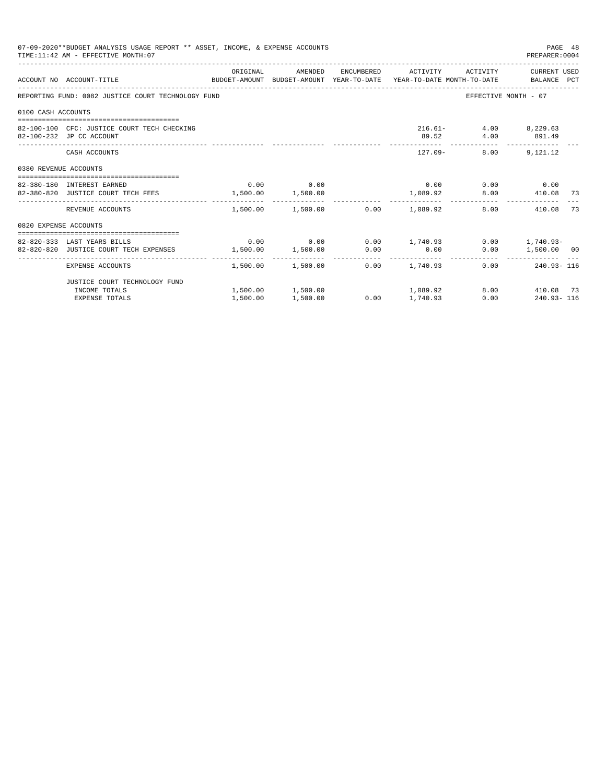|                       | 07-09-2020**BUDGET ANALYSIS USAGE REPORT ** ASSET, INCOME, & EXPENSE ACCOUNTS<br>TIME: 11:42 AM - EFFECTIVE MONTH: 07 |          |             |                                                          |                                                             | PAGE 48<br>PREPARER: 0004 |    |
|-----------------------|-----------------------------------------------------------------------------------------------------------------------|----------|-------------|----------------------------------------------------------|-------------------------------------------------------------|---------------------------|----|
|                       | ACCOUNT NO ACCOUNT-TITLE CONTROL SUDGET-AMOUNT BUDGET-AMOUNT YEAR-TO-DATE YEAR-TO-DATE MONTH-TO-DATE BALANCE PCT      | ORIGINAL |             | AMENDED ENCUMBERED ACTIVITY ACTIVITY CURRENTUSED         |                                                             |                           |    |
|                       | REPORTING FUND: 0082 JUSTICE COURT TECHNOLOGY FUND                                                                    |          |             |                                                          |                                                             | EFFECTIVE MONTH - 07      |    |
| 0100 CASH ACCOUNTS    |                                                                                                                       |          |             |                                                          |                                                             |                           |    |
|                       | 82-100-100 CFC: JUSTICE COURT TECH CHECKING<br>82-100-232 JP CC ACCOUNT                                               |          |             |                                                          | 216.61- 4.00 8,229.63<br>89.52 4.00 891.49                  |                           |    |
|                       | CASH ACCOUNTS                                                                                                         |          |             | --------------                                           | _______________________________<br>$127.09 - 8.00$ 9,121.12 |                           |    |
| 0380 REVENUE ACCOUNTS |                                                                                                                       |          |             |                                                          |                                                             |                           |    |
|                       |                                                                                                                       |          |             |                                                          |                                                             |                           |    |
|                       | 82-380-180 INTEREST EARNED<br>82-380-820 JUSTICE COURT TECH FEES 1,500.00 1,500.00                                    |          | $0.00$ 0.00 | 1,089.92 8.00 410.08 73                                  | $0.00$ $0.00$ $0.00$ $0.00$                                 |                           |    |
|                       | REVENUE ACCOUNTS                                                                                                      |          |             | $1.500.00$ $1.500.00$ $0.00$ $1.089.92$                  |                                                             | 8.00<br>410.08            | 73 |
| 0820 EXPENSE ACCOUNTS |                                                                                                                       |          |             |                                                          |                                                             |                           |    |
|                       |                                                                                                                       |          |             |                                                          |                                                             |                           |    |
|                       | 82-820-333 LAST YEARS BILLS                                                                                           |          |             | $0.00$ $0.00$ $0.00$ $1,740.93$ $0.00$ $1,740.93$ $0.00$ |                                                             |                           |    |
|                       | 82-820-820 JUSTICE COURT TECH EXPENSES $1,500.00$ $1,500.00$ $0.00$ $0.00$                                            |          |             |                                                          |                                                             | $0.00$ 1,500.00 00        |    |
|                       | EXPENSE ACCOUNTS                                                                                                      |          |             | $1,500.00$ $1,500.00$ $0.00$ $1,740.93$                  |                                                             | $0.00$ 240.93-116         |    |
|                       | JUSTICE COURT TECHNOLOGY FUND                                                                                         |          |             |                                                          |                                                             |                           |    |
|                       | INCOME TOTALS                                                                                                         |          |             | $1,500.00$ $1,500.00$ $1,089.92$                         |                                                             | 8.00 410.08 73            |    |
|                       | <b>EXPENSE TOTALS</b>                                                                                                 | 1,500.00 | 1,500.00    | $0.00$ 1,740.93                                          |                                                             | $0.00$ 240.93-116         |    |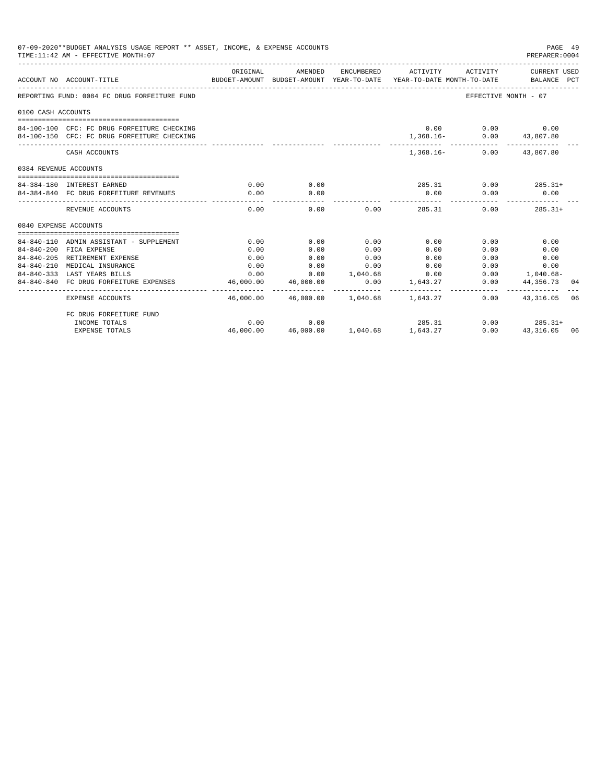| 07-09-2020**BUDGET ANALYSIS USAGE REPORT ** ASSET, INCOME, & EXPENSE ACCOUNTS<br>TIME: 11:42 AM - EFFECTIVE MONTH: 07 |                                              |                                                                                             |                                          |                             |               |                                           |                           | PAGE 49<br>PREPARER:0004 |
|-----------------------------------------------------------------------------------------------------------------------|----------------------------------------------|---------------------------------------------------------------------------------------------|------------------------------------------|-----------------------------|---------------|-------------------------------------------|---------------------------|--------------------------|
|                                                                                                                       | ACCOUNT NO ACCOUNT-TITLE                     | ORIGINAL<br>BUDGET-AMOUNT BUDGET-AMOUNT YEAR-TO-DATE YEAR-TO-DATE MONTH-TO-DATE BALANCE PCT | AMENDED                                  |                             |               | ENCUMBERED ACTIVITY ACTIVITY CURRENT USED |                           |                          |
|                                                                                                                       | REPORTING FUND: 0084 FC DRUG FORFEITURE FUND |                                                                                             |                                          |                             |               |                                           | EFFECTIVE MONTH - 07      |                          |
| 0100 CASH ACCOUNTS                                                                                                    |                                              |                                                                                             |                                          |                             |               |                                           |                           |                          |
|                                                                                                                       |                                              |                                                                                             |                                          |                             |               |                                           |                           |                          |
|                                                                                                                       | 84-100-100 CFC: FC DRUG FORFEITURE CHECKING  |                                                                                             |                                          |                             |               | $0.00$ $0.00$ $0.00$                      |                           |                          |
|                                                                                                                       | 84-100-150 CFC: FC DRUG FORFEITURE CHECKING  |                                                                                             |                                          |                             |               | 1,368.16- 0.00 43,807.80                  |                           |                          |
|                                                                                                                       | CASH ACCOUNTS                                |                                                                                             |                                          |                             |               | 1,368.16 - 0.00 43,807.80                 |                           |                          |
| 0384 REVENUE ACCOUNTS                                                                                                 |                                              |                                                                                             |                                          |                             |               |                                           |                           |                          |
|                                                                                                                       |                                              |                                                                                             |                                          |                             |               |                                           |                           |                          |
|                                                                                                                       | 84-384-180 INTEREST EARNED                   | 0.00                                                                                        | 0.00                                     |                             |               | $285.31$ 0.00 285.31+                     |                           |                          |
|                                                                                                                       | 84-384-840 FC DRUG FORFEITURE REVENUES       | 0.00                                                                                        | 0.00                                     |                             | 0.00          | 0.00                                      | 0.00                      |                          |
|                                                                                                                       | REVENUE ACCOUNTS                             | 0.00                                                                                        | 0.00                                     |                             | $0.00$ 285.31 | 0.00                                      | $285.31+$                 |                          |
| 0840 EXPENSE ACCOUNTS                                                                                                 |                                              |                                                                                             |                                          |                             |               |                                           |                           |                          |
|                                                                                                                       |                                              |                                                                                             |                                          |                             |               |                                           |                           |                          |
|                                                                                                                       | 84-840-110 ADMIN ASSISTANT - SUPPLEMENT      | 0.00                                                                                        | 0.00                                     | 0.00                        | 0.00          | 0.00                                      | 0.00                      |                          |
|                                                                                                                       | 84-840-200 FICA EXPENSE                      | 0.00                                                                                        | 0.00                                     | 0.00                        | 0.00          | 0.00                                      | 0.00                      |                          |
|                                                                                                                       | 84-840-205 RETIREMENT EXPENSE                | 0.00                                                                                        | 0.00                                     | 0.00                        | 0.00          | 0.00                                      | 0.00                      |                          |
|                                                                                                                       | 84-840-210 MEDICAL INSURANCE                 | 0.00                                                                                        | 0.00                                     | 0.00                        | 0.00          |                                           | $0.00$ and $0.00$<br>0.00 |                          |
|                                                                                                                       | 84-840-333 LAST YEARS BILLS                  | 0.00                                                                                        | $0.00$ $1.040.68$ $0.00$                 |                             |               |                                           | $0.00$ 1,040.68-          |                          |
|                                                                                                                       | 84-840-840 FC DRUG FORFEITURE EXPENSES       | 46,000.00<br>__________                                                                     | 46,000.00<br>-------------               | 0.00<br>------------        | 1,643.27      | ----------- -                             | $0.00$ $44,356.73$<br>.   | 04                       |
|                                                                                                                       | <b>EXPENSE ACCOUNTS</b>                      |                                                                                             | 46,000.00  46,000.00  1,040.68  1,643.27 |                             |               |                                           | $0.00$ $43.316.05$        | 06                       |
|                                                                                                                       | FC DRUG FORFEITURE FUND                      |                                                                                             |                                          |                             |               |                                           |                           |                          |
|                                                                                                                       | INCOME TOTALS                                | 0.00                                                                                        | 0.00                                     |                             | 285.31        |                                           | $0.00$ 285.31+            |                          |
|                                                                                                                       | <b>EXPENSE TOTALS</b>                        | 46,000.00                                                                                   |                                          | 46,000.00 1,040.68 1,643.27 |               | 0.00                                      | 43, 316.05 06             |                          |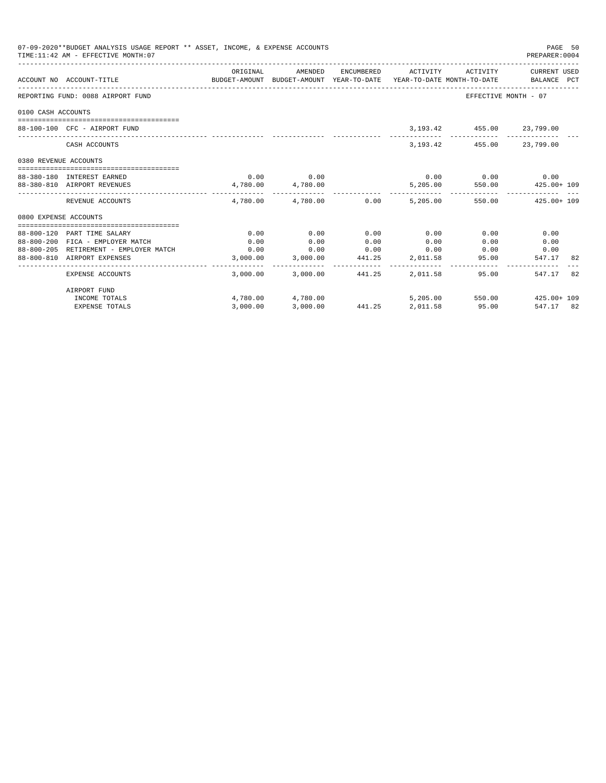| 07-09-2020**BUDGET ANALYSIS USAGE REPORT ** ASSET, INCOME, & EXPENSE ACCOUNTS<br>TIME: 11:42 AM - EFFECTIVE MONTH: 07 |                                        |          |                                         |                 |          |                                |                                                                                                                                |  |
|-----------------------------------------------------------------------------------------------------------------------|----------------------------------------|----------|-----------------------------------------|-----------------|----------|--------------------------------|--------------------------------------------------------------------------------------------------------------------------------|--|
|                                                                                                                       | ACCOUNT NO ACCOUNT-TITLE               | ORIGINAL | AMENDED                                 |                 |          |                                | ENCUMBERED ACTIVITY ACTIVITY CURRENT USED<br>BUDGET-AMOUNT BUDGET-AMOUNT YEAR-TO-DATE YEAR-TO-DATE MONTH-TO-DATE   BALANCE PCT |  |
|                                                                                                                       | REPORTING FUND: 0088 AIRPORT FUND      |          |                                         |                 |          |                                | EFFECTIVE MONTH - 07                                                                                                           |  |
| 0100 CASH ACCOUNTS                                                                                                    |                                        |          |                                         |                 |          |                                |                                                                                                                                |  |
|                                                                                                                       |                                        |          |                                         |                 |          |                                |                                                                                                                                |  |
|                                                                                                                       | 88-100-100 CFC - AIRPORT FUND          |          |                                         |                 |          | 3, 193. 42 455. 00 23, 799. 00 |                                                                                                                                |  |
|                                                                                                                       | CASH ACCOUNTS                          |          |                                         |                 |          | 3, 193. 42 455. 00 23, 799. 00 |                                                                                                                                |  |
| 0380 REVENUE ACCOUNTS                                                                                                 |                                        |          |                                         |                 |          |                                |                                                                                                                                |  |
|                                                                                                                       | 88-380-180 INTEREST EARNED             |          | $0.00$ 0.00                             |                 |          | $0.00$ 0.00 0.00               |                                                                                                                                |  |
|                                                                                                                       | 88-380-810 AIRPORT REVENUES            |          | 4,780.00 4,780.00                       |                 |          |                                | 5,205.00 550.00 425.00 + 109                                                                                                   |  |
|                                                                                                                       | REVENUE ACCOUNTS                       |          | $4.780.00$ $4.780.00$ $0.00$ $5.205.00$ |                 |          |                                | 550.00  425.00+ 109                                                                                                            |  |
| 0800 EXPENSE ACCOUNTS                                                                                                 |                                        |          |                                         |                 |          |                                |                                                                                                                                |  |
|                                                                                                                       |                                        |          |                                         |                 |          |                                |                                                                                                                                |  |
|                                                                                                                       | 88-800-120 PART TIME SALARY            | 0.00     | 0.00                                    | 0.00            | 0.00     | 0.00                           | 0.00                                                                                                                           |  |
|                                                                                                                       | 88-800-200 FICA - EMPLOYER MATCH       | 0.00     | 0.00                                    | 0.00            | 0.00     | 0.00                           | 0.00                                                                                                                           |  |
|                                                                                                                       | 88-800-205 RETIREMENT - EMPLOYER MATCH | 0.00     | 0.00                                    | 0.00            | 0.00     | $0.00$ 0.00                    |                                                                                                                                |  |
|                                                                                                                       | 88-800-810 AIRPORT EXPENSES            |          | 3,000.00 3,000.00 441.25 2,011.58       |                 |          | 95.00                          | 547.17<br>-82                                                                                                                  |  |
|                                                                                                                       | EXPENSE ACCOUNTS                       |          | 3,000.00 3,000.00 441.25                |                 | 2,011.58 | 95.00                          | 547.17<br>-82                                                                                                                  |  |
|                                                                                                                       | AIRPORT FUND                           |          |                                         |                 |          |                                |                                                                                                                                |  |
|                                                                                                                       | INCOME TOTALS                          |          | 4,780.00 4,780.00                       |                 |          |                                | 5,205.00 550.00 425.00+109                                                                                                     |  |
|                                                                                                                       | <b>EXPENSE TOTALS</b>                  | 3.000.00 | 3,000.00                                | 441.25 2,011.58 |          | 95.00                          | 547.17 82                                                                                                                      |  |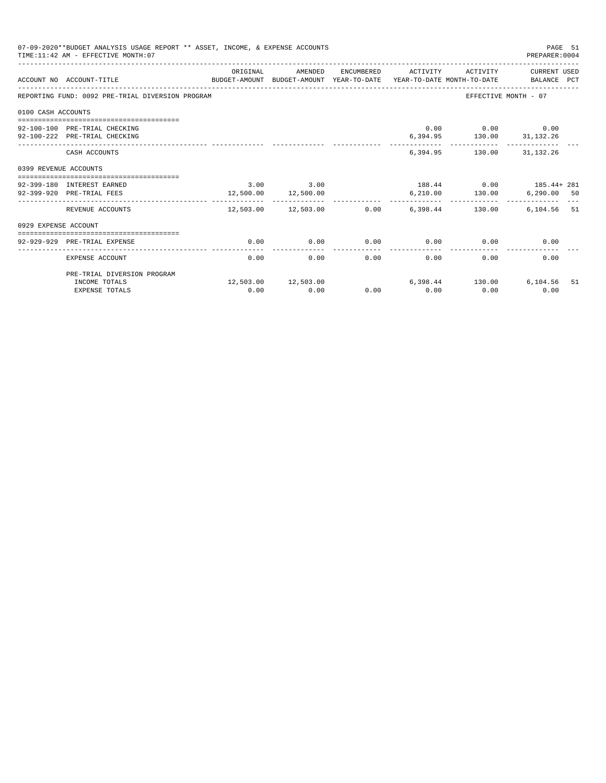| PAGE 51<br>07-09-2020**BUDGET ANALYSIS USAGE REPORT ** ASSET, INCOME, & EXPENSE ACCOUNTS<br>TIME: 11:42 AM - EFFECTIVE MONTH: 07<br>PREPARER: 0004 |                                                                                                             |               |                     |  |                              |                                                                                                                  |                       |     |
|----------------------------------------------------------------------------------------------------------------------------------------------------|-------------------------------------------------------------------------------------------------------------|---------------|---------------------|--|------------------------------|------------------------------------------------------------------------------------------------------------------|-----------------------|-----|
|                                                                                                                                                    | ACCOUNT NO ACCOUNT-TITLE<br>BUDGET-AMOUNT BUDGET-AMOUNT YEAR-TO-DATE YEAR-TO-DATE MONTH-TO-DATE BALANCE PCT | ORIGINAL      | AMENDED             |  | ENCUMBERED ACTIVITY          |                                                                                                                  | ACTIVITY CURRENT USED |     |
|                                                                                                                                                    | REPORTING FUND: 0092 PRE-TRIAL DIVERSION PROGRAM                                                            |               |                     |  |                              |                                                                                                                  | EFFECTIVE MONTH - 07  |     |
| 0100 CASH ACCOUNTS                                                                                                                                 |                                                                                                             |               |                     |  |                              |                                                                                                                  |                       |     |
|                                                                                                                                                    | 92-100-100 PRE-TRIAL CHECKING<br>92-100-222 PRE-TRIAL CHECKING                                              |               |                     |  |                              | $0.00$ $0.00$ $0.00$ $0.00$<br>6,394.95   130.00   31,132.26                                                     |                       |     |
|                                                                                                                                                    | CASH ACCOUNTS                                                                                               |               |                     |  |                              | 6,394.95 130.00 31,132.26                                                                                        |                       |     |
| 0399 REVENUE ACCOUNTS                                                                                                                              |                                                                                                             |               |                     |  |                              |                                                                                                                  |                       |     |
|                                                                                                                                                    | 92-399-180 INTEREST EARNED<br>92-399-920 PRE-TRIAL FEES                                                     | $3.00$ $3.00$ | 12,500.00 12,500.00 |  |                              | $188.44$ 0.00 $185.44 + 281$<br>$6\,,210\,.00 \qquad \qquad 130\,.00 \qquad \qquad 6\,,290\,.00 \qquad \quad 50$ |                       |     |
|                                                                                                                                                    | REVENUE ACCOUNTS                                                                                            | . <u>.</u>    | . <u>.</u>          |  | ------------                 | $12,503.00$ $12,503.00$ $0.00$ $6,398.44$ $130.00$                                                               | 6,104.56 51           |     |
| 0929 EXPENSE ACCOUNT                                                                                                                               |                                                                                                             |               |                     |  |                              |                                                                                                                  |                       |     |
|                                                                                                                                                    | 92-929-929 PRE-TRIAL EXPENSE                                                                                | 0.00          | 0.00                |  |                              | $0.00$ $0.00$ $0.00$ $0.00$                                                                                      | 0.00                  |     |
|                                                                                                                                                    | EXPENSE ACCOUNT                                                                                             | 0.00          | 0.00                |  | ------------<br>0.00<br>0.00 | 0.00                                                                                                             | 0.00                  |     |
|                                                                                                                                                    | PRE-TRIAL DIVERSION PROGRAM                                                                                 |               |                     |  |                              |                                                                                                                  |                       |     |
|                                                                                                                                                    | INCOME TOTALS<br><b>EXPENSE TOTALS</b>                                                                      | 0.00          | 0.00                |  | $0.00$ $0.00$                | $12,503.00$ $12,503.00$ $6,398.44$ $130.00$ $6,104.56$<br>0.00                                                   | 0.00                  | -51 |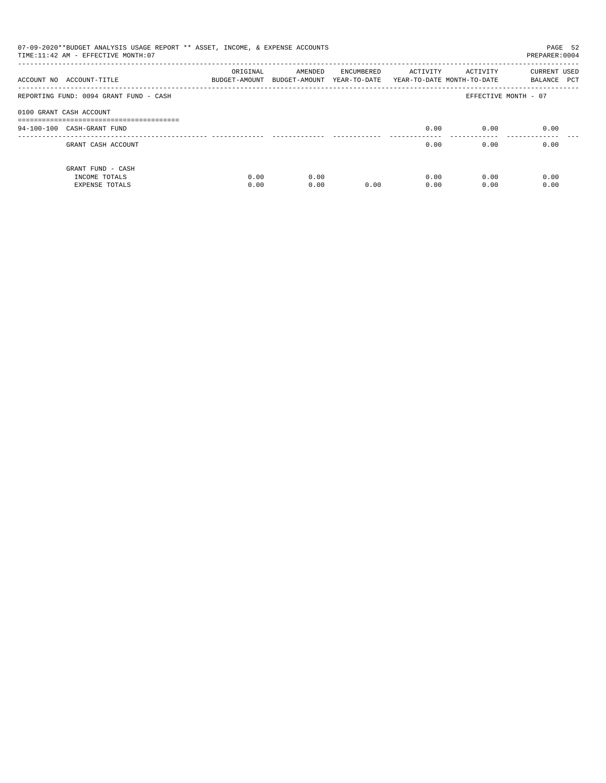| 07-09-2020**BUDGET ANALYSIS USAGE REPORT ** ASSET, INCOME, & EXPENSE ACCOUNTS<br>TIME: 11:42 AM - EFFECTIVE MONTH: 07<br>PREPARER: 0004 |                           |                                       |            |                                        |                      |                                    |  |  |  |
|-----------------------------------------------------------------------------------------------------------------------------------------|---------------------------|---------------------------------------|------------|----------------------------------------|----------------------|------------------------------------|--|--|--|
| ACCOUNT NO ACCOUNT-TITLE                                                                                                                | ORIGINAL<br>BUDGET-AMOUNT | AMENDED<br>BUDGET-AMOUNT YEAR-TO-DATE | ENCUMBERED | ACTIVITY<br>YEAR-TO-DATE MONTH-TO-DATE | ACTIVITY             | <b>CURRENT USED</b><br>BALANCE PCT |  |  |  |
| REPORTING FUND: 0094 GRANT FUND - CASH                                                                                                  |                           |                                       |            |                                        | EFFECTIVE MONTH - 07 |                                    |  |  |  |
| 0100 GRANT CASH ACCOUNT                                                                                                                 |                           |                                       |            |                                        |                      |                                    |  |  |  |
| 94-100-100 CASH-GRANT FUND                                                                                                              |                           |                                       |            | 0.00                                   | 0.00                 | 0.00                               |  |  |  |
| GRANT CASH ACCOUNT                                                                                                                      |                           |                                       |            | 0.00                                   | 0.00                 | 0.00                               |  |  |  |
| GRANT FUND - CASH<br>INCOME TOTALS<br>EXPENSE TOTALS                                                                                    | 0.00<br>0.00              | 0.00<br>0.00                          | 0.00       | 0.00<br>0.00                           | 0.00<br>0.00         | 0.00<br>0.00                       |  |  |  |